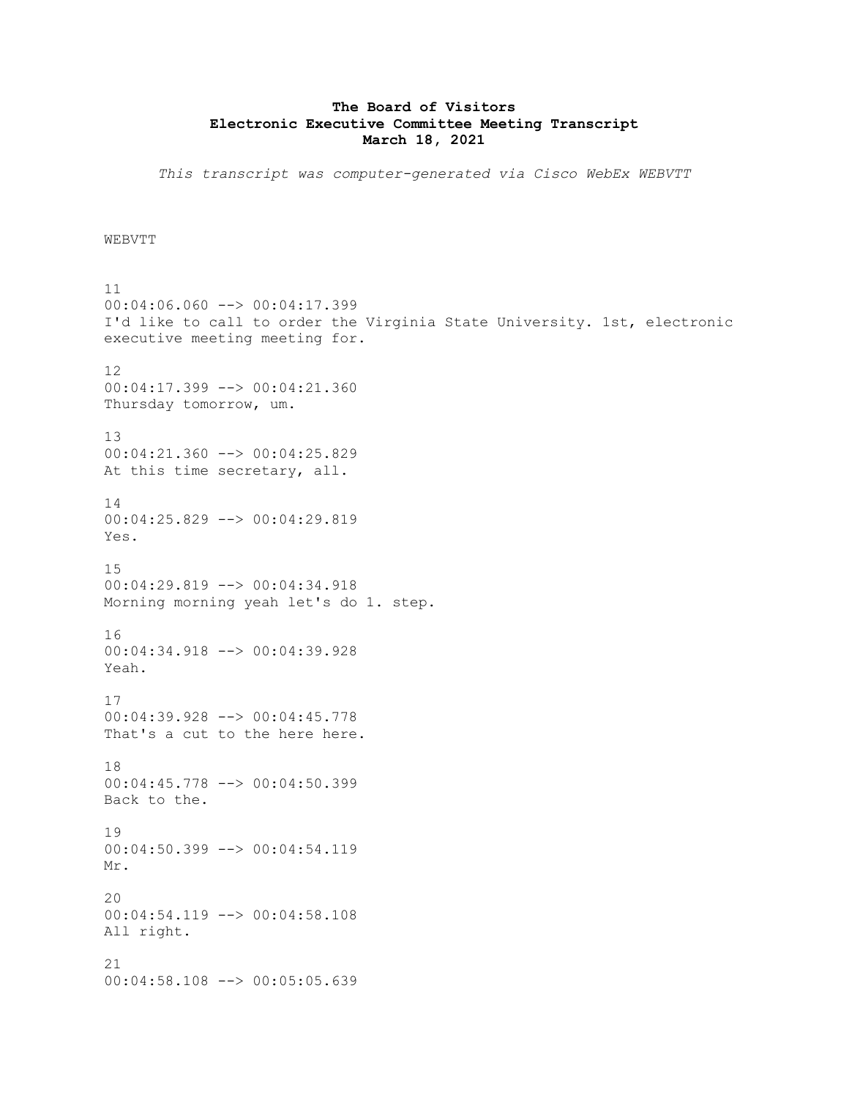## **The Board of Visitors Electronic Executive Committee Meeting Transcript March 18, 2021**

*This transcript was computer-generated via Cisco WebEx WEBVTT*

**WEBVTT** 

11 00:04:06.060 --> 00:04:17.399 I'd like to call to order the Virginia State University. 1st, electronic executive meeting meeting for. 12 00:04:17.399 --> 00:04:21.360 Thursday tomorrow, um. 13 00:04:21.360 --> 00:04:25.829 At this time secretary, all. 14 00:04:25.829 --> 00:04:29.819 Yes. 15 00:04:29.819 --> 00:04:34.918 Morning morning yeah let's do 1. step. 16 00:04:34.918 --> 00:04:39.928 Yeah. 17 00:04:39.928 --> 00:04:45.778 That's a cut to the here here. 18 00:04:45.778 --> 00:04:50.399 Back to the. 19 00:04:50.399 --> 00:04:54.119 Mr.  $20$ 00:04:54.119 --> 00:04:58.108 All right. 21 00:04:58.108 --> 00:05:05.639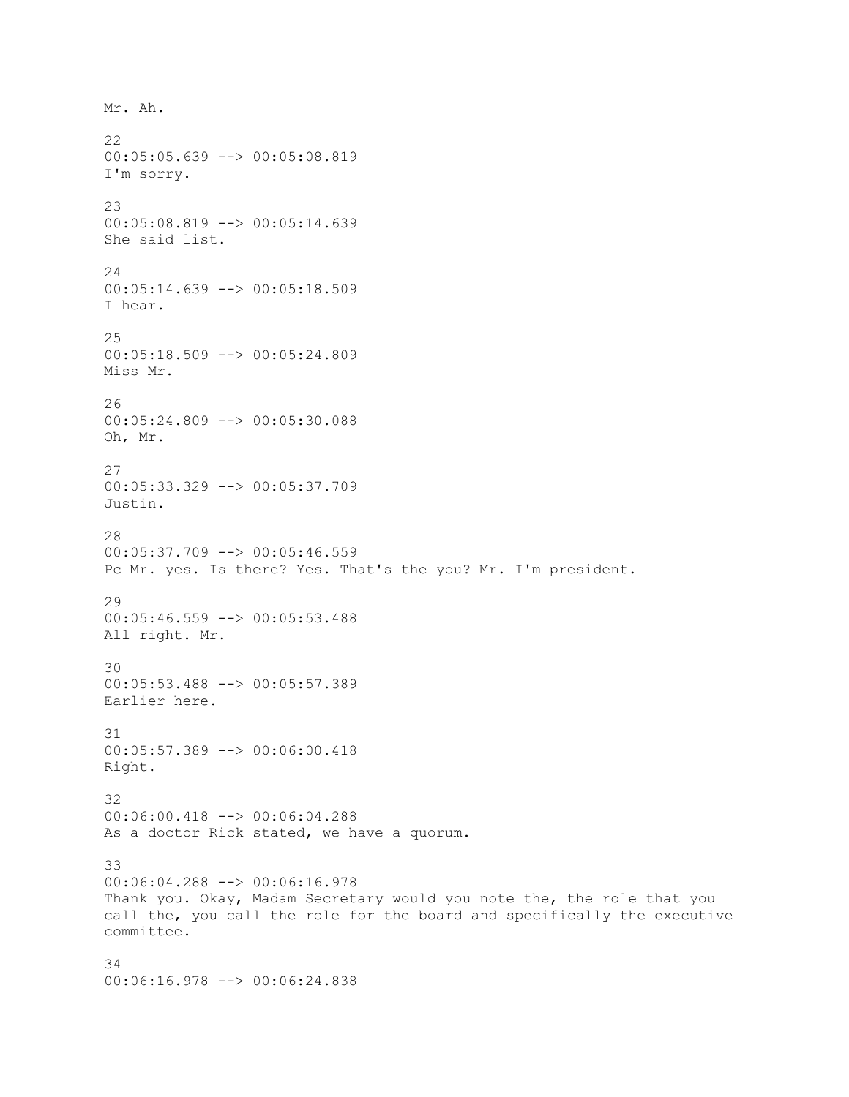Mr. Ah. 22 00:05:05.639 --> 00:05:08.819 I'm sorry. 23 00:05:08.819 --> 00:05:14.639 She said list. 24 00:05:14.639 --> 00:05:18.509 I hear. 25 00:05:18.509 --> 00:05:24.809 Miss Mr. 26 00:05:24.809 --> 00:05:30.088 Oh, Mr. 27 00:05:33.329 --> 00:05:37.709 Justin. 28 00:05:37.709 --> 00:05:46.559 Pc Mr. yes. Is there? Yes. That's the you? Mr. I'm president. 29 00:05:46.559 --> 00:05:53.488 All right. Mr. 30 00:05:53.488 --> 00:05:57.389 Earlier here. 31 00:05:57.389 --> 00:06:00.418 Right. 32 00:06:00.418 --> 00:06:04.288 As a doctor Rick stated, we have a quorum. 33 00:06:04.288 --> 00:06:16.978 Thank you. Okay, Madam Secretary would you note the, the role that you call the, you call the role for the board and specifically the executive committee. 34 00:06:16.978 --> 00:06:24.838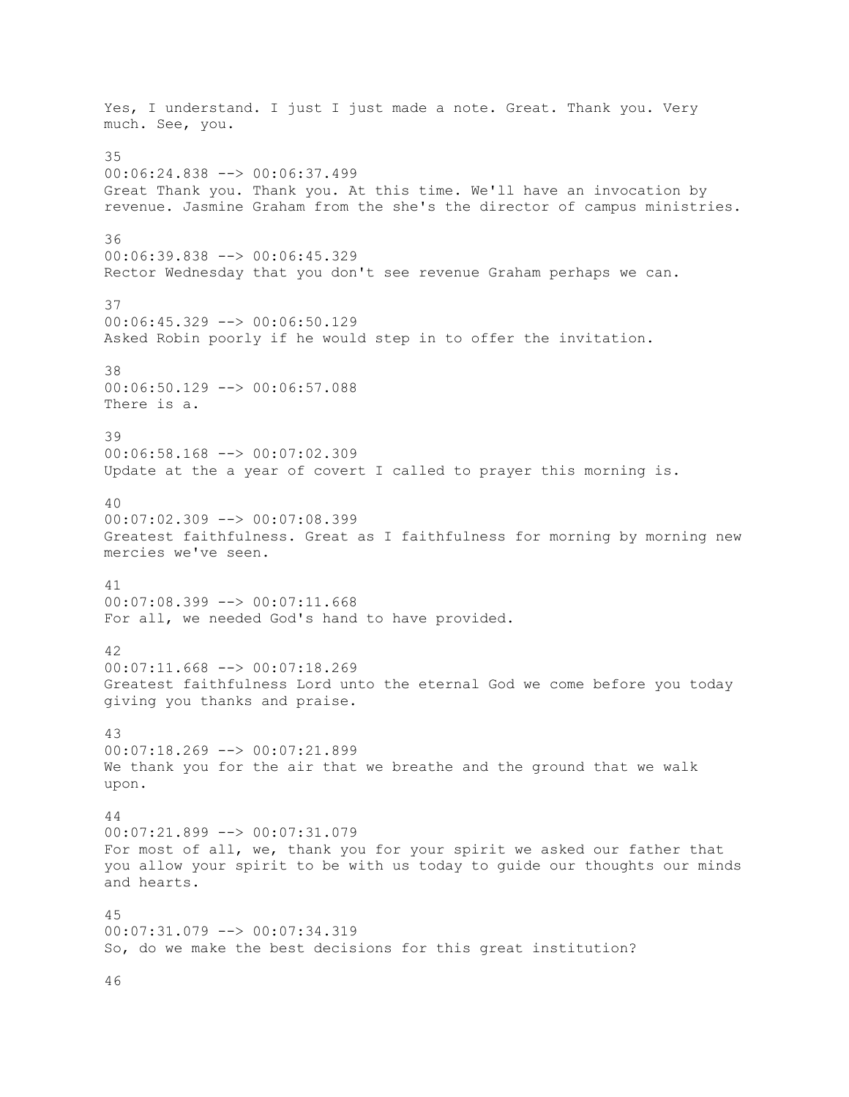Yes, I understand. I just I just made a note. Great. Thank you. Very much. See, you. 35 00:06:24.838 --> 00:06:37.499 Great Thank you. Thank you. At this time. We'll have an invocation by revenue. Jasmine Graham from the she's the director of campus ministries. 36 00:06:39.838 --> 00:06:45.329 Rector Wednesday that you don't see revenue Graham perhaps we can. 37 00:06:45.329 --> 00:06:50.129 Asked Robin poorly if he would step in to offer the invitation. 38 00:06:50.129 --> 00:06:57.088 There is a. 39 00:06:58.168 --> 00:07:02.309 Update at the a year of covert I called to prayer this morning is. 40 00:07:02.309 --> 00:07:08.399 Greatest faithfulness. Great as I faithfulness for morning by morning new mercies we've seen. 41 00:07:08.399 --> 00:07:11.668 For all, we needed God's hand to have provided. 42 00:07:11.668 --> 00:07:18.269 Greatest faithfulness Lord unto the eternal God we come before you today giving you thanks and praise. 43 00:07:18.269 --> 00:07:21.899 We thank you for the air that we breathe and the ground that we walk upon. 44 00:07:21.899 --> 00:07:31.079 For most of all, we, thank you for your spirit we asked our father that you allow your spirit to be with us today to guide our thoughts our minds and hearts. 45 00:07:31.079 --> 00:07:34.319 So, do we make the best decisions for this great institution?

46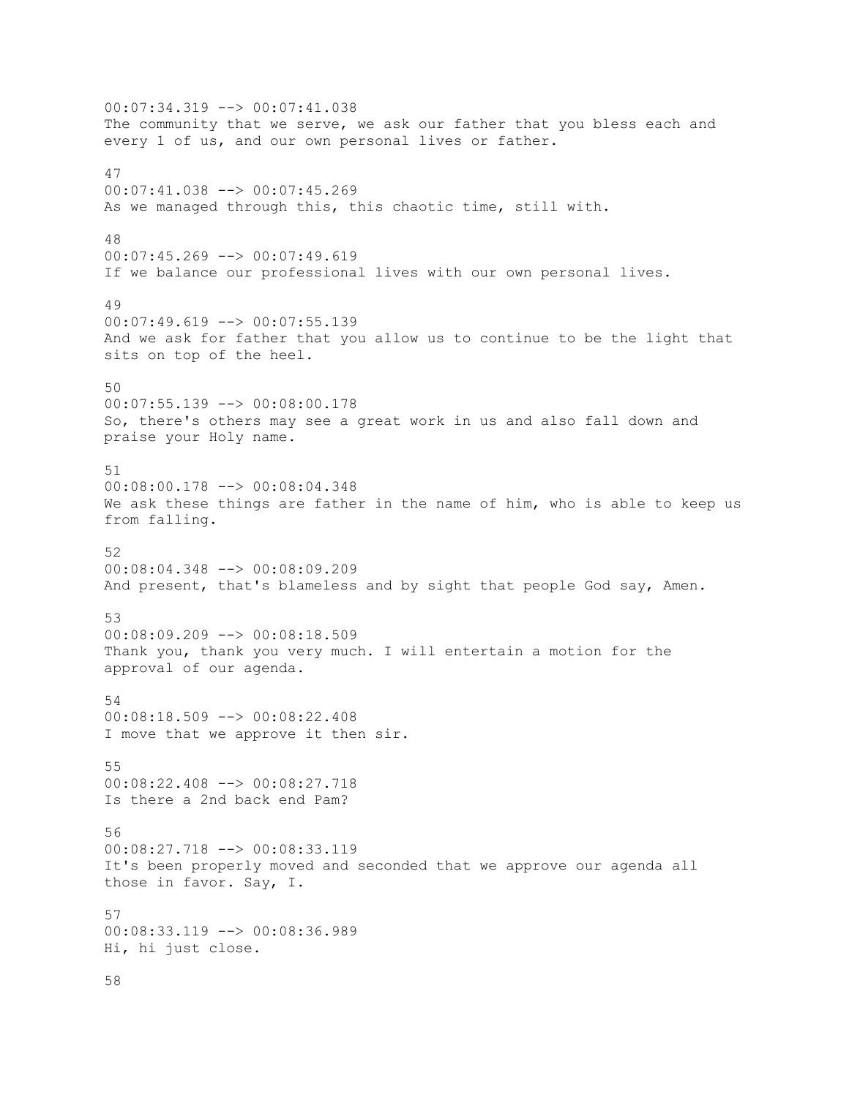00:07:34.319 --> 00:07:41.038 The community that we serve, we ask our father that you bless each and every 1 of us, and our own personal lives or father. 47 00:07:41.038 --> 00:07:45.269 As we managed through this, this chaotic time, still with. 48 00:07:45.269 --> 00:07:49.619 If we balance our professional lives with our own personal lives. 49 00:07:49.619 --> 00:07:55.139 And we ask for father that you allow us to continue to be the light that sits on top of the heel. 50 00:07:55.139 --> 00:08:00.178 So, there's others may see a great work in us and also fall down and praise your Holy name. 51 00:08:00.178 --> 00:08:04.348 We ask these things are father in the name of him, who is able to keep us from falling. 52 00:08:04.348 --> 00:08:09.209 And present, that's blameless and by sight that people God say, Amen. 53 00:08:09.209 --> 00:08:18.509 Thank you, thank you very much. I will entertain a motion for the approval of our agenda. 54 00:08:18.509 --> 00:08:22.408 I move that we approve it then sir. 55 00:08:22.408 --> 00:08:27.718 Is there a 2nd back end Pam? 56 00:08:27.718 --> 00:08:33.119 It's been properly moved and seconded that we approve our agenda all those in favor. Say, I. 57 00:08:33.119 --> 00:08:36.989 Hi, hi just close. 58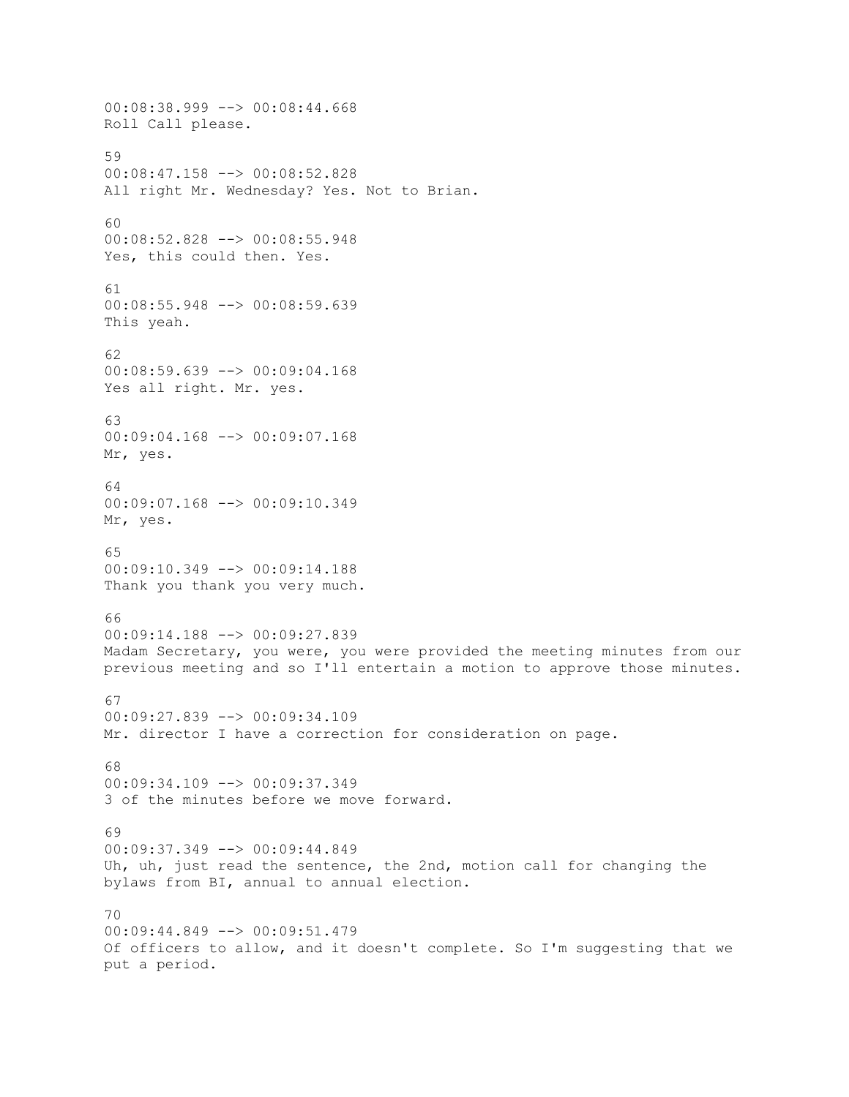00:08:38.999 --> 00:08:44.668 Roll Call please. 59 00:08:47.158 --> 00:08:52.828 All right Mr. Wednesday? Yes. Not to Brian. 60 00:08:52.828 --> 00:08:55.948 Yes, this could then. Yes. 61 00:08:55.948 --> 00:08:59.639 This yeah. 62 00:08:59.639 --> 00:09:04.168 Yes all right. Mr. yes. 63 00:09:04.168 --> 00:09:07.168 Mr, yes. 64 00:09:07.168 --> 00:09:10.349 Mr, yes. 65 00:09:10.349 --> 00:09:14.188 Thank you thank you very much. 66 00:09:14.188 --> 00:09:27.839 Madam Secretary, you were, you were provided the meeting minutes from our previous meeting and so I'll entertain a motion to approve those minutes. 67 00:09:27.839 --> 00:09:34.109 Mr. director I have a correction for consideration on page. 68 00:09:34.109 --> 00:09:37.349 3 of the minutes before we move forward. 69 00:09:37.349 --> 00:09:44.849 Uh, uh, just read the sentence, the 2nd, motion call for changing the bylaws from BI, annual to annual election. 70 00:09:44.849 --> 00:09:51.479 Of officers to allow, and it doesn't complete. So I'm suggesting that we put a period.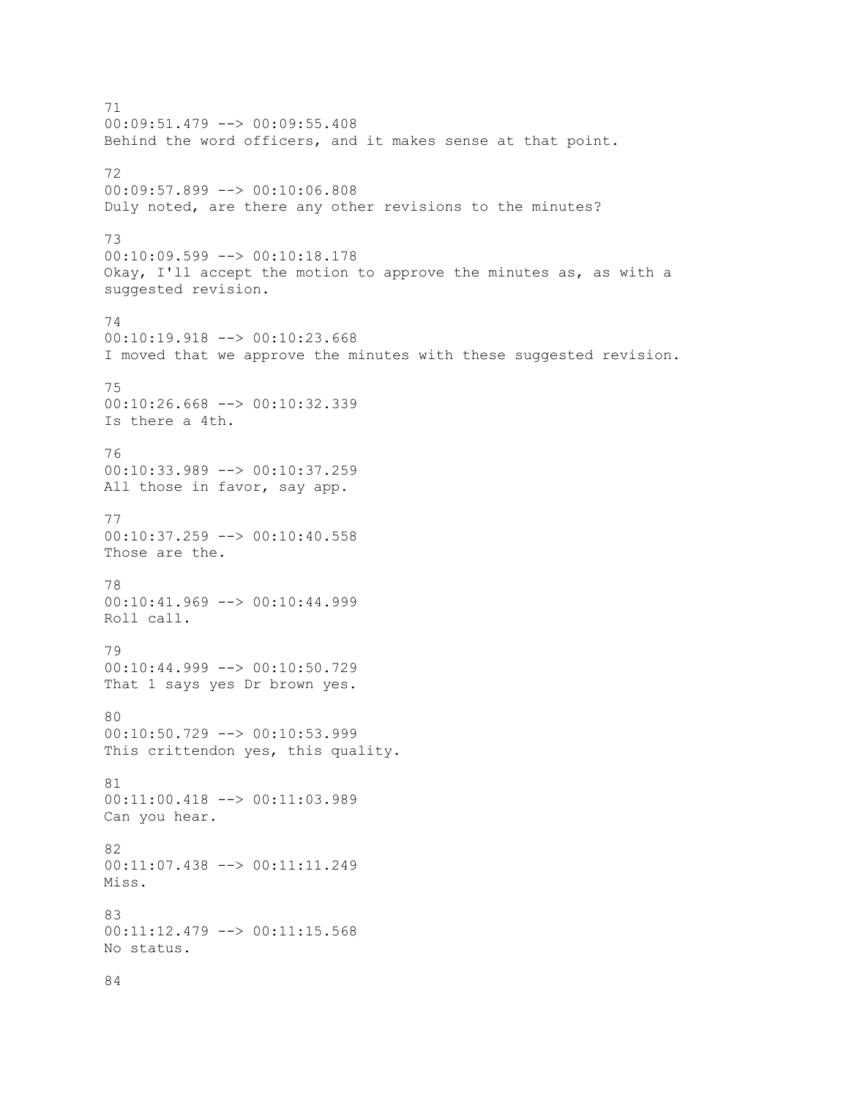71 00:09:51.479 --> 00:09:55.408 Behind the word officers, and it makes sense at that point. 72 00:09:57.899 --> 00:10:06.808 Duly noted, are there any other revisions to the minutes? 73 00:10:09.599 --> 00:10:18.178 Okay, I'll accept the motion to approve the minutes as, as with a suggested revision. 74 00:10:19.918 --> 00:10:23.668 I moved that we approve the minutes with these suggested revision. 75 00:10:26.668 --> 00:10:32.339 Is there a 4th. 76 00:10:33.989 --> 00:10:37.259 All those in favor, say app. 77 00:10:37.259 --> 00:10:40.558 Those are the. 78 00:10:41.969 --> 00:10:44.999 Roll call. 79 00:10:44.999 --> 00:10:50.729 That 1 says yes Dr brown yes. 80 00:10:50.729 --> 00:10:53.999 This crittendon yes, this quality. 81 00:11:00.418 --> 00:11:03.989 Can you hear. 82 00:11:07.438 --> 00:11:11.249 Miss. 83 00:11:12.479 --> 00:11:15.568 No status.

84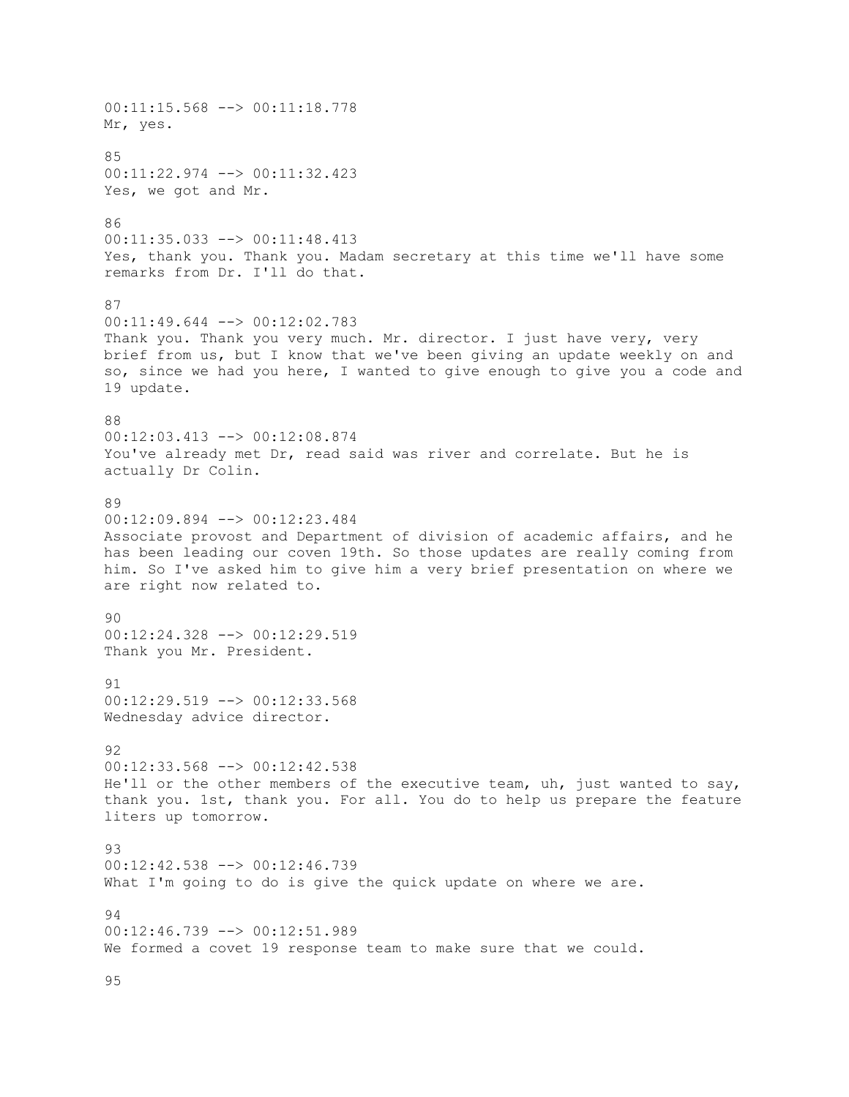00:11:15.568 --> 00:11:18.778 Mr, yes. 85 00:11:22.974 --> 00:11:32.423 Yes, we got and Mr. 86 00:11:35.033 --> 00:11:48.413 Yes, thank you. Thank you. Madam secretary at this time we'll have some remarks from Dr. I'll do that. 87 00:11:49.644 --> 00:12:02.783 Thank you. Thank you very much. Mr. director. I just have very, very brief from us, but I know that we've been giving an update weekly on and so, since we had you here, I wanted to give enough to give you a code and 19 update. 88 00:12:03.413 --> 00:12:08.874 You've already met Dr, read said was river and correlate. But he is actually Dr Colin. 89 00:12:09.894 --> 00:12:23.484 Associate provost and Department of division of academic affairs, and he has been leading our coven 19th. So those updates are really coming from him. So I've asked him to give him a very brief presentation on where we are right now related to. 90 00:12:24.328 --> 00:12:29.519 Thank you Mr. President. 91 00:12:29.519 --> 00:12:33.568 Wednesday advice director. 92 00:12:33.568 --> 00:12:42.538 He'll or the other members of the executive team, uh, just wanted to say, thank you. 1st, thank you. For all. You do to help us prepare the feature liters up tomorrow. 93 00:12:42.538 --> 00:12:46.739 What I'm going to do is give the quick update on where we are. 94 00:12:46.739 --> 00:12:51.989 We formed a covet 19 response team to make sure that we could.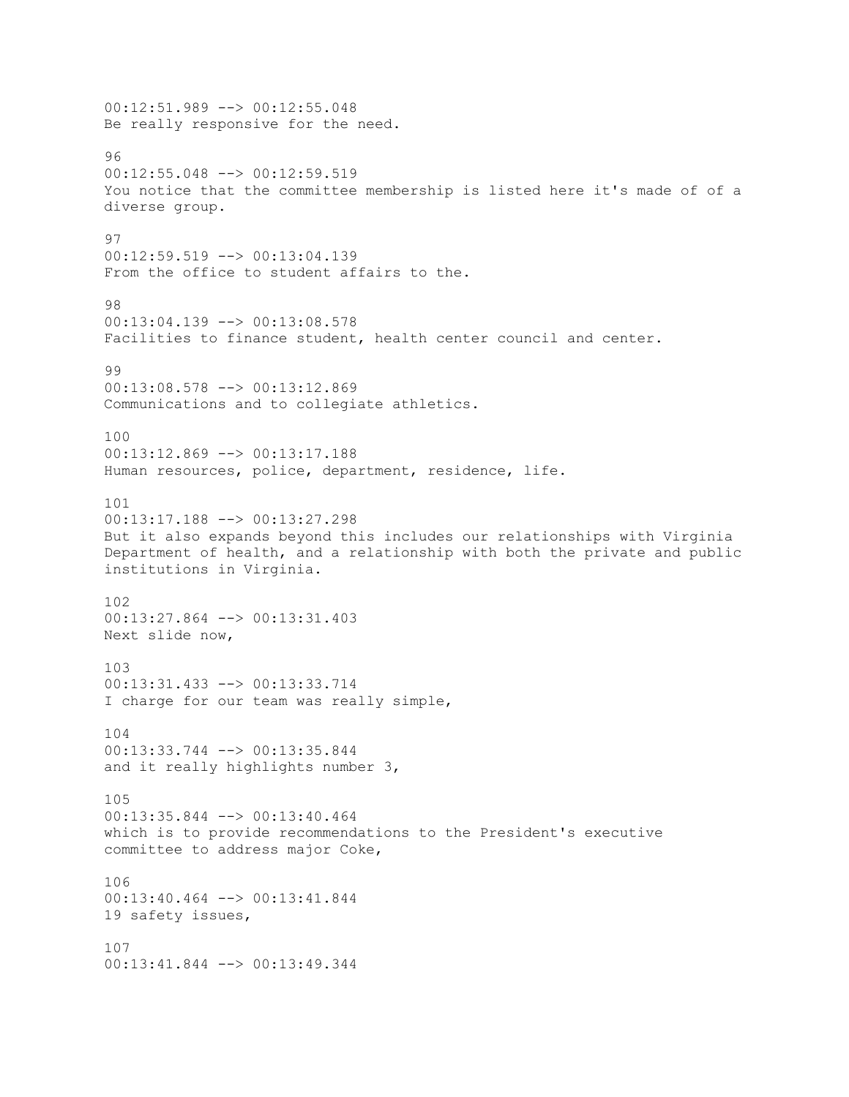00:12:51.989 --> 00:12:55.048 Be really responsive for the need. 96 00:12:55.048 --> 00:12:59.519 You notice that the committee membership is listed here it's made of of a diverse group. 97 00:12:59.519 --> 00:13:04.139 From the office to student affairs to the. 98 00:13:04.139 --> 00:13:08.578 Facilities to finance student, health center council and center.  $99$ 00:13:08.578 --> 00:13:12.869 Communications and to collegiate athletics. 100 00:13:12.869 --> 00:13:17.188 Human resources, police, department, residence, life. 101 00:13:17.188 --> 00:13:27.298 But it also expands beyond this includes our relationships with Virginia Department of health, and a relationship with both the private and public institutions in Virginia. 102 00:13:27.864 --> 00:13:31.403 Next slide now, 103 00:13:31.433 --> 00:13:33.714 I charge for our team was really simple, 104 00:13:33.744 --> 00:13:35.844 and it really highlights number 3, 105 00:13:35.844 --> 00:13:40.464 which is to provide recommendations to the President's executive committee to address major Coke, 106 00:13:40.464 --> 00:13:41.844 19 safety issues, 107 00:13:41.844 --> 00:13:49.344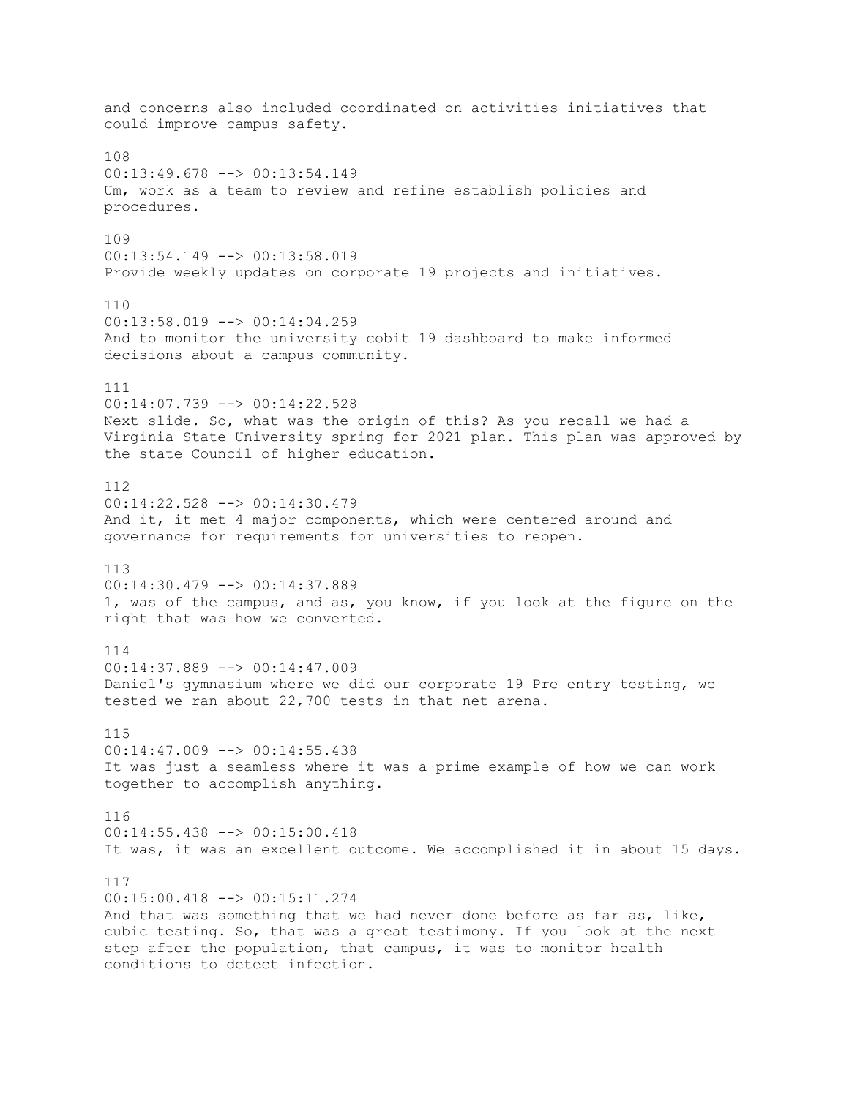and concerns also included coordinated on activities initiatives that could improve campus safety. 108 00:13:49.678 --> 00:13:54.149 Um, work as a team to review and refine establish policies and procedures. 109 00:13:54.149 --> 00:13:58.019 Provide weekly updates on corporate 19 projects and initiatives. 110 00:13:58.019 --> 00:14:04.259 And to monitor the university cobit 19 dashboard to make informed decisions about a campus community. 111 00:14:07.739 --> 00:14:22.528 Next slide. So, what was the origin of this? As you recall we had a Virginia State University spring for 2021 plan. This plan was approved by the state Council of higher education. 112 00:14:22.528 --> 00:14:30.479 And it, it met 4 major components, which were centered around and governance for requirements for universities to reopen. 113 00:14:30.479 --> 00:14:37.889 1, was of the campus, and as, you know, if you look at the figure on the right that was how we converted. 114 00:14:37.889 --> 00:14:47.009 Daniel's gymnasium where we did our corporate 19 Pre entry testing, we tested we ran about 22,700 tests in that net arena. 115 00:14:47.009 --> 00:14:55.438 It was just a seamless where it was a prime example of how we can work together to accomplish anything. 116 00:14:55.438 --> 00:15:00.418 It was, it was an excellent outcome. We accomplished it in about 15 days. 117 00:15:00.418 --> 00:15:11.274 And that was something that we had never done before as far as, like, cubic testing. So, that was a great testimony. If you look at the next step after the population, that campus, it was to monitor health conditions to detect infection.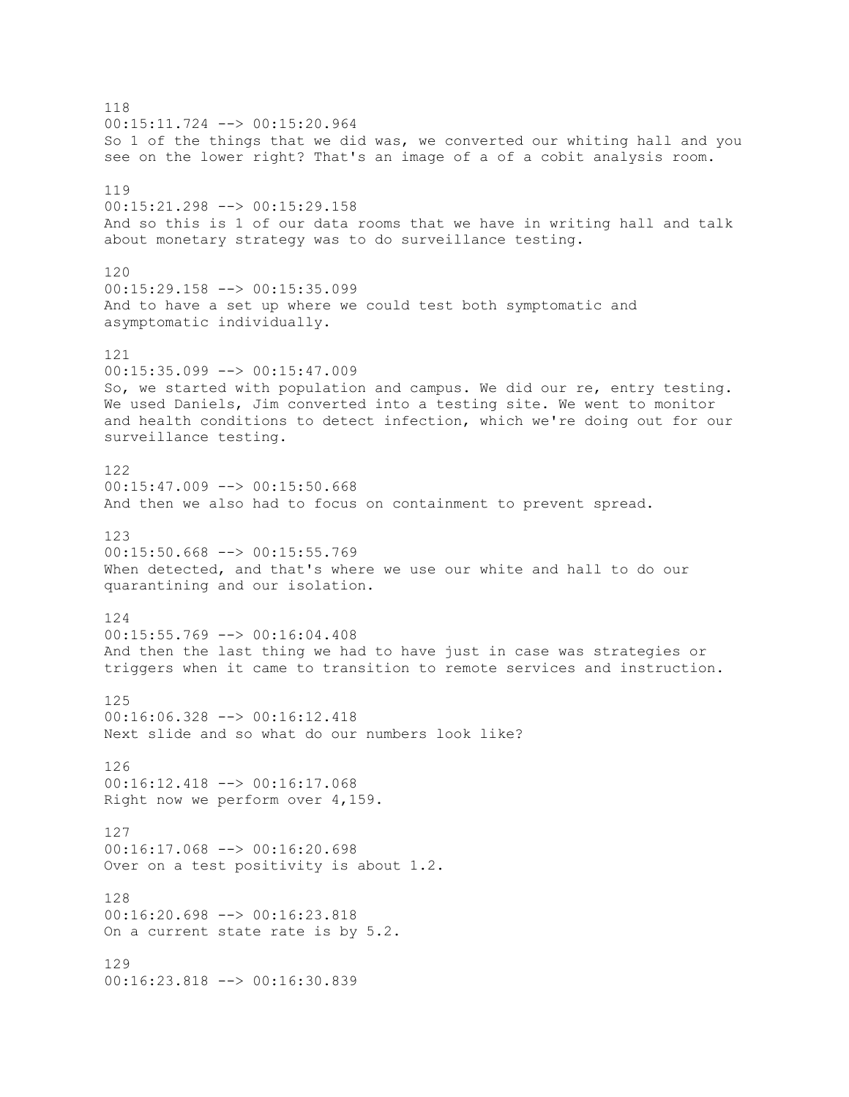118 00:15:11.724 --> 00:15:20.964 So 1 of the things that we did was, we converted our whiting hall and you see on the lower right? That's an image of a of a cobit analysis room. 119 00:15:21.298 --> 00:15:29.158 And so this is 1 of our data rooms that we have in writing hall and talk about monetary strategy was to do surveillance testing. 120 00:15:29.158 --> 00:15:35.099 And to have a set up where we could test both symptomatic and asymptomatic individually. 121 00:15:35.099 --> 00:15:47.009 So, we started with population and campus. We did our re, entry testing. We used Daniels, Jim converted into a testing site. We went to monitor and health conditions to detect infection, which we're doing out for our surveillance testing. 122  $00:15:47.009$  -->  $00:15:50.668$ And then we also had to focus on containment to prevent spread. 123 00:15:50.668 --> 00:15:55.769 When detected, and that's where we use our white and hall to do our quarantining and our isolation. 124 00:15:55.769 --> 00:16:04.408 And then the last thing we had to have just in case was strategies or triggers when it came to transition to remote services and instruction. 125 00:16:06.328 --> 00:16:12.418 Next slide and so what do our numbers look like? 126 00:16:12.418 --> 00:16:17.068 Right now we perform over 4,159. 127 00:16:17.068 --> 00:16:20.698 Over on a test positivity is about 1.2. 128 00:16:20.698 --> 00:16:23.818 On a current state rate is by 5.2. 129 00:16:23.818 --> 00:16:30.839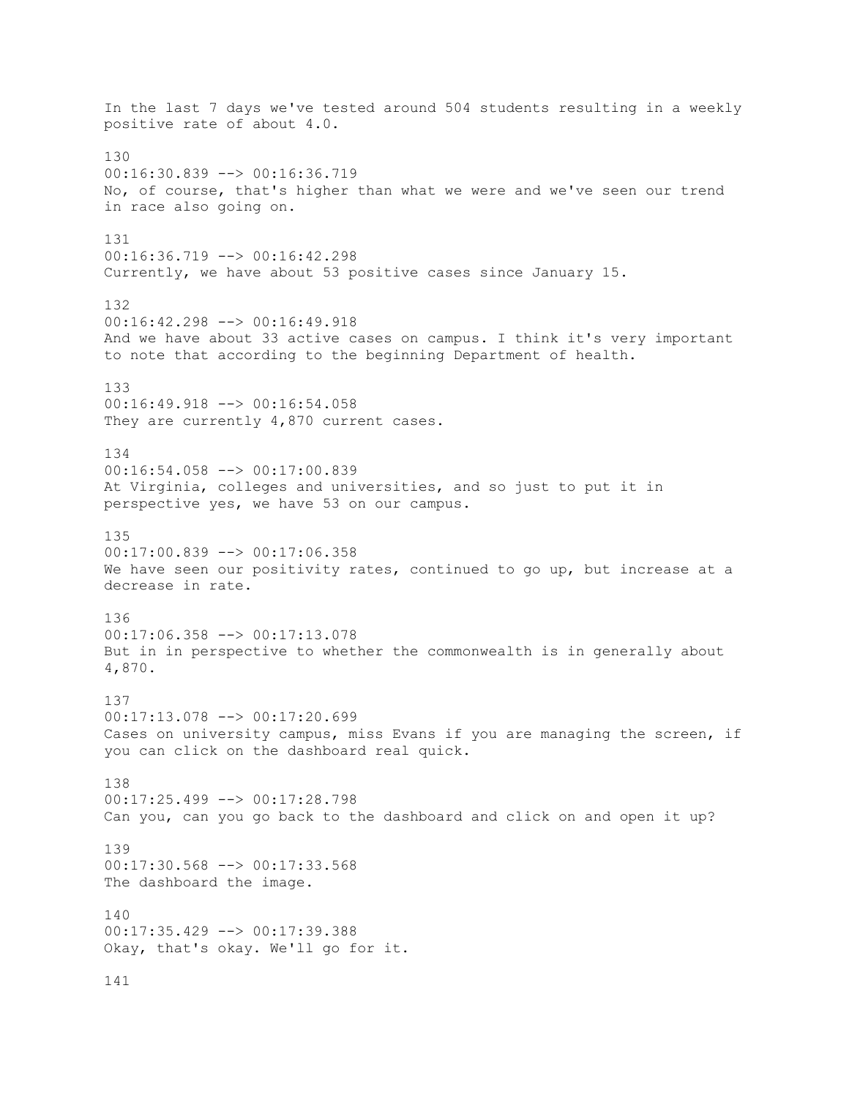In the last 7 days we've tested around 504 students resulting in a weekly positive rate of about 4.0. 130 00:16:30.839 --> 00:16:36.719 No, of course, that's higher than what we were and we've seen our trend in race also going on. 131 00:16:36.719 --> 00:16:42.298 Currently, we have about 53 positive cases since January 15. 132 00:16:42.298 --> 00:16:49.918 And we have about 33 active cases on campus. I think it's very important to note that according to the beginning Department of health. 133 00:16:49.918 --> 00:16:54.058 They are currently 4,870 current cases. 134 00:16:54.058 --> 00:17:00.839 At Virginia, colleges and universities, and so just to put it in perspective yes, we have 53 on our campus. 135 00:17:00.839 --> 00:17:06.358 We have seen our positivity rates, continued to go up, but increase at a decrease in rate. 136 00:17:06.358 --> 00:17:13.078 But in in perspective to whether the commonwealth is in generally about 4,870. 137 00:17:13.078 --> 00:17:20.699 Cases on university campus, miss Evans if you are managing the screen, if you can click on the dashboard real quick. 138 00:17:25.499 --> 00:17:28.798 Can you, can you go back to the dashboard and click on and open it up? 139 00:17:30.568 --> 00:17:33.568 The dashboard the image. 140 00:17:35.429 --> 00:17:39.388 Okay, that's okay. We'll go for it. 141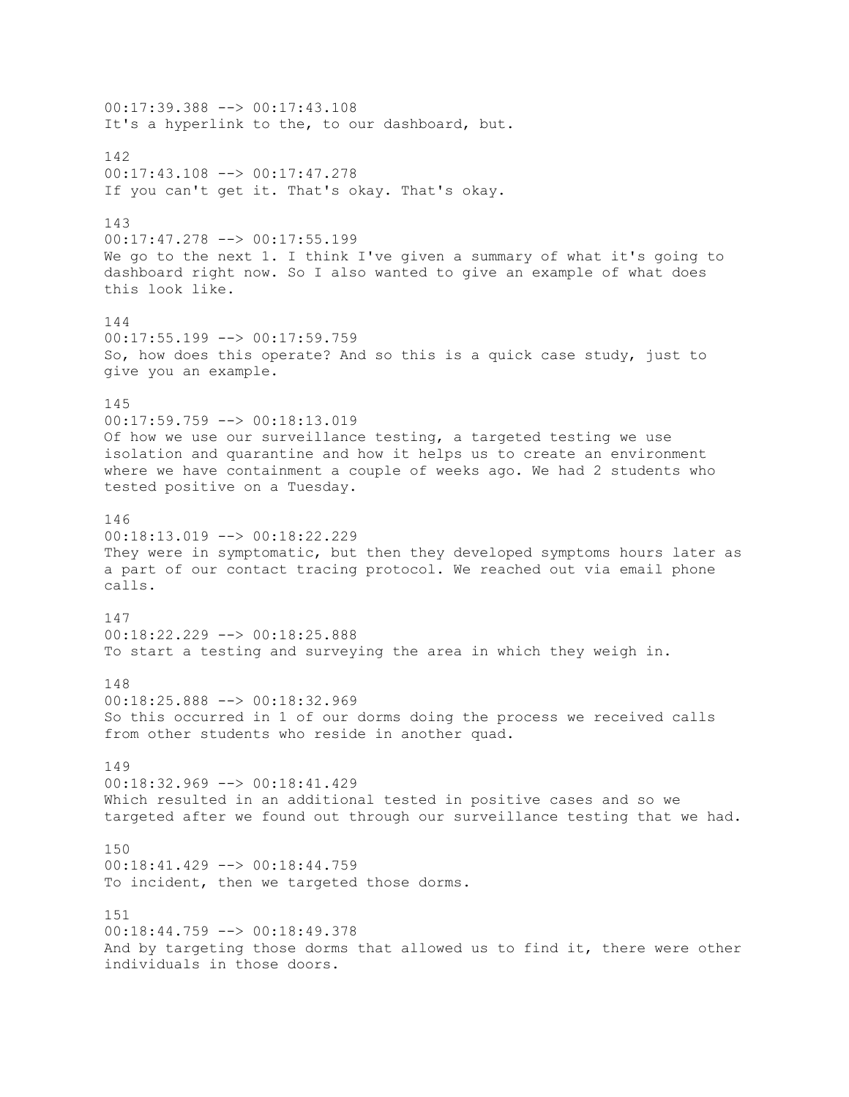00:17:39.388 --> 00:17:43.108 It's a hyperlink to the, to our dashboard, but. 142 00:17:43.108 --> 00:17:47.278 If you can't get it. That's okay. That's okay. 143 00:17:47.278 --> 00:17:55.199 We go to the next 1. I think I've given a summary of what it's going to dashboard right now. So I also wanted to give an example of what does this look like. 144  $00:17:55.199$  -->  $00:17:59.759$ So, how does this operate? And so this is a quick case study, just to give you an example. 145 00:17:59.759 --> 00:18:13.019 Of how we use our surveillance testing, a targeted testing we use isolation and quarantine and how it helps us to create an environment where we have containment a couple of weeks ago. We had 2 students who tested positive on a Tuesday. 146  $00:18:13.019$  -->  $00:18:22.229$ They were in symptomatic, but then they developed symptoms hours later as a part of our contact tracing protocol. We reached out via email phone calls. 147 00:18:22.229 --> 00:18:25.888 To start a testing and surveying the area in which they weigh in. 148 00:18:25.888 --> 00:18:32.969 So this occurred in 1 of our dorms doing the process we received calls from other students who reside in another quad. 149  $00:18:32.969$  -->  $00:18:41.429$ Which resulted in an additional tested in positive cases and so we targeted after we found out through our surveillance testing that we had. 150 00:18:41.429 --> 00:18:44.759 To incident, then we targeted those dorms. 151 00:18:44.759 --> 00:18:49.378 And by targeting those dorms that allowed us to find it, there were other individuals in those doors.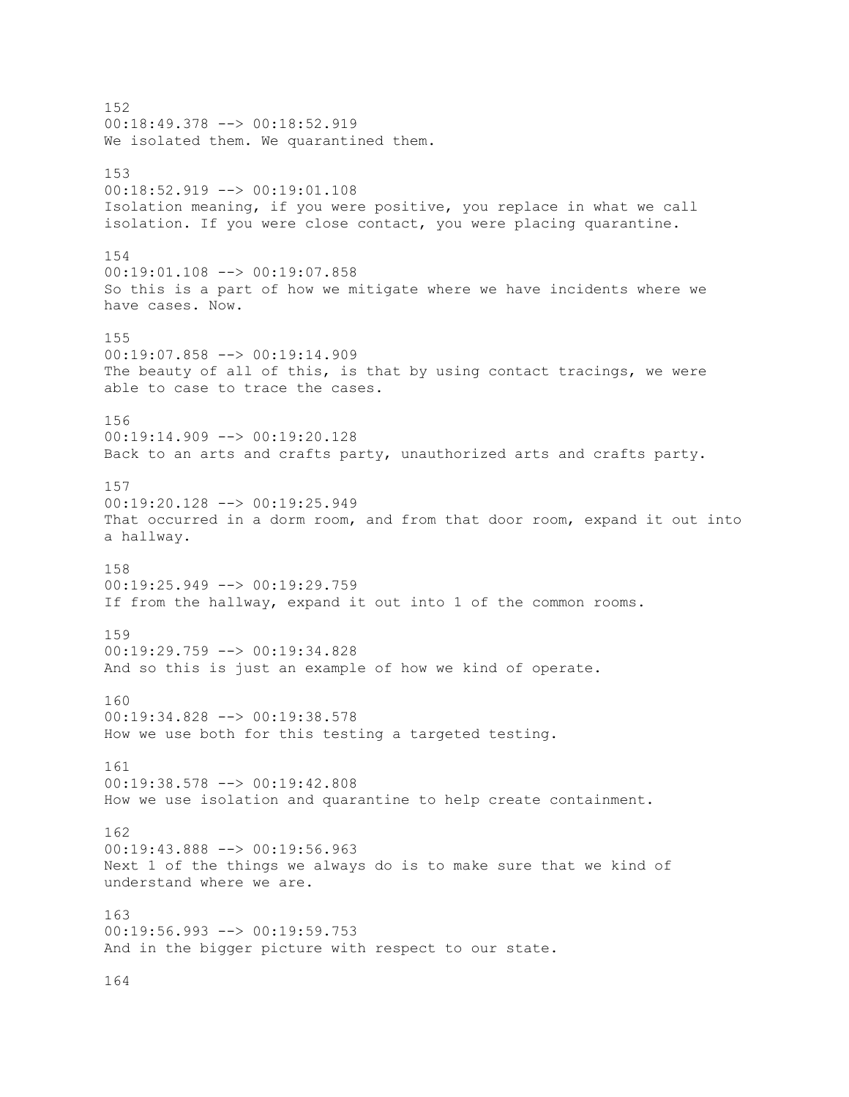152 00:18:49.378 --> 00:18:52.919 We isolated them. We quarantined them. 153 00:18:52.919 --> 00:19:01.108 Isolation meaning, if you were positive, you replace in what we call isolation. If you were close contact, you were placing quarantine. 154 00:19:01.108 --> 00:19:07.858 So this is a part of how we mitigate where we have incidents where we have cases. Now. 155 00:19:07.858 --> 00:19:14.909 The beauty of all of this, is that by using contact tracings, we were able to case to trace the cases. 156 00:19:14.909 --> 00:19:20.128 Back to an arts and crafts party, unauthorized arts and crafts party. 157 00:19:20.128 --> 00:19:25.949 That occurred in a dorm room, and from that door room, expand it out into a hallway. 158 00:19:25.949 --> 00:19:29.759 If from the hallway, expand it out into 1 of the common rooms. 159  $00:19:29.759$  -->  $00:19:34.828$ And so this is just an example of how we kind of operate. 160 00:19:34.828 --> 00:19:38.578 How we use both for this testing a targeted testing. 161 00:19:38.578 --> 00:19:42.808 How we use isolation and quarantine to help create containment. 162 00:19:43.888 --> 00:19:56.963 Next 1 of the things we always do is to make sure that we kind of understand where we are. 163 00:19:56.993 --> 00:19:59.753 And in the bigger picture with respect to our state.

164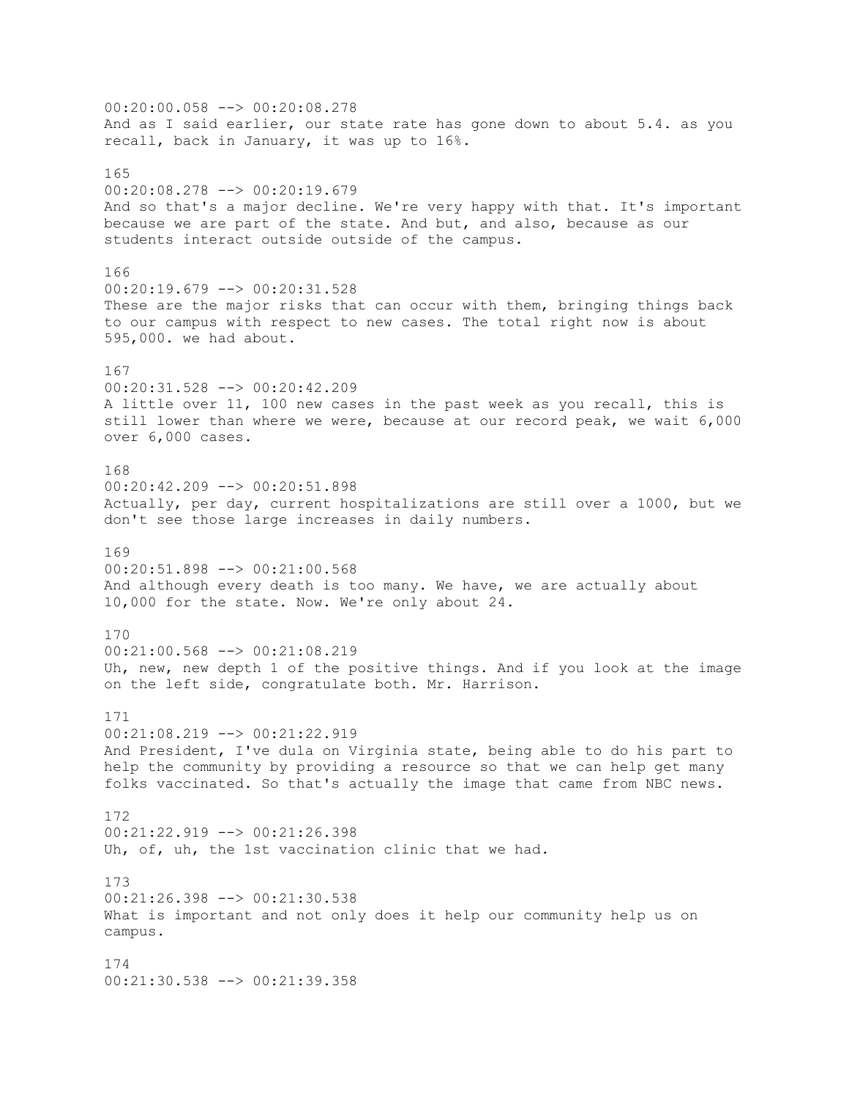00:20:00.058 --> 00:20:08.278 And as I said earlier, our state rate has gone down to about 5.4. as you recall, back in January, it was up to 16%. 165 00:20:08.278 --> 00:20:19.679 And so that's a major decline. We're very happy with that. It's important because we are part of the state. And but, and also, because as our students interact outside outside of the campus. 166 00:20:19.679 --> 00:20:31.528 These are the major risks that can occur with them, bringing things back to our campus with respect to new cases. The total right now is about 595,000. we had about. 167 00:20:31.528 --> 00:20:42.209 A little over 11, 100 new cases in the past week as you recall, this is still lower than where we were, because at our record peak, we wait 6,000 over 6,000 cases. 168 00:20:42.209 --> 00:20:51.898 Actually, per day, current hospitalizations are still over a 1000, but we don't see those large increases in daily numbers. 169 00:20:51.898 --> 00:21:00.568 And although every death is too many. We have, we are actually about 10,000 for the state. Now. We're only about 24. 170  $00:21:00.568$  -->  $00:21:08.219$ Uh, new, new depth 1 of the positive things. And if you look at the image on the left side, congratulate both. Mr. Harrison. 171 00:21:08.219 --> 00:21:22.919 And President, I've dula on Virginia state, being able to do his part to help the community by providing a resource so that we can help get many folks vaccinated. So that's actually the image that came from NBC news. 172 00:21:22.919 --> 00:21:26.398 Uh, of, uh, the 1st vaccination clinic that we had. 173 00:21:26.398 --> 00:21:30.538 What is important and not only does it help our community help us on campus. 174 00:21:30.538 --> 00:21:39.358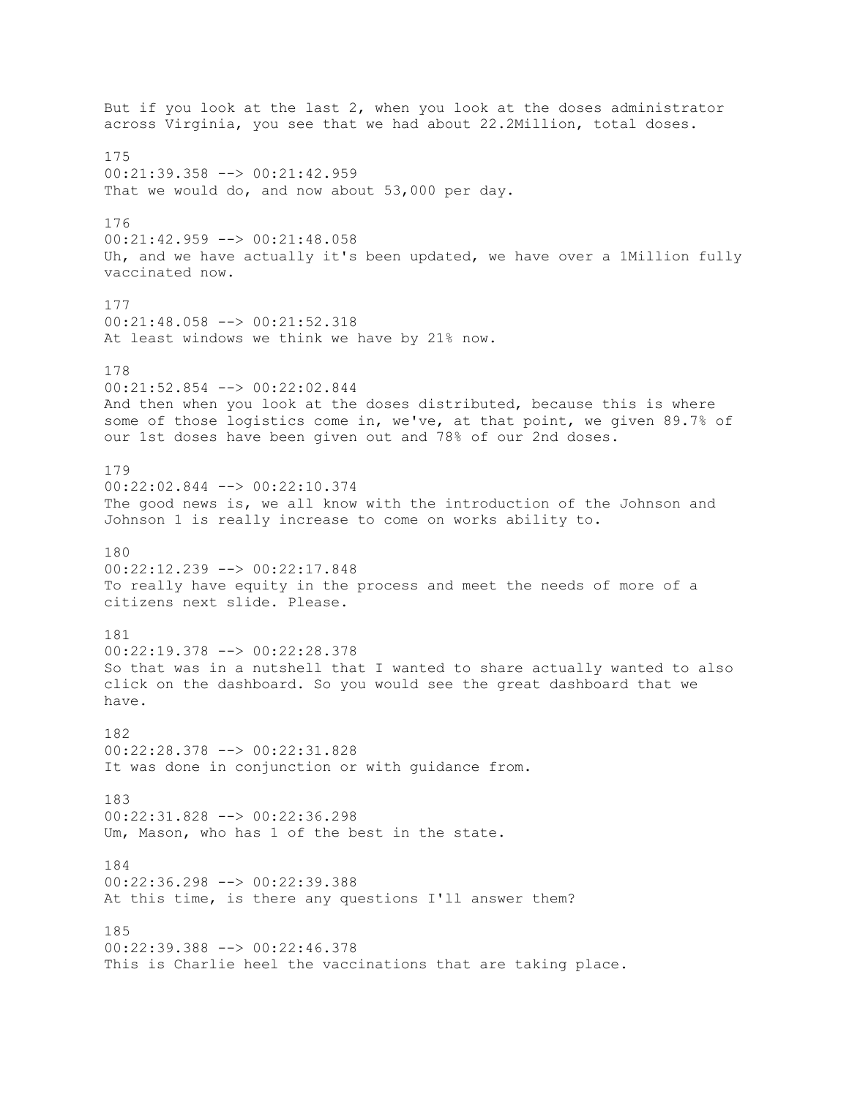But if you look at the last 2, when you look at the doses administrator across Virginia, you see that we had about 22.2Million, total doses. 175 00:21:39.358 --> 00:21:42.959 That we would do, and now about 53,000 per day. 176 00:21:42.959 --> 00:21:48.058 Uh, and we have actually it's been updated, we have over a 1Million fully vaccinated now. 177 00:21:48.058 --> 00:21:52.318 At least windows we think we have by 21% now. 178 00:21:52.854 --> 00:22:02.844 And then when you look at the doses distributed, because this is where some of those logistics come in, we've, at that point, we given 89.7% of our 1st doses have been given out and 78% of our 2nd doses. 179 00:22:02.844 --> 00:22:10.374 The good news is, we all know with the introduction of the Johnson and Johnson 1 is really increase to come on works ability to. 180 00:22:12.239 --> 00:22:17.848 To really have equity in the process and meet the needs of more of a citizens next slide. Please. 181 00:22:19.378 --> 00:22:28.378 So that was in a nutshell that I wanted to share actually wanted to also click on the dashboard. So you would see the great dashboard that we have. 182 00:22:28.378 --> 00:22:31.828 It was done in conjunction or with guidance from. 183 00:22:31.828 --> 00:22:36.298 Um, Mason, who has 1 of the best in the state. 184 00:22:36.298 --> 00:22:39.388 At this time, is there any questions I'll answer them? 185 00:22:39.388 --> 00:22:46.378 This is Charlie heel the vaccinations that are taking place.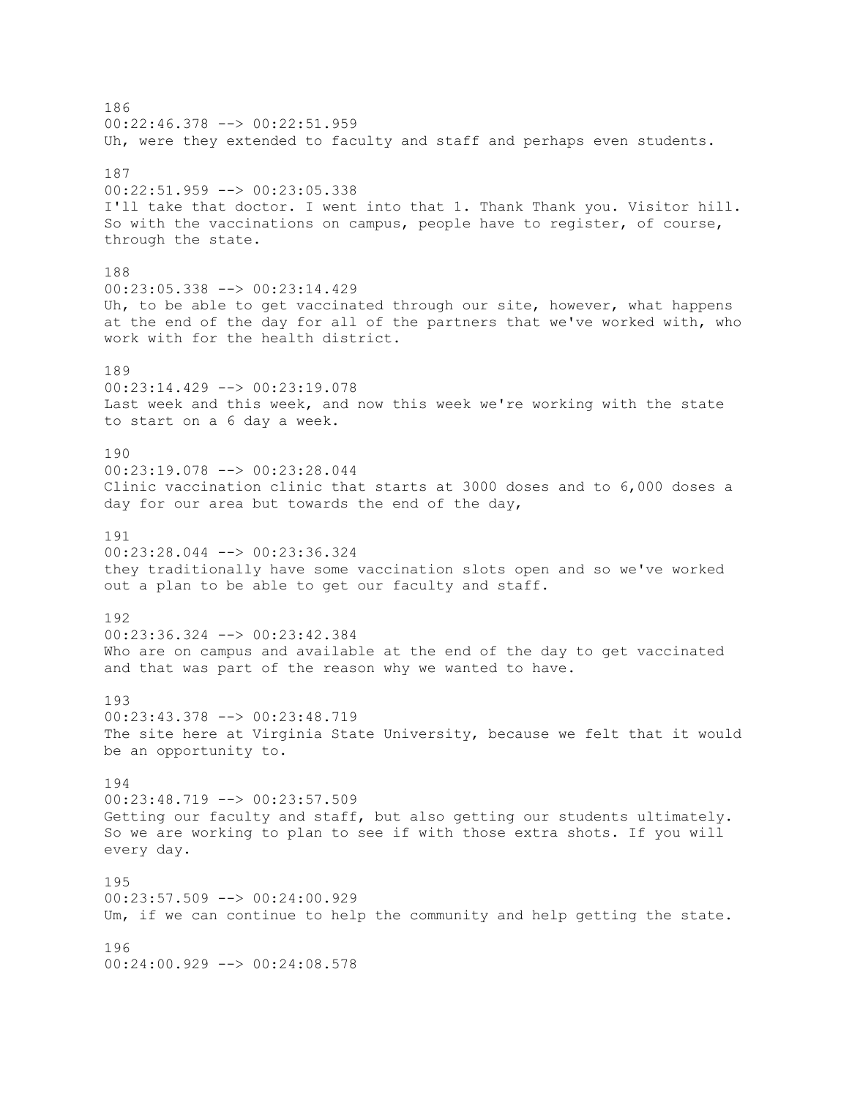186 00:22:46.378 --> 00:22:51.959 Uh, were they extended to faculty and staff and perhaps even students. 187 00:22:51.959 --> 00:23:05.338 I'll take that doctor. I went into that 1. Thank Thank you. Visitor hill. So with the vaccinations on campus, people have to register, of course, through the state. 188 00:23:05.338 --> 00:23:14.429 Uh, to be able to get vaccinated through our site, however, what happens at the end of the day for all of the partners that we've worked with, who work with for the health district. 189 00:23:14.429 --> 00:23:19.078 Last week and this week, and now this week we're working with the state to start on a 6 day a week. 190 00:23:19.078 --> 00:23:28.044 Clinic vaccination clinic that starts at 3000 doses and to 6,000 doses a day for our area but towards the end of the day, 191 00:23:28.044 --> 00:23:36.324 they traditionally have some vaccination slots open and so we've worked out a plan to be able to get our faculty and staff. 192 00:23:36.324 --> 00:23:42.384 Who are on campus and available at the end of the day to get vaccinated and that was part of the reason why we wanted to have. 193 00:23:43.378 --> 00:23:48.719 The site here at Virginia State University, because we felt that it would be an opportunity to. 194 00:23:48.719 --> 00:23:57.509 Getting our faculty and staff, but also getting our students ultimately. So we are working to plan to see if with those extra shots. If you will every day. 195 00:23:57.509 --> 00:24:00.929 Um, if we can continue to help the community and help getting the state. 196 00:24:00.929 --> 00:24:08.578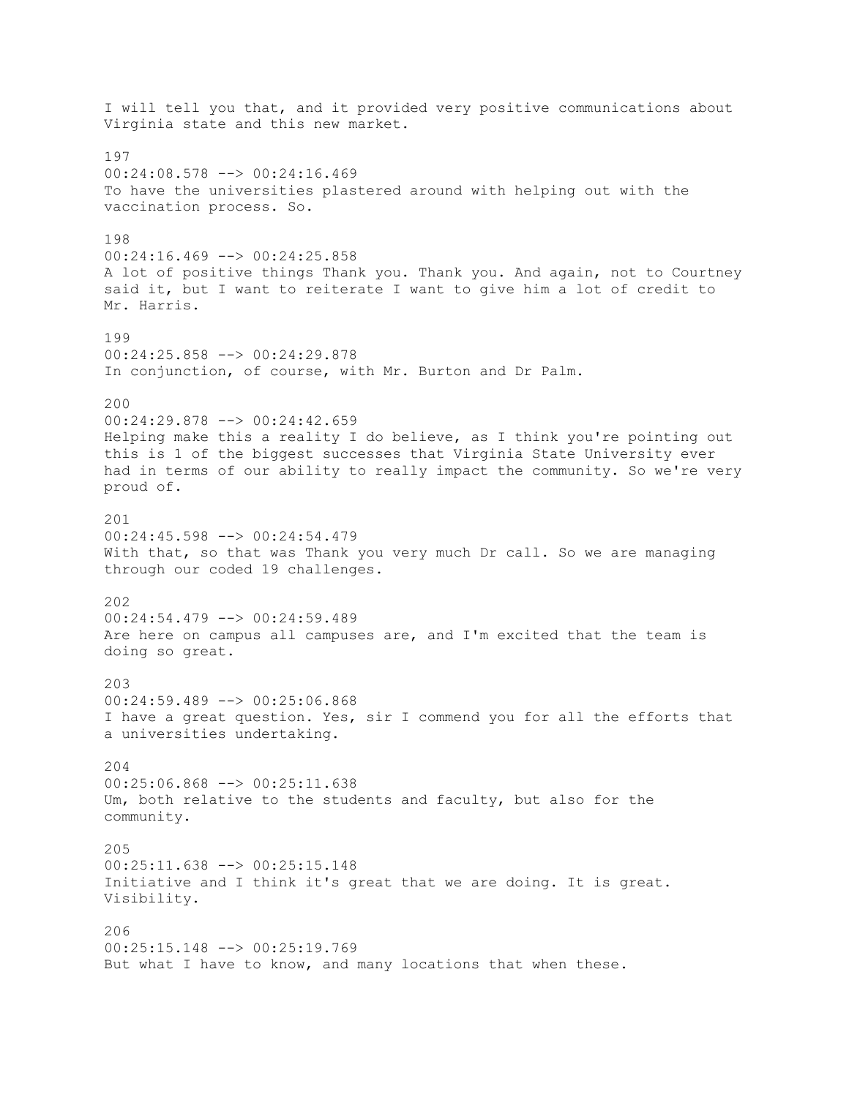I will tell you that, and it provided very positive communications about Virginia state and this new market. 197 00:24:08.578 --> 00:24:16.469 To have the universities plastered around with helping out with the vaccination process. So. 198 00:24:16.469 --> 00:24:25.858 A lot of positive things Thank you. Thank you. And again, not to Courtney said it, but I want to reiterate I want to give him a lot of credit to Mr. Harris. 199 00:24:25.858 --> 00:24:29.878 In conjunction, of course, with Mr. Burton and Dr Palm. 200 00:24:29.878 --> 00:24:42.659 Helping make this a reality I do believe, as I think you're pointing out this is 1 of the biggest successes that Virginia State University ever had in terms of our ability to really impact the community. So we're very proud of. 201  $00:24:45.598$  -->  $00:24:54.479$ With that, so that was Thank you very much Dr call. So we are managing through our coded 19 challenges. 202 00:24:54.479 --> 00:24:59.489 Are here on campus all campuses are, and I'm excited that the team is doing so great. 203 00:24:59.489 --> 00:25:06.868 I have a great question. Yes, sir I commend you for all the efforts that a universities undertaking. 204 00:25:06.868 --> 00:25:11.638 Um, both relative to the students and faculty, but also for the community. 205 00:25:11.638 --> 00:25:15.148 Initiative and I think it's great that we are doing. It is great. Visibility. 206 00:25:15.148 --> 00:25:19.769 But what I have to know, and many locations that when these.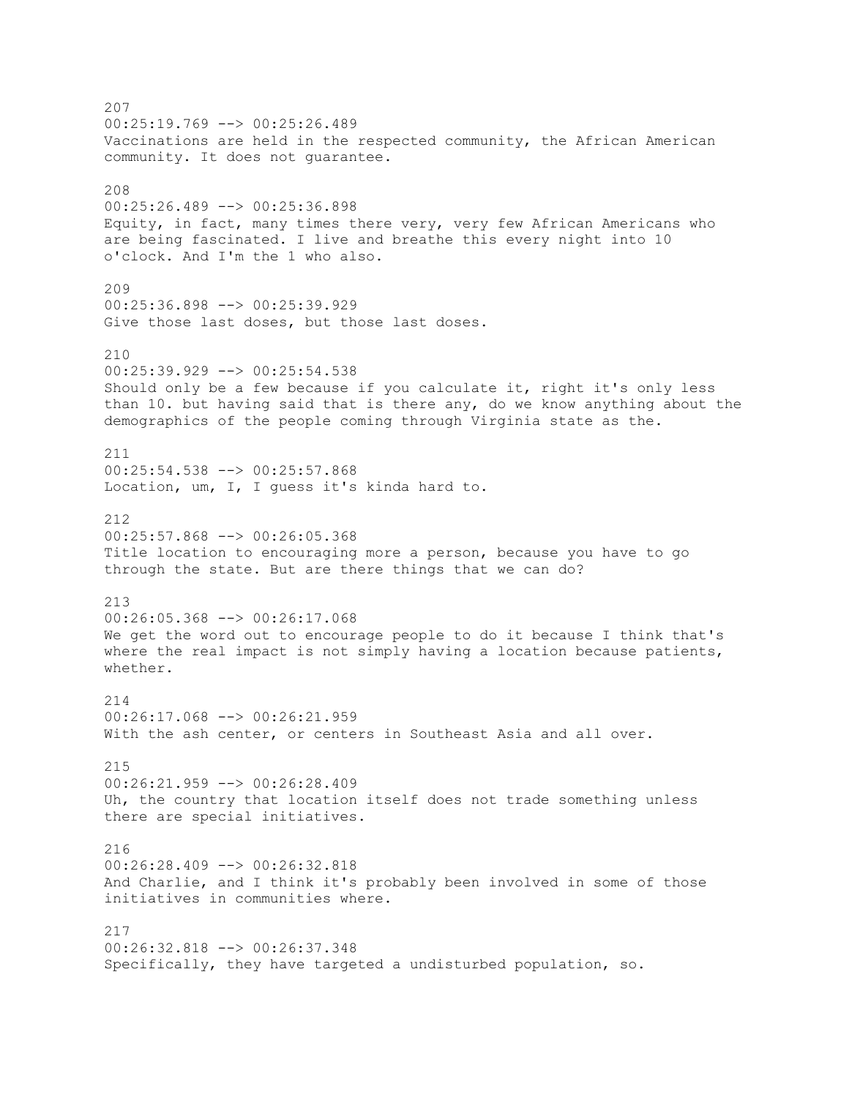207  $00:25:19.769$  -->  $00:25:26.489$ Vaccinations are held in the respected community, the African American community. It does not guarantee. 208 00:25:26.489 --> 00:25:36.898 Equity, in fact, many times there very, very few African Americans who are being fascinated. I live and breathe this every night into 10 o'clock. And I'm the 1 who also. 209 00:25:36.898 --> 00:25:39.929 Give those last doses, but those last doses. 210 00:25:39.929 --> 00:25:54.538 Should only be a few because if you calculate it, right it's only less than 10. but having said that is there any, do we know anything about the demographics of the people coming through Virginia state as the. 211 00:25:54.538 --> 00:25:57.868 Location, um, I, I guess it's kinda hard to. 212  $00:25:57.868$  -->  $00:26:05.368$ Title location to encouraging more a person, because you have to go through the state. But are there things that we can do? 213 00:26:05.368 --> 00:26:17.068 We get the word out to encourage people to do it because I think that's where the real impact is not simply having a location because patients, whether.  $214$ 00:26:17.068 --> 00:26:21.959 With the ash center, or centers in Southeast Asia and all over. 215 00:26:21.959 --> 00:26:28.409 Uh, the country that location itself does not trade something unless there are special initiatives. 216 00:26:28.409 --> 00:26:32.818 And Charlie, and I think it's probably been involved in some of those initiatives in communities where. 217 00:26:32.818 --> 00:26:37.348 Specifically, they have targeted a undisturbed population, so.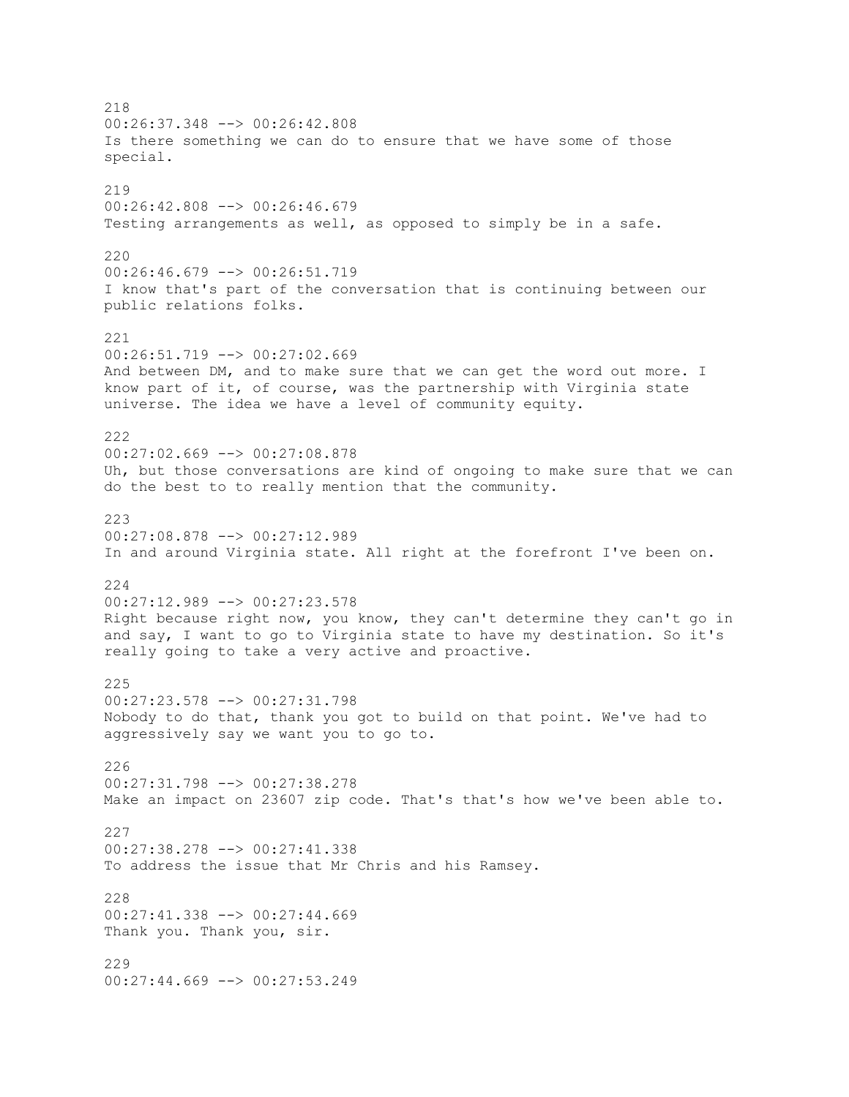218 00:26:37.348 --> 00:26:42.808 Is there something we can do to ensure that we have some of those special. 219 00:26:42.808 --> 00:26:46.679 Testing arrangements as well, as opposed to simply be in a safe. 220 00:26:46.679 --> 00:26:51.719 I know that's part of the conversation that is continuing between our public relations folks. 221  $00:26:51.719$   $\rightarrow$   $00:27:02.669$ And between DM, and to make sure that we can get the word out more. I know part of it, of course, was the partnership with Virginia state universe. The idea we have a level of community equity. 222 00:27:02.669 --> 00:27:08.878 Uh, but those conversations are kind of ongoing to make sure that we can do the best to to really mention that the community. 223 00:27:08.878 --> 00:27:12.989 In and around Virginia state. All right at the forefront I've been on. 224 00:27:12.989 --> 00:27:23.578 Right because right now, you know, they can't determine they can't go in and say, I want to go to Virginia state to have my destination. So it's really going to take a very active and proactive. 225 00:27:23.578 --> 00:27:31.798 Nobody to do that, thank you got to build on that point. We've had to aggressively say we want you to go to. 226 00:27:31.798 --> 00:27:38.278 Make an impact on 23607 zip code. That's that's how we've been able to. 227 00:27:38.278 --> 00:27:41.338 To address the issue that Mr Chris and his Ramsey.  $228$  $00:27:41.338$  -->  $00:27:44.669$ Thank you. Thank you, sir. 229 00:27:44.669 --> 00:27:53.249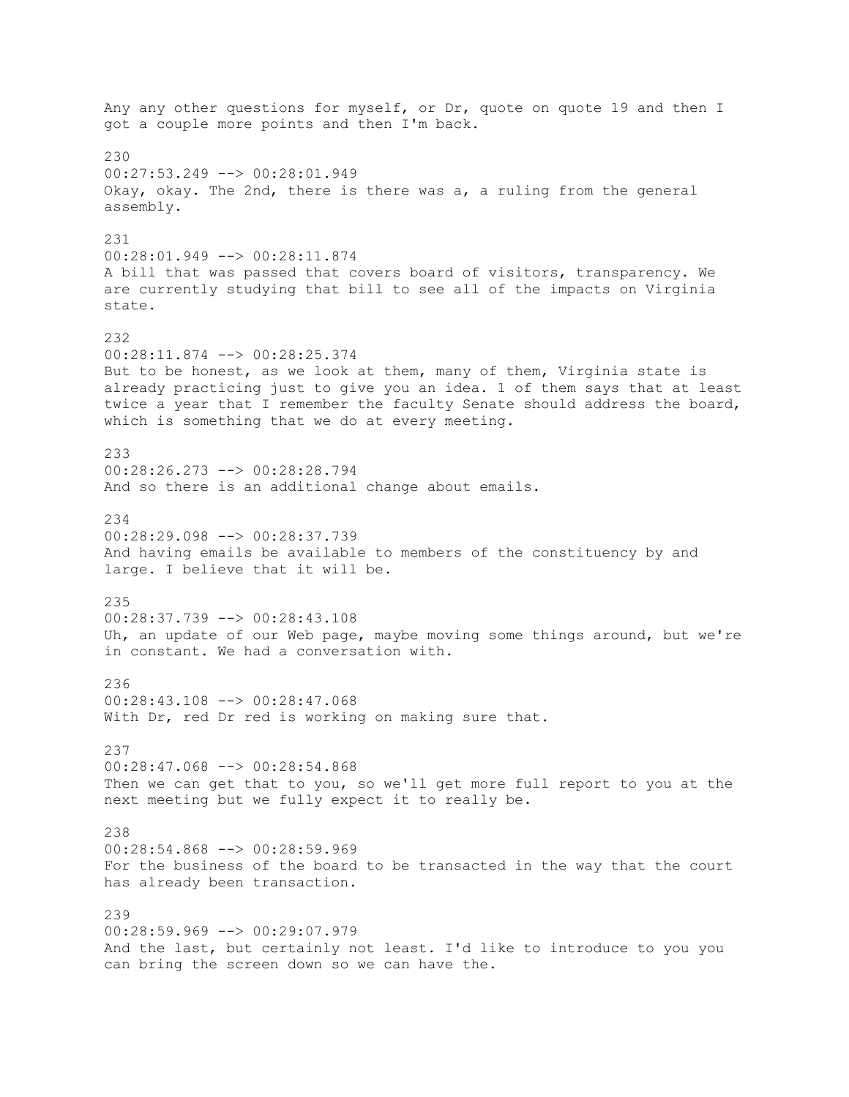Any any other questions for myself, or Dr, quote on quote 19 and then I got a couple more points and then I'm back. 230 00:27:53.249 --> 00:28:01.949 Okay, okay. The 2nd, there is there was a, a ruling from the general assembly. 231 00:28:01.949 --> 00:28:11.874 A bill that was passed that covers board of visitors, transparency. We are currently studying that bill to see all of the impacts on Virginia state. 232 00:28:11.874 --> 00:28:25.374 But to be honest, as we look at them, many of them, Virginia state is already practicing just to give you an idea. 1 of them says that at least twice a year that I remember the faculty Senate should address the board, which is something that we do at every meeting. 233 00:28:26.273 --> 00:28:28.794 And so there is an additional change about emails. 234 00:28:29.098 --> 00:28:37.739 And having emails be available to members of the constituency by and large. I believe that it will be. 235 00:28:37.739 --> 00:28:43.108 Uh, an update of our Web page, maybe moving some things around, but we're in constant. We had a conversation with. 236 00:28:43.108 --> 00:28:47.068 With Dr, red Dr red is working on making sure that. 237 00:28:47.068 --> 00:28:54.868 Then we can get that to you, so we'll get more full report to you at the next meeting but we fully expect it to really be. 238 00:28:54.868 --> 00:28:59.969 For the business of the board to be transacted in the way that the court has already been transaction. 239 00:28:59.969 --> 00:29:07.979 And the last, but certainly not least. I'd like to introduce to you you can bring the screen down so we can have the.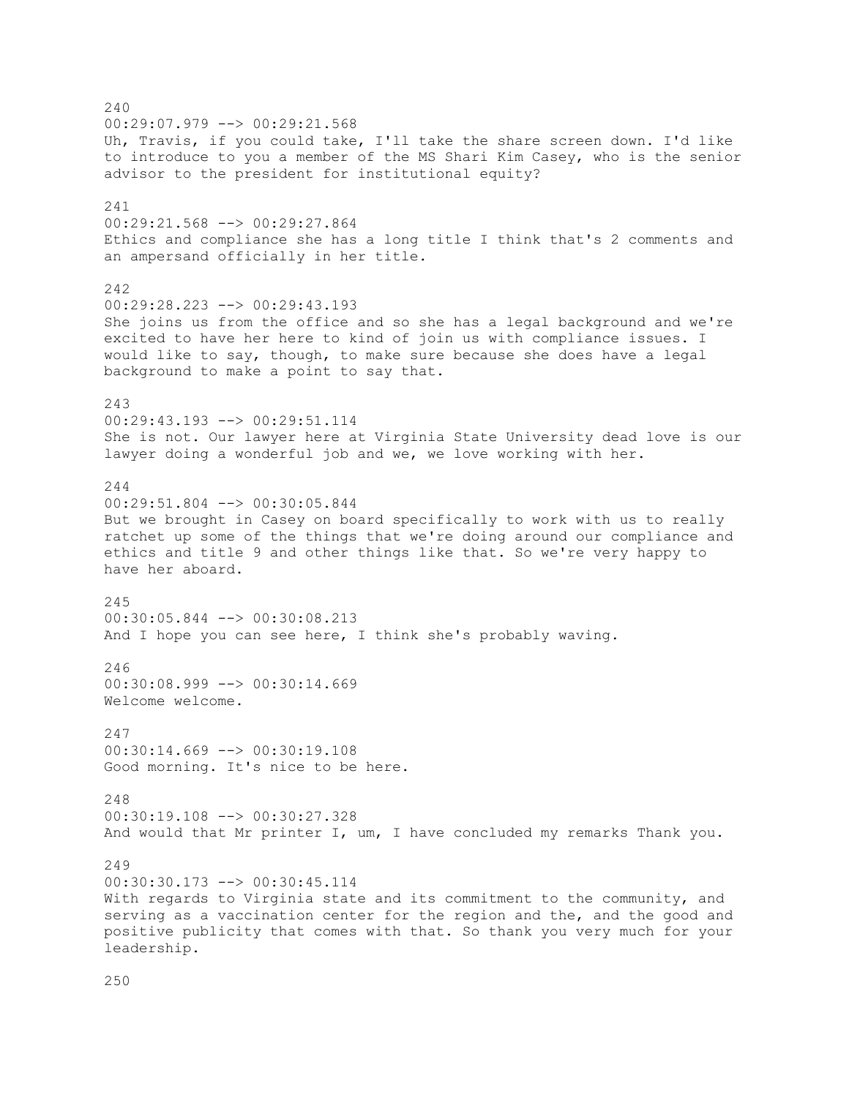240 00:29:07.979 --> 00:29:21.568 Uh, Travis, if you could take, I'll take the share screen down. I'd like to introduce to you a member of the MS Shari Kim Casey, who is the senior advisor to the president for institutional equity? 241 00:29:21.568 --> 00:29:27.864 Ethics and compliance she has a long title I think that's 2 comments and an ampersand officially in her title. 242  $00:29:28.223$  -->  $00:29:43.193$ She joins us from the office and so she has a legal background and we're excited to have her here to kind of join us with compliance issues. I would like to say, though, to make sure because she does have a legal background to make a point to say that. 243 00:29:43.193 --> 00:29:51.114 She is not. Our lawyer here at Virginia State University dead love is our lawyer doing a wonderful job and we, we love working with her. 244 00:29:51.804 --> 00:30:05.844 But we brought in Casey on board specifically to work with us to really ratchet up some of the things that we're doing around our compliance and ethics and title 9 and other things like that. So we're very happy to have her aboard. 245 00:30:05.844 --> 00:30:08.213 And I hope you can see here, I think she's probably waving. 246  $00:30:08.999$  -->  $00:30:14.669$ Welcome welcome. 247 00:30:14.669 --> 00:30:19.108 Good morning. It's nice to be here. 248 00:30:19.108 --> 00:30:27.328 And would that Mr printer I, um, I have concluded my remarks Thank you. 249 00:30:30.173 --> 00:30:45.114 With regards to Virginia state and its commitment to the community, and serving as a vaccination center for the region and the, and the good and positive publicity that comes with that. So thank you very much for your leadership.

250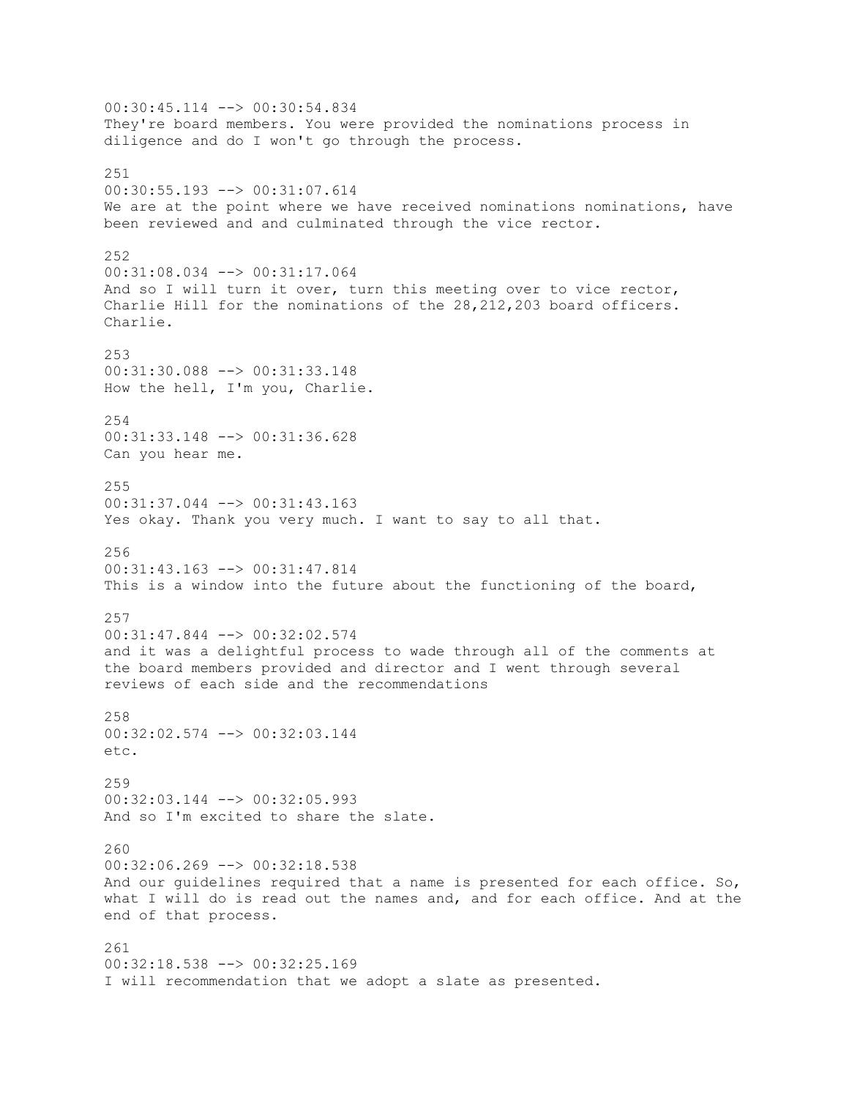00:30:45.114 --> 00:30:54.834 They're board members. You were provided the nominations process in diligence and do I won't go through the process. 251 00:30:55.193 --> 00:31:07.614 We are at the point where we have received nominations nominations, have been reviewed and and culminated through the vice rector. 252 00:31:08.034 --> 00:31:17.064 And so I will turn it over, turn this meeting over to vice rector, Charlie Hill for the nominations of the 28,212,203 board officers. Charlie. 253 00:31:30.088 --> 00:31:33.148 How the hell, I'm you, Charlie. 254 00:31:33.148 --> 00:31:36.628 Can you hear me. 255 00:31:37.044 --> 00:31:43.163 Yes okay. Thank you very much. I want to say to all that. 256 00:31:43.163 --> 00:31:47.814 This is a window into the future about the functioning of the board, 257 00:31:47.844 --> 00:32:02.574 and it was a delightful process to wade through all of the comments at the board members provided and director and I went through several reviews of each side and the recommendations 258 00:32:02.574 --> 00:32:03.144 etc. 259 00:32:03.144 --> 00:32:05.993 And so I'm excited to share the slate. 260 00:32:06.269 --> 00:32:18.538 And our guidelines required that a name is presented for each office. So, what I will do is read out the names and, and for each office. And at the end of that process. 261 00:32:18.538 --> 00:32:25.169 I will recommendation that we adopt a slate as presented.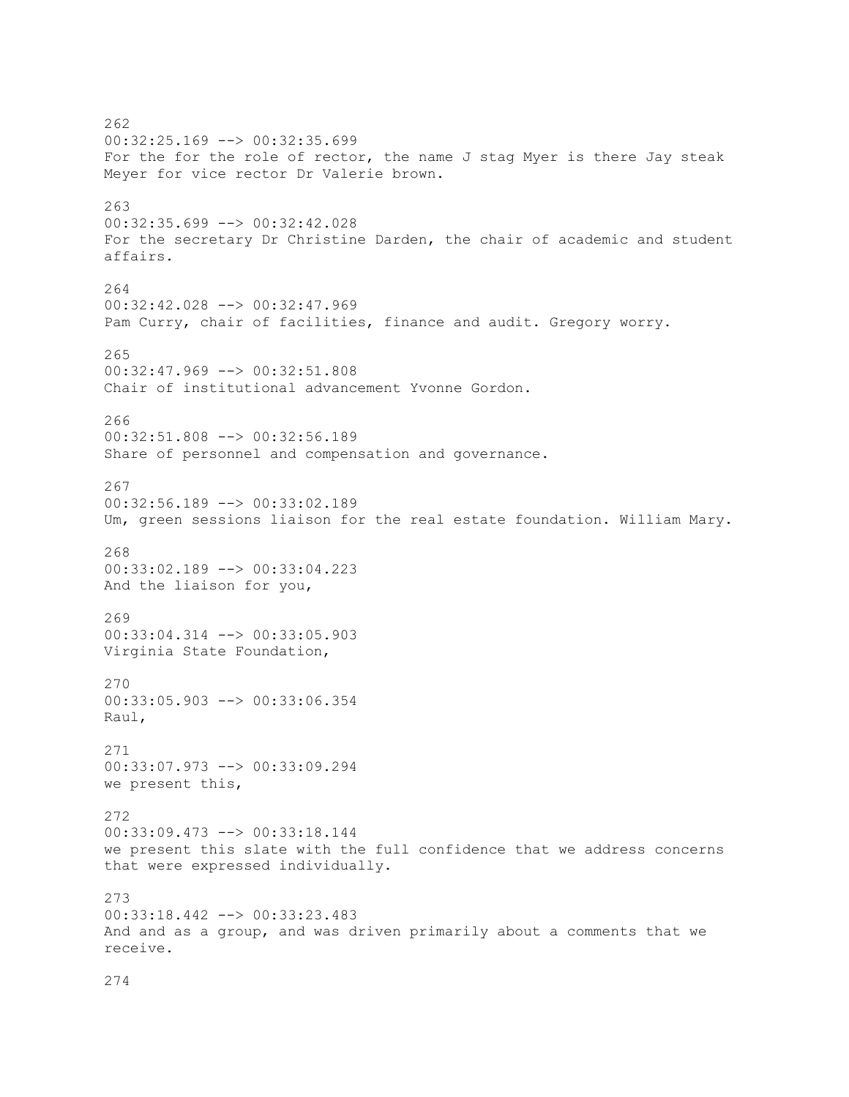262 00:32:25.169 --> 00:32:35.699 For the for the role of rector, the name J stag Myer is there Jay steak Meyer for vice rector Dr Valerie brown. 263 00:32:35.699 --> 00:32:42.028 For the secretary Dr Christine Darden, the chair of academic and student affairs. 264 00:32:42.028 --> 00:32:47.969 Pam Curry, chair of facilities, finance and audit. Gregory worry. 265 00:32:47.969 --> 00:32:51.808 Chair of institutional advancement Yvonne Gordon. 266 00:32:51.808 --> 00:32:56.189 Share of personnel and compensation and governance. 267 00:32:56.189 --> 00:33:02.189 Um, green sessions liaison for the real estate foundation. William Mary. 268 00:33:02.189 --> 00:33:04.223 And the liaison for you, 269 00:33:04.314 --> 00:33:05.903 Virginia State Foundation, 270 00:33:05.903 --> 00:33:06.354 Raul, 271 00:33:07.973 --> 00:33:09.294 we present this, 272 00:33:09.473 --> 00:33:18.144 we present this slate with the full confidence that we address concerns that were expressed individually. 273 00:33:18.442 --> 00:33:23.483 And and as a group, and was driven primarily about a comments that we receive.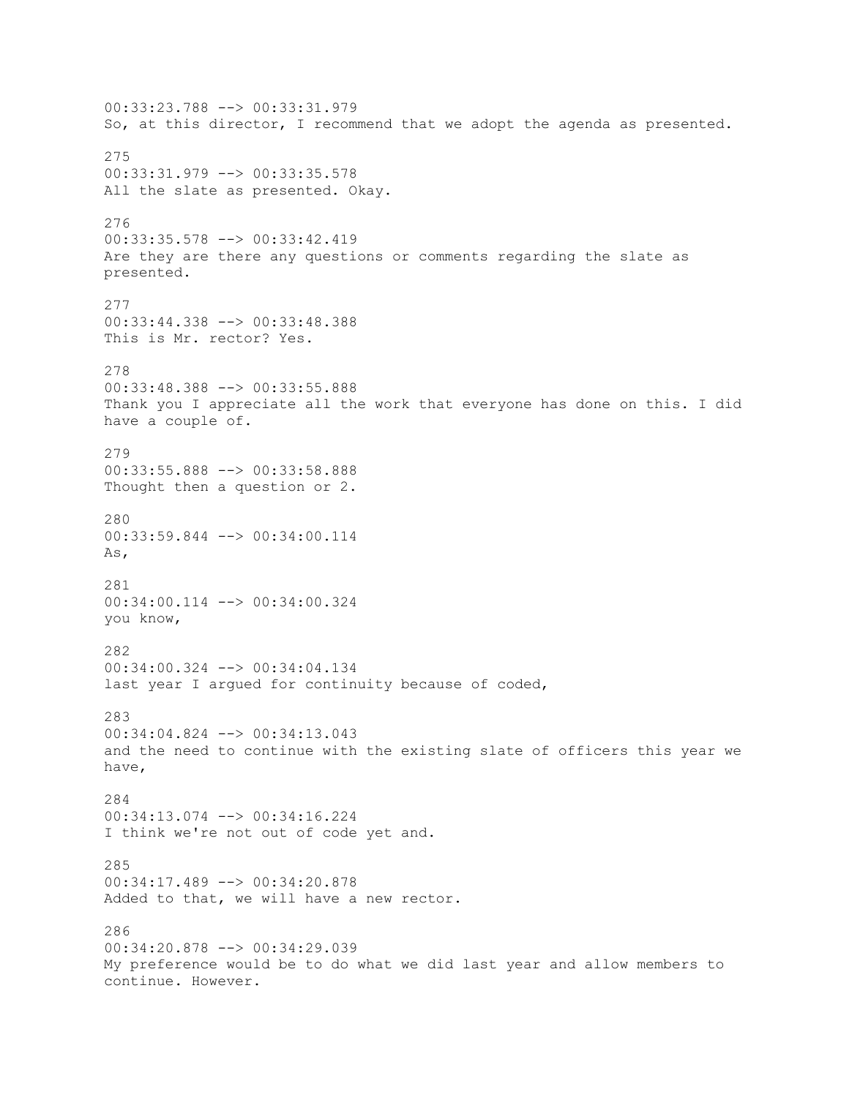00:33:23.788 --> 00:33:31.979 So, at this director, I recommend that we adopt the agenda as presented. 275 00:33:31.979 --> 00:33:35.578 All the slate as presented. Okay. 276 00:33:35.578 --> 00:33:42.419 Are they are there any questions or comments regarding the slate as presented. 277 00:33:44.338 --> 00:33:48.388 This is Mr. rector? Yes. 278 00:33:48.388 --> 00:33:55.888 Thank you I appreciate all the work that everyone has done on this. I did have a couple of. 279 00:33:55.888 --> 00:33:58.888 Thought then a question or 2. 280 00:33:59.844 --> 00:34:00.114 As, 281 00:34:00.114 --> 00:34:00.324 you know, 282 00:34:00.324 --> 00:34:04.134 last year I argued for continuity because of coded, 283 00:34:04.824 --> 00:34:13.043 and the need to continue with the existing slate of officers this year we have, 284 00:34:13.074 --> 00:34:16.224 I think we're not out of code yet and. 285 00:34:17.489 --> 00:34:20.878 Added to that, we will have a new rector. 286 00:34:20.878 --> 00:34:29.039 My preference would be to do what we did last year and allow members to continue. However.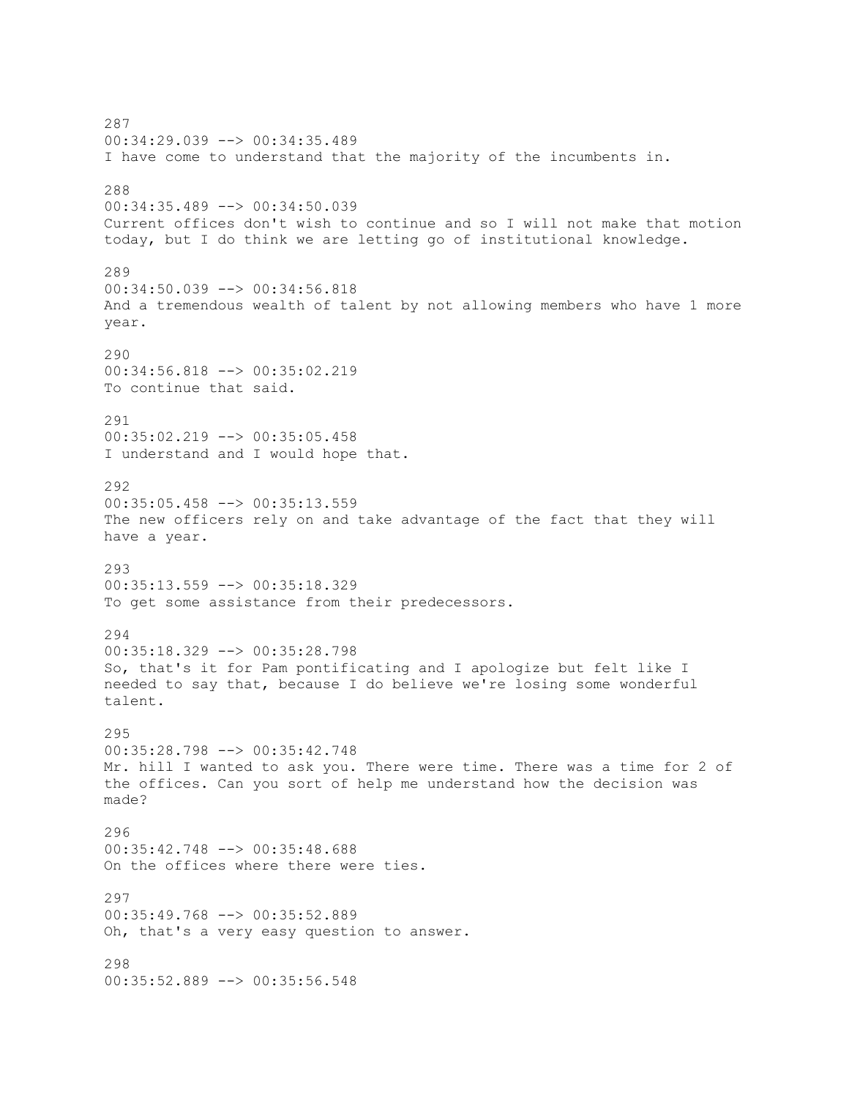287 00:34:29.039 --> 00:34:35.489 I have come to understand that the majority of the incumbents in. 288 00:34:35.489 --> 00:34:50.039 Current offices don't wish to continue and so I will not make that motion today, but I do think we are letting go of institutional knowledge. 289 00:34:50.039 --> 00:34:56.818 And a tremendous wealth of talent by not allowing members who have 1 more year. 290 00:34:56.818 --> 00:35:02.219 To continue that said. 291 00:35:02.219 --> 00:35:05.458 I understand and I would hope that. 292 00:35:05.458 --> 00:35:13.559 The new officers rely on and take advantage of the fact that they will have a year. 293 00:35:13.559 --> 00:35:18.329 To get some assistance from their predecessors. 294  $00:35:18.329$  -->  $00:35:28.798$ So, that's it for Pam pontificating and I apologize but felt like I needed to say that, because I do believe we're losing some wonderful talent. 295 00:35:28.798 --> 00:35:42.748 Mr. hill I wanted to ask you. There were time. There was a time for 2 of the offices. Can you sort of help me understand how the decision was made? 296 00:35:42.748 --> 00:35:48.688 On the offices where there were ties.  $297$ 00:35:49.768 --> 00:35:52.889 Oh, that's a very easy question to answer. 298 00:35:52.889 --> 00:35:56.548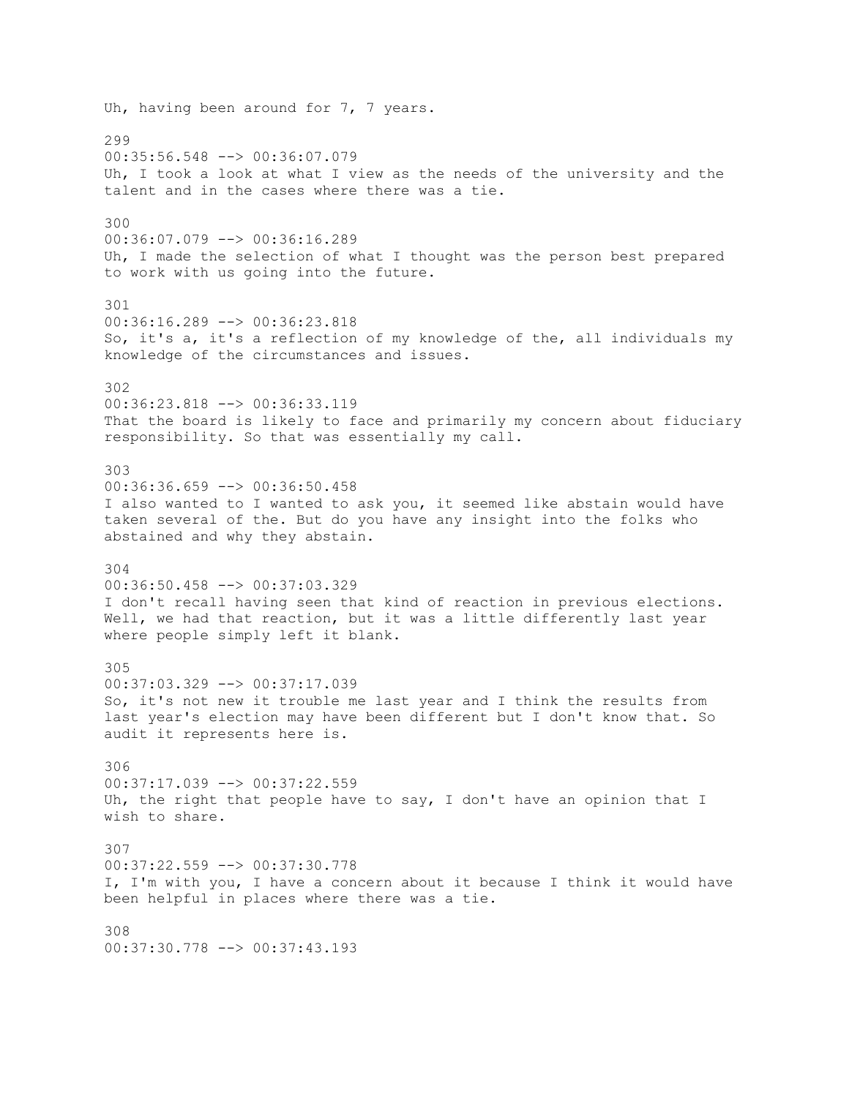Uh, having been around for 7, 7 years. 299 00:35:56.548 --> 00:36:07.079 Uh, I took a look at what I view as the needs of the university and the talent and in the cases where there was a tie. 300 00:36:07.079 --> 00:36:16.289 Uh, I made the selection of what I thought was the person best prepared to work with us going into the future. 301 00:36:16.289 --> 00:36:23.818 So, it's a, it's a reflection of my knowledge of the, all individuals my knowledge of the circumstances and issues. 302 00:36:23.818 --> 00:36:33.119 That the board is likely to face and primarily my concern about fiduciary responsibility. So that was essentially my call. 303 00:36:36.659 --> 00:36:50.458 I also wanted to I wanted to ask you, it seemed like abstain would have taken several of the. But do you have any insight into the folks who abstained and why they abstain. 304 00:36:50.458 --> 00:37:03.329 I don't recall having seen that kind of reaction in previous elections. Well, we had that reaction, but it was a little differently last year where people simply left it blank. 305 00:37:03.329 --> 00:37:17.039 So, it's not new it trouble me last year and I think the results from last year's election may have been different but I don't know that. So audit it represents here is. 306 00:37:17.039 --> 00:37:22.559 Uh, the right that people have to say, I don't have an opinion that I wish to share. 307 00:37:22.559 --> 00:37:30.778 I, I'm with you, I have a concern about it because I think it would have been helpful in places where there was a tie. 308 00:37:30.778 --> 00:37:43.193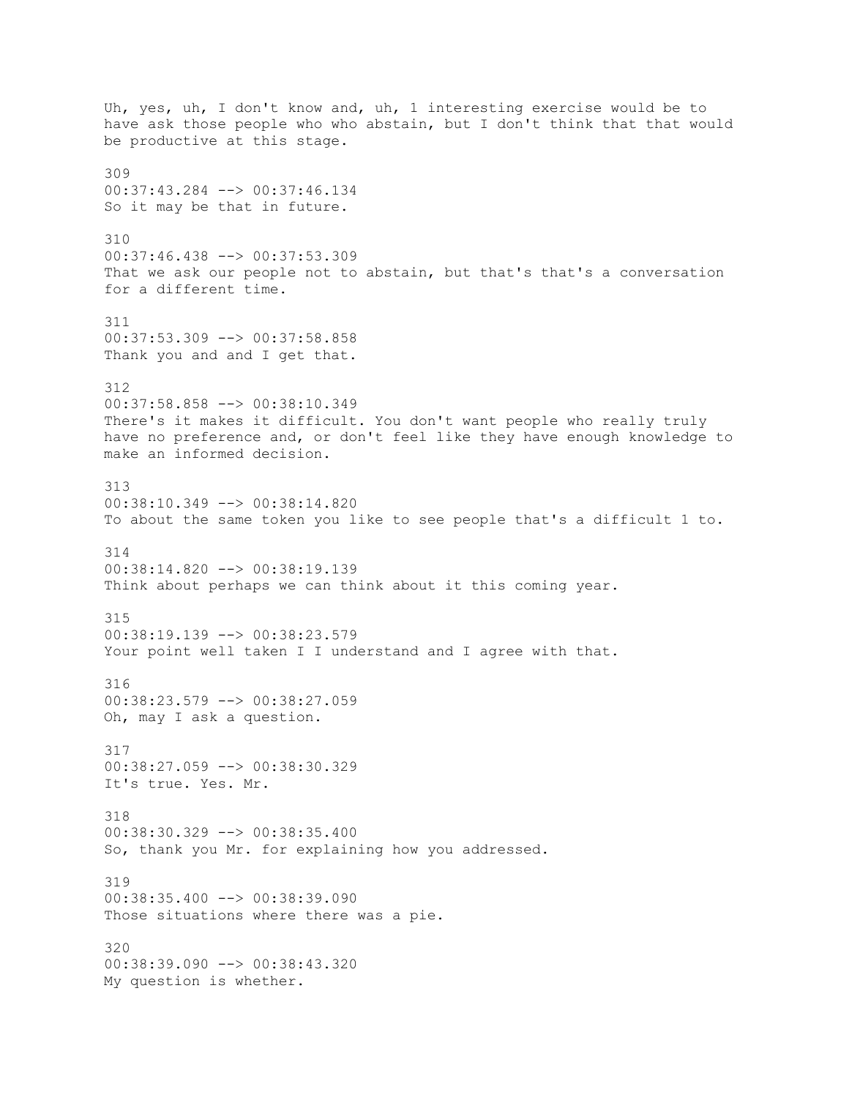Uh, yes, uh, I don't know and, uh, 1 interesting exercise would be to have ask those people who who abstain, but I don't think that that would be productive at this stage. 309 00:37:43.284 --> 00:37:46.134 So it may be that in future. 310 00:37:46.438 --> 00:37:53.309 That we ask our people not to abstain, but that's that's a conversation for a different time. 311 00:37:53.309 --> 00:37:58.858 Thank you and and I get that. 312 00:37:58.858 --> 00:38:10.349 There's it makes it difficult. You don't want people who really truly have no preference and, or don't feel like they have enough knowledge to make an informed decision. 313 00:38:10.349 --> 00:38:14.820 To about the same token you like to see people that's a difficult 1 to. 314 00:38:14.820 --> 00:38:19.139 Think about perhaps we can think about it this coming year. 315 00:38:19.139 --> 00:38:23.579 Your point well taken I I understand and I agree with that. 316 00:38:23.579 --> 00:38:27.059 Oh, may I ask a question. 317 00:38:27.059 --> 00:38:30.329 It's true. Yes. Mr. 318 00:38:30.329 --> 00:38:35.400 So, thank you Mr. for explaining how you addressed. 319 00:38:35.400 --> 00:38:39.090 Those situations where there was a pie. 320 00:38:39.090 --> 00:38:43.320 My question is whether.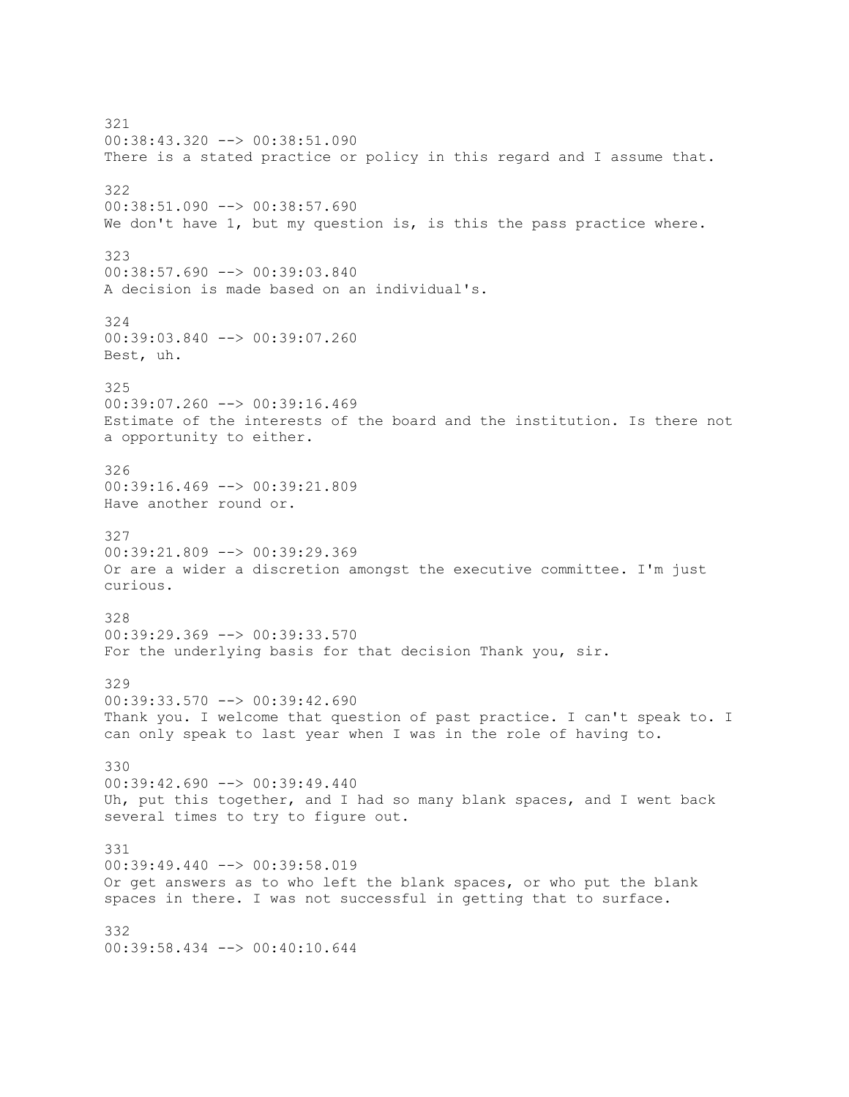321 00:38:43.320 --> 00:38:51.090 There is a stated practice or policy in this regard and I assume that. 322 00:38:51.090 --> 00:38:57.690 We don't have 1, but my question is, is this the pass practice where. 323 00:38:57.690 --> 00:39:03.840 A decision is made based on an individual's. 324 00:39:03.840 --> 00:39:07.260 Best, uh. 325 00:39:07.260 --> 00:39:16.469 Estimate of the interests of the board and the institution. Is there not a opportunity to either. 326 00:39:16.469 --> 00:39:21.809 Have another round or. 327 00:39:21.809 --> 00:39:29.369 Or are a wider a discretion amongst the executive committee. I'm just curious. 328 00:39:29.369 --> 00:39:33.570 For the underlying basis for that decision Thank you, sir. 329 00:39:33.570 --> 00:39:42.690 Thank you. I welcome that question of past practice. I can't speak to. I can only speak to last year when I was in the role of having to. 330  $00:39:42.690$  -->  $00:39:49.440$ Uh, put this together, and I had so many blank spaces, and I went back several times to try to figure out. 331 00:39:49.440 --> 00:39:58.019 Or get answers as to who left the blank spaces, or who put the blank spaces in there. I was not successful in getting that to surface. 332 00:39:58.434 --> 00:40:10.644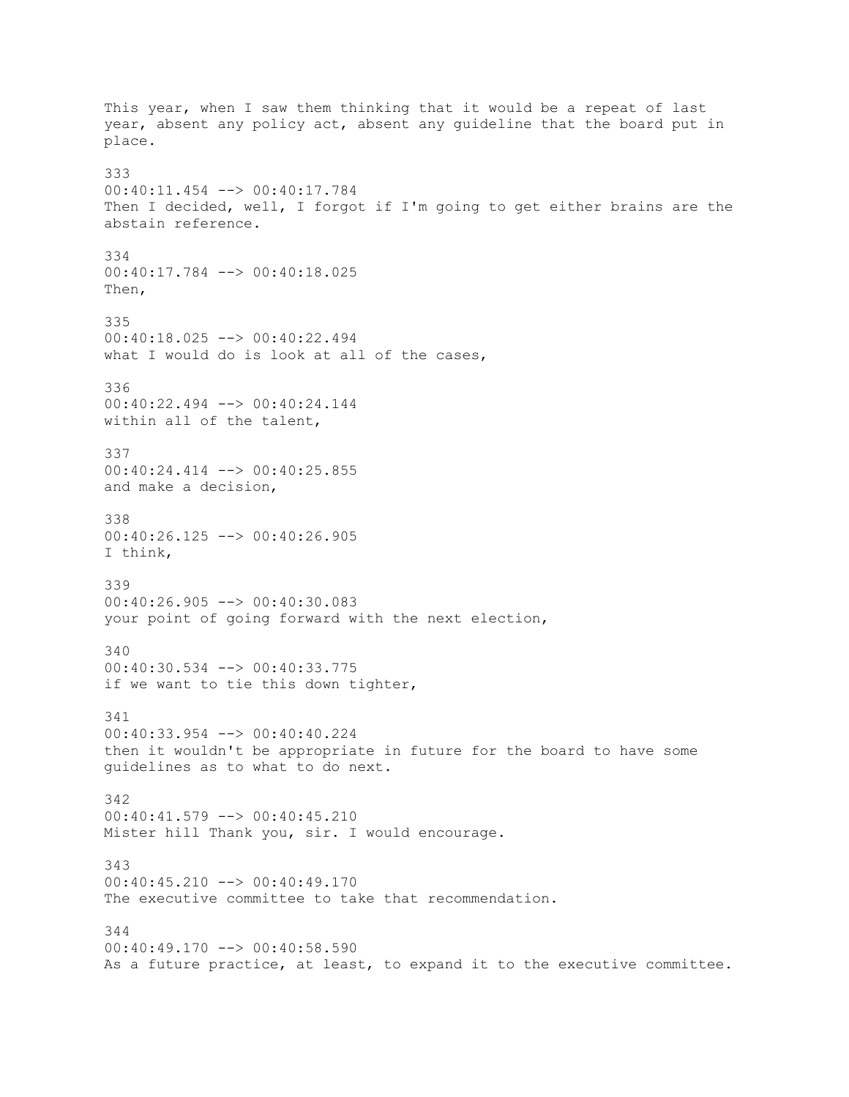This year, when I saw them thinking that it would be a repeat of last year, absent any policy act, absent any guideline that the board put in place. 333 00:40:11.454 --> 00:40:17.784 Then I decided, well, I forgot if I'm going to get either brains are the abstain reference. 334 00:40:17.784 --> 00:40:18.025 Then, 335 00:40:18.025 --> 00:40:22.494 what I would do is look at all of the cases, 336 00:40:22.494 --> 00:40:24.144 within all of the talent, 337 00:40:24.414 --> 00:40:25.855 and make a decision, 338 00:40:26.125 --> 00:40:26.905 I think, 339 00:40:26.905 --> 00:40:30.083 your point of going forward with the next election, 340 00:40:30.534 --> 00:40:33.775 if we want to tie this down tighter, 341 00:40:33.954 --> 00:40:40.224 then it wouldn't be appropriate in future for the board to have some guidelines as to what to do next. 342 00:40:41.579 --> 00:40:45.210 Mister hill Thank you, sir. I would encourage. 343 00:40:45.210 --> 00:40:49.170 The executive committee to take that recommendation. 344  $00:40:49.170$   $\longrightarrow$  00:40:58.590 As a future practice, at least, to expand it to the executive committee.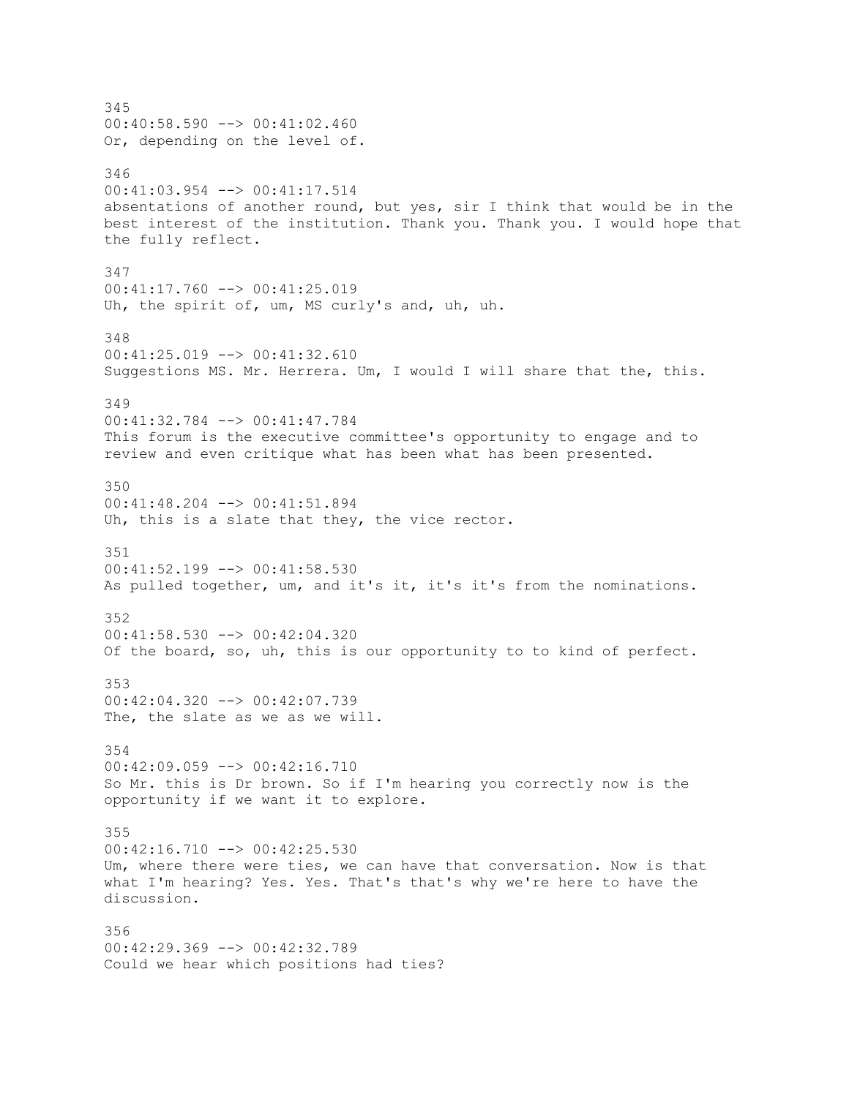345  $00:40:58.590$  -->  $00:41:02.460$ Or, depending on the level of. 346 00:41:03.954 --> 00:41:17.514 absentations of another round, but yes, sir I think that would be in the best interest of the institution. Thank you. Thank you. I would hope that the fully reflect. 347 00:41:17.760 --> 00:41:25.019 Uh, the spirit of, um, MS curly's and, uh, uh. 348 00:41:25.019 --> 00:41:32.610 Suggestions MS. Mr. Herrera. Um, I would I will share that the, this. 349 00:41:32.784 --> 00:41:47.784 This forum is the executive committee's opportunity to engage and to review and even critique what has been what has been presented. 350 00:41:48.204 --> 00:41:51.894 Uh, this is a slate that they, the vice rector. 351 00:41:52.199 --> 00:41:58.530 As pulled together, um, and it's it, it's it's from the nominations. 352 00:41:58.530 --> 00:42:04.320 Of the board, so, uh, this is our opportunity to to kind of perfect. 353 00:42:04.320 --> 00:42:07.739 The, the slate as we as we will. 354 00:42:09.059 --> 00:42:16.710 So Mr. this is Dr brown. So if I'm hearing you correctly now is the opportunity if we want it to explore. 355 00:42:16.710 --> 00:42:25.530 Um, where there were ties, we can have that conversation. Now is that what I'm hearing? Yes. Yes. That's that's why we're here to have the discussion. 356 00:42:29.369 --> 00:42:32.789 Could we hear which positions had ties?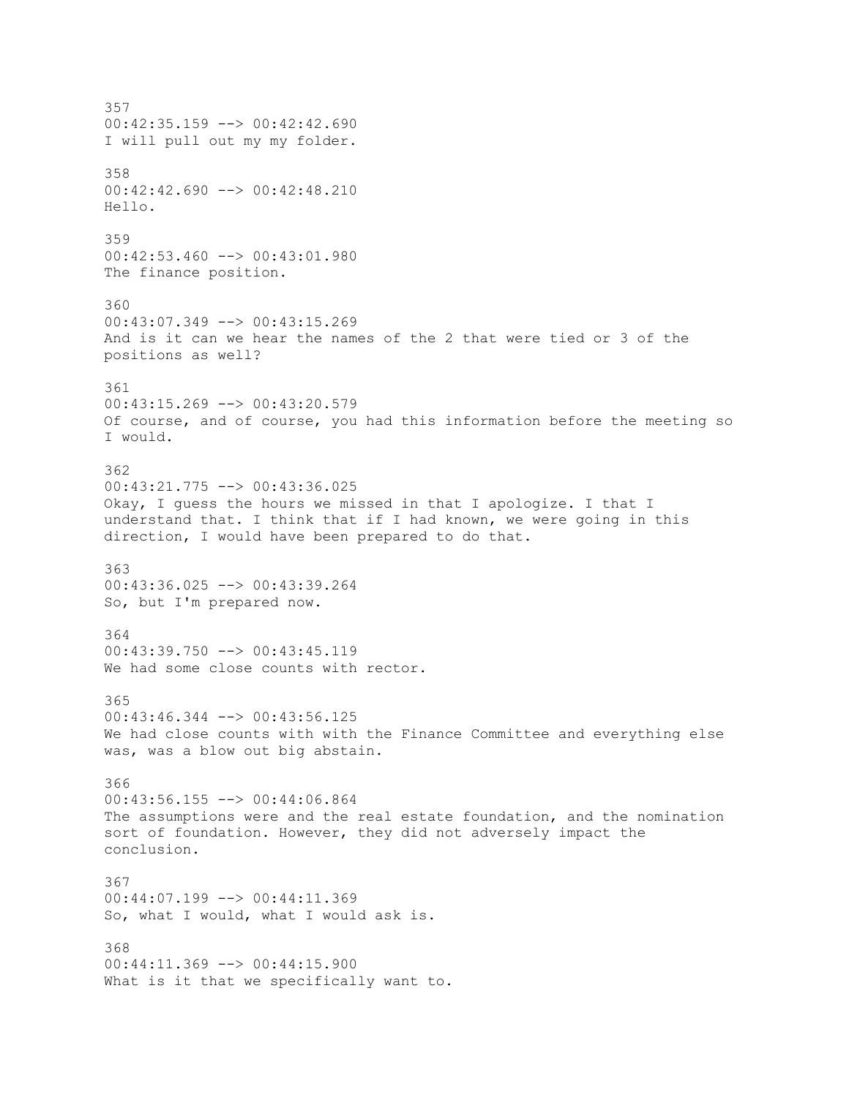357  $00:42:35.159$  -->  $00:42:42.690$ I will pull out my my folder. 358 00:42:42.690 --> 00:42:48.210 Hello. 359 00:42:53.460 --> 00:43:01.980 The finance position. 360 00:43:07.349 --> 00:43:15.269 And is it can we hear the names of the 2 that were tied or 3 of the positions as well? 361 00:43:15.269 --> 00:43:20.579 Of course, and of course, you had this information before the meeting so I would. 362 00:43:21.775 --> 00:43:36.025 Okay, I guess the hours we missed in that I apologize. I that I understand that. I think that if I had known, we were going in this direction, I would have been prepared to do that. 363 00:43:36.025 --> 00:43:39.264 So, but I'm prepared now. 364  $00:43:39.750$  -->  $00:43:45.119$ We had some close counts with rector. 365 00:43:46.344 --> 00:43:56.125 We had close counts with with the Finance Committee and everything else was, was a blow out big abstain. 366 00:43:56.155 --> 00:44:06.864 The assumptions were and the real estate foundation, and the nomination sort of foundation. However, they did not adversely impact the conclusion. 367 00:44:07.199 --> 00:44:11.369 So, what I would, what I would ask is. 368 00:44:11.369 --> 00:44:15.900 What is it that we specifically want to.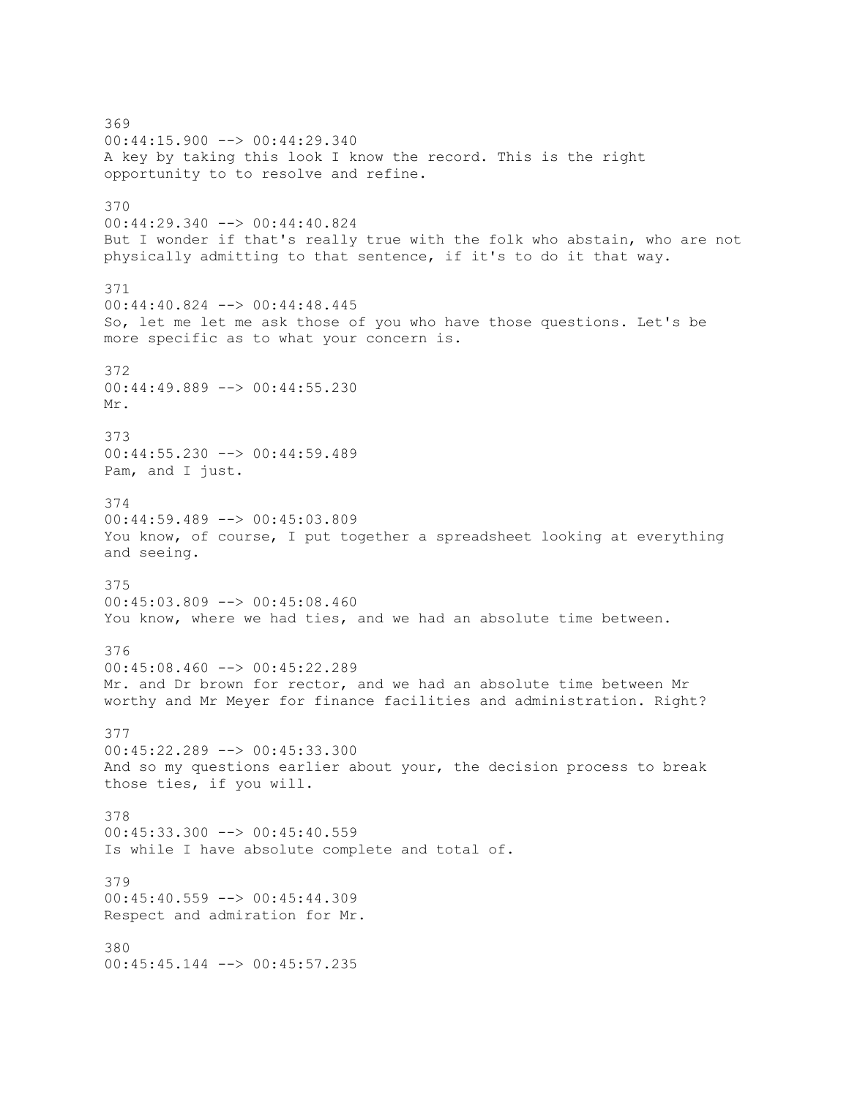369 00:44:15.900 --> 00:44:29.340 A key by taking this look I know the record. This is the right opportunity to to resolve and refine. 370 00:44:29.340 --> 00:44:40.824 But I wonder if that's really true with the folk who abstain, who are not physically admitting to that sentence, if it's to do it that way. 371 00:44:40.824 --> 00:44:48.445 So, let me let me ask those of you who have those questions. Let's be more specific as to what your concern is. 372 00:44:49.889 --> 00:44:55.230 Mr. 373 00:44:55.230 --> 00:44:59.489 Pam, and I just. 374 00:44:59.489 --> 00:45:03.809 You know, of course, I put together a spreadsheet looking at everything and seeing. 375 00:45:03.809 --> 00:45:08.460 You know, where we had ties, and we had an absolute time between. 376 00:45:08.460 --> 00:45:22.289 Mr. and Dr brown for rector, and we had an absolute time between Mr worthy and Mr Meyer for finance facilities and administration. Right? 377 00:45:22.289 --> 00:45:33.300 And so my questions earlier about your, the decision process to break those ties, if you will. 378 00:45:33.300 --> 00:45:40.559 Is while I have absolute complete and total of. 379 00:45:40.559 --> 00:45:44.309 Respect and admiration for Mr. 380 00:45:45.144 --> 00:45:57.235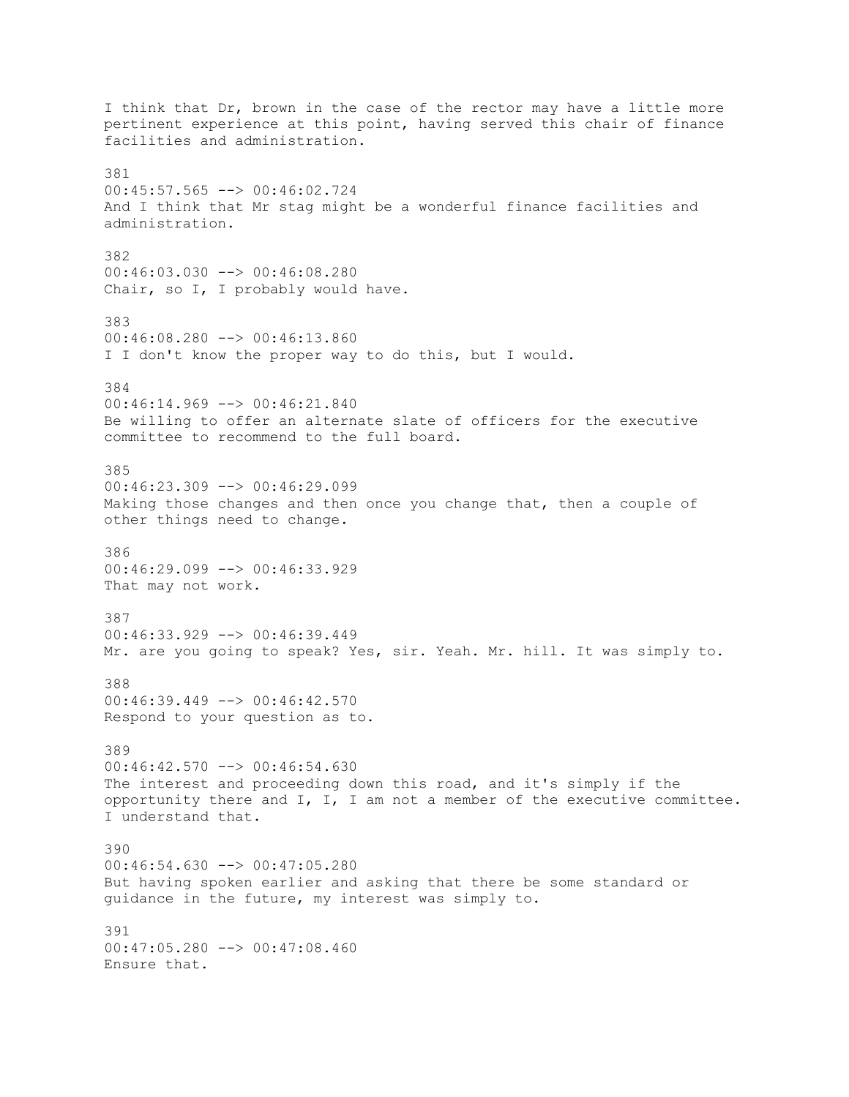I think that Dr, brown in the case of the rector may have a little more pertinent experience at this point, having served this chair of finance facilities and administration. 381 00:45:57.565 --> 00:46:02.724 And I think that Mr stag might be a wonderful finance facilities and administration. 382 00:46:03.030 --> 00:46:08.280 Chair, so I, I probably would have. 383 00:46:08.280 --> 00:46:13.860 I I don't know the proper way to do this, but I would. 384 00:46:14.969 --> 00:46:21.840 Be willing to offer an alternate slate of officers for the executive committee to recommend to the full board. 385  $00:46:23.309$  -->  $00:46:29.099$ Making those changes and then once you change that, then a couple of other things need to change. 386 00:46:29.099 --> 00:46:33.929 That may not work. 387 00:46:33.929 --> 00:46:39.449 Mr. are you going to speak? Yes, sir. Yeah. Mr. hill. It was simply to. 388 00:46:39.449 --> 00:46:42.570 Respond to your question as to. 389 00:46:42.570 --> 00:46:54.630 The interest and proceeding down this road, and it's simply if the opportunity there and I, I, I am not a member of the executive committee. I understand that. 390 00:46:54.630 --> 00:47:05.280 But having spoken earlier and asking that there be some standard or guidance in the future, my interest was simply to. 391 00:47:05.280 --> 00:47:08.460 Ensure that.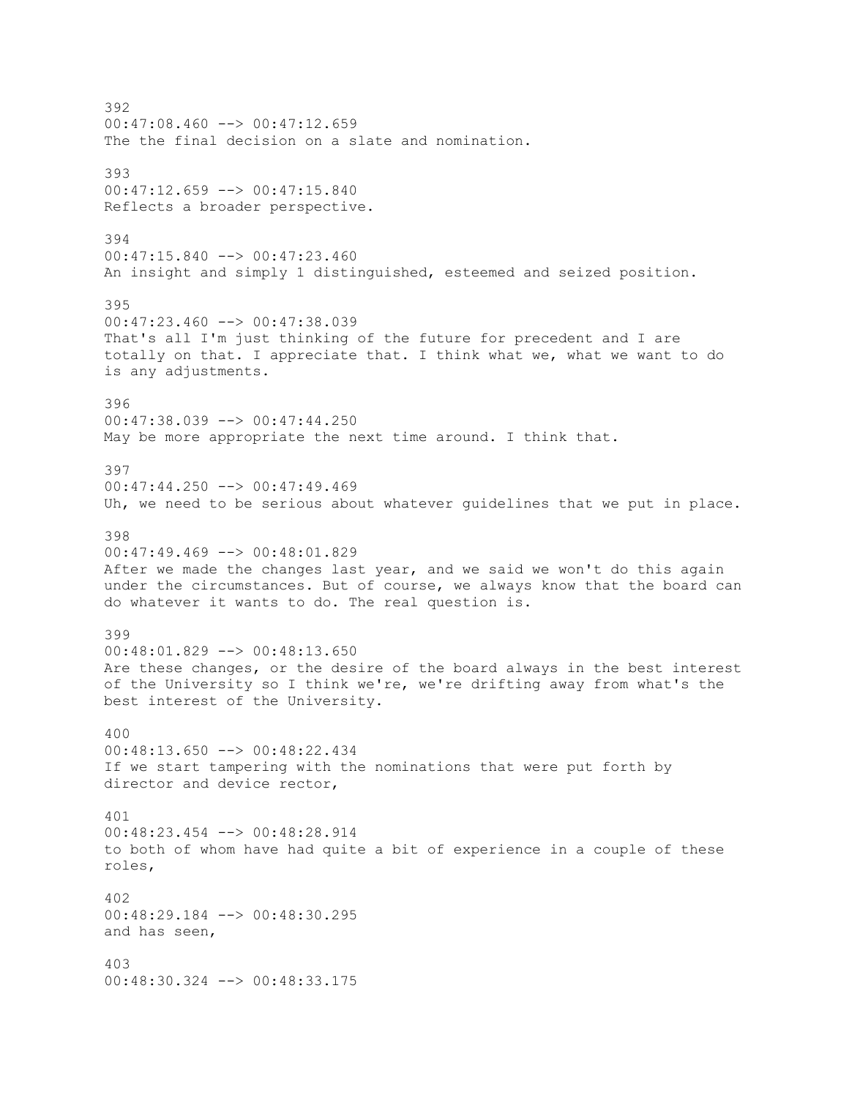392  $00:47:08.460$  -->  $00:47:12.659$ The the final decision on a slate and nomination. 393 00:47:12.659 --> 00:47:15.840 Reflects a broader perspective. 394 00:47:15.840 --> 00:47:23.460 An insight and simply 1 distinguished, esteemed and seized position. 395 00:47:23.460 --> 00:47:38.039 That's all I'm just thinking of the future for precedent and I are totally on that. I appreciate that. I think what we, what we want to do is any adjustments. 396 00:47:38.039 --> 00:47:44.250 May be more appropriate the next time around. I think that. 397  $00:47:44.250$  -->  $00:47:49.469$ Uh, we need to be serious about whatever guidelines that we put in place. 398 00:47:49.469 --> 00:48:01.829 After we made the changes last year, and we said we won't do this again under the circumstances. But of course, we always know that the board can do whatever it wants to do. The real question is. 399  $00:48:01.829$  -->  $00:48:13.650$ Are these changes, or the desire of the board always in the best interest of the University so I think we're, we're drifting away from what's the best interest of the University. 400 00:48:13.650 --> 00:48:22.434 If we start tampering with the nominations that were put forth by director and device rector, 401 00:48:23.454 --> 00:48:28.914 to both of whom have had quite a bit of experience in a couple of these roles, 402 00:48:29.184 --> 00:48:30.295 and has seen, 403 00:48:30.324 --> 00:48:33.175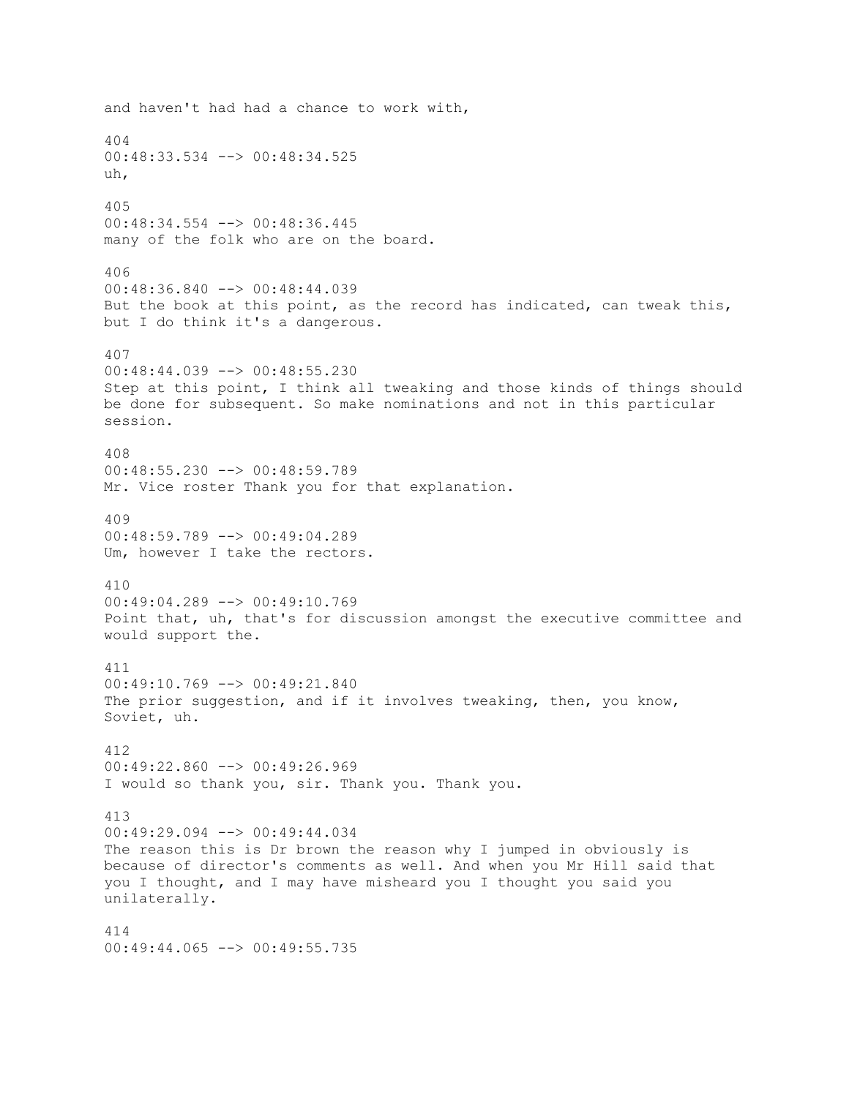and haven't had had a chance to work with, 404 00:48:33.534 --> 00:48:34.525 uh, 405 00:48:34.554 --> 00:48:36.445 many of the folk who are on the board. 406 00:48:36.840 --> 00:48:44.039 But the book at this point, as the record has indicated, can tweak this, but I do think it's a dangerous. 407 00:48:44.039 --> 00:48:55.230 Step at this point, I think all tweaking and those kinds of things should be done for subsequent. So make nominations and not in this particular session. 408 00:48:55.230 --> 00:48:59.789 Mr. Vice roster Thank you for that explanation. 409 00:48:59.789 --> 00:49:04.289 Um, however I take the rectors. 410 00:49:04.289 --> 00:49:10.769 Point that, uh, that's for discussion amongst the executive committee and would support the. 411  $00:49:10.769$  -->  $00:49:21.840$ The prior suggestion, and if it involves tweaking, then, you know, Soviet, uh. 412 00:49:22.860 --> 00:49:26.969 I would so thank you, sir. Thank you. Thank you. 413 00:49:29.094 --> 00:49:44.034 The reason this is Dr brown the reason why I jumped in obviously is because of director's comments as well. And when you Mr Hill said that you I thought, and I may have misheard you I thought you said you unilaterally. 414  $00:49:44.065$  -->  $00:49:55.735$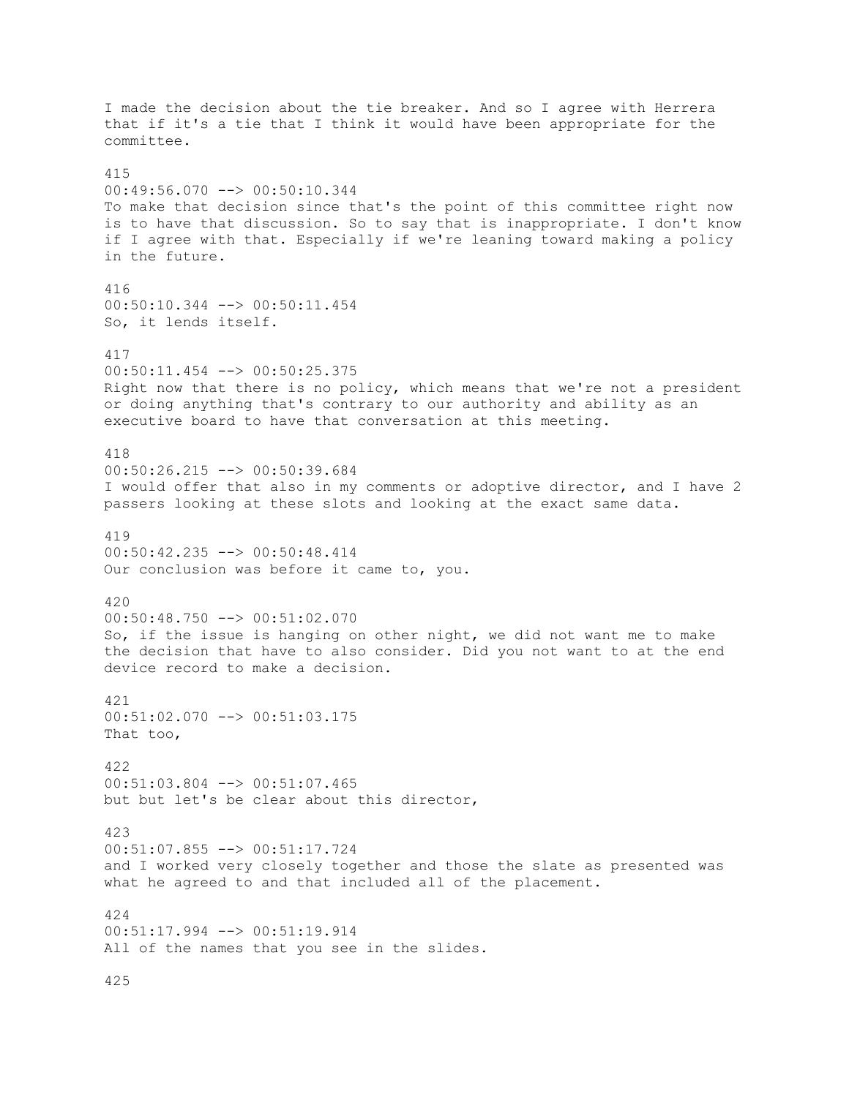I made the decision about the tie breaker. And so I agree with Herrera that if it's a tie that I think it would have been appropriate for the committee. 415 00:49:56.070 --> 00:50:10.344 To make that decision since that's the point of this committee right now is to have that discussion. So to say that is inappropriate. I don't know if I agree with that. Especially if we're leaning toward making a policy in the future. 416 00:50:10.344 --> 00:50:11.454 So, it lends itself. 417 00:50:11.454 --> 00:50:25.375 Right now that there is no policy, which means that we're not a president or doing anything that's contrary to our authority and ability as an executive board to have that conversation at this meeting. 418 00:50:26.215 --> 00:50:39.684 I would offer that also in my comments or adoptive director, and I have 2 passers looking at these slots and looking at the exact same data. 419 00:50:42.235 --> 00:50:48.414 Our conclusion was before it came to, you. 420 00:50:48.750 --> 00:51:02.070 So, if the issue is hanging on other night, we did not want me to make the decision that have to also consider. Did you not want to at the end device record to make a decision. 421 00:51:02.070 --> 00:51:03.175 That too, 422  $00:51:03.804$   $\rightarrow$   $00:51:07.465$ but but let's be clear about this director, 423 00:51:07.855 --> 00:51:17.724 and I worked very closely together and those the slate as presented was what he agreed to and that included all of the placement. 424 00:51:17.994 --> 00:51:19.914 All of the names that you see in the slides.

425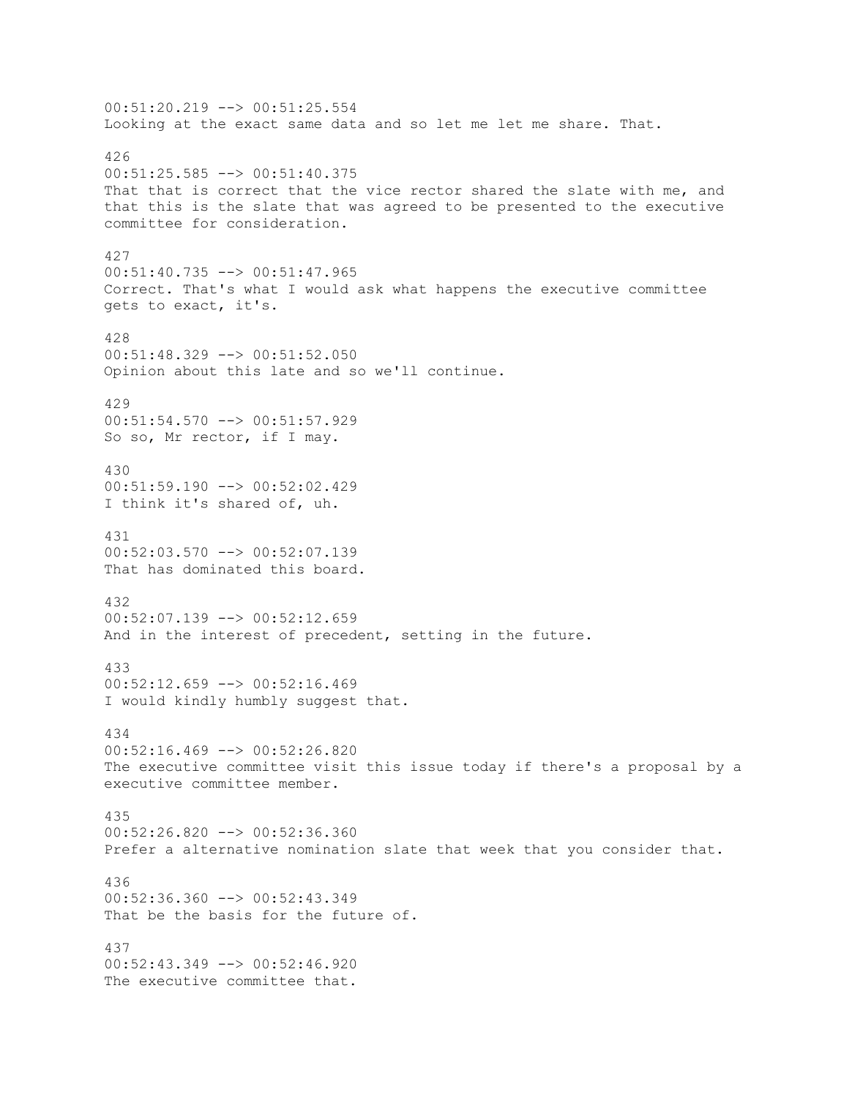00:51:20.219 --> 00:51:25.554 Looking at the exact same data and so let me let me share. That. 426 00:51:25.585 --> 00:51:40.375 That that is correct that the vice rector shared the slate with me, and that this is the slate that was agreed to be presented to the executive committee for consideration. 427 00:51:40.735 --> 00:51:47.965 Correct. That's what I would ask what happens the executive committee gets to exact, it's. 428 00:51:48.329 --> 00:51:52.050 Opinion about this late and so we'll continue. 429 00:51:54.570 --> 00:51:57.929 So so, Mr rector, if I may. 430 00:51:59.190 --> 00:52:02.429 I think it's shared of, uh. 431 00:52:03.570 --> 00:52:07.139 That has dominated this board. 432 00:52:07.139 --> 00:52:12.659 And in the interest of precedent, setting in the future. 433  $00:52:12.659$  -->  $00:52:16.469$ I would kindly humbly suggest that. 434 00:52:16.469 --> 00:52:26.820 The executive committee visit this issue today if there's a proposal by a executive committee member. 435  $00:52:26.820$  -->  $00:52:36.360$ Prefer a alternative nomination slate that week that you consider that. 436 00:52:36.360 --> 00:52:43.349 That be the basis for the future of. 437 00:52:43.349 --> 00:52:46.920 The executive committee that.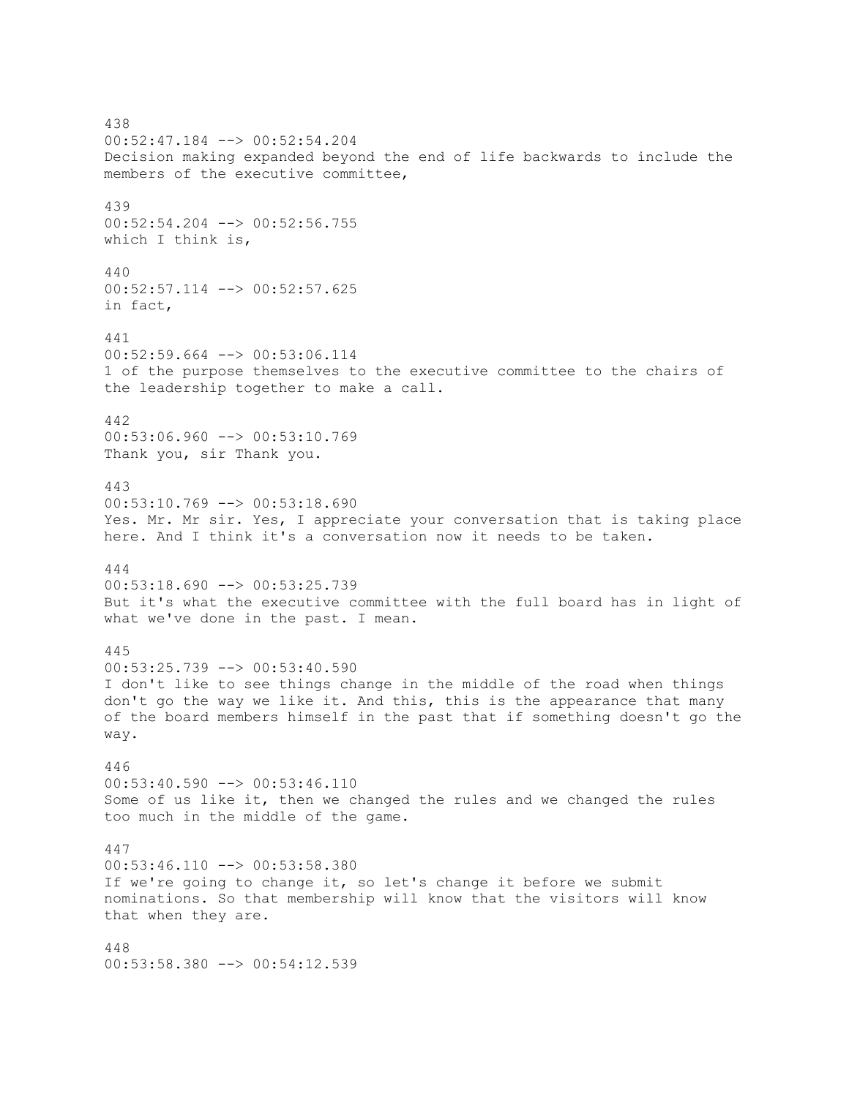438 00:52:47.184 --> 00:52:54.204 Decision making expanded beyond the end of life backwards to include the members of the executive committee, 439 00:52:54.204 --> 00:52:56.755 which I think is, 440 00:52:57.114 --> 00:52:57.625 in fact, 441 00:52:59.664 --> 00:53:06.114 1 of the purpose themselves to the executive committee to the chairs of the leadership together to make a call. 442 00:53:06.960 --> 00:53:10.769 Thank you, sir Thank you. 443 00:53:10.769 --> 00:53:18.690 Yes. Mr. Mr sir. Yes, I appreciate your conversation that is taking place here. And I think it's a conversation now it needs to be taken. 444 00:53:18.690 --> 00:53:25.739 But it's what the executive committee with the full board has in light of what we've done in the past. I mean. 445 00:53:25.739 --> 00:53:40.590 I don't like to see things change in the middle of the road when things don't go the way we like it. And this, this is the appearance that many of the board members himself in the past that if something doesn't go the way. 446 00:53:40.590 --> 00:53:46.110 Some of us like it, then we changed the rules and we changed the rules too much in the middle of the game. 447 00:53:46.110 --> 00:53:58.380 If we're going to change it, so let's change it before we submit nominations. So that membership will know that the visitors will know that when they are. 448 00:53:58.380 --> 00:54:12.539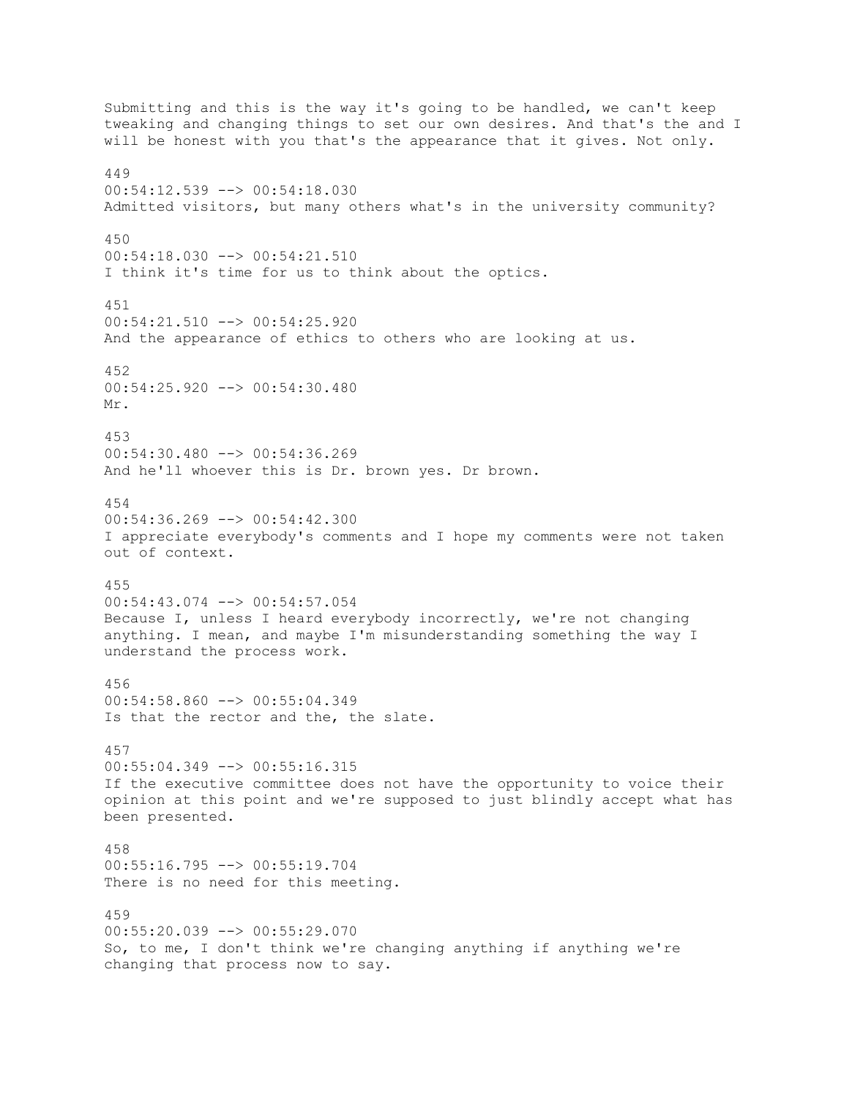Submitting and this is the way it's going to be handled, we can't keep tweaking and changing things to set our own desires. And that's the and I will be honest with you that's the appearance that it gives. Not only. 449 00:54:12.539 --> 00:54:18.030 Admitted visitors, but many others what's in the university community? 450 00:54:18.030 --> 00:54:21.510 I think it's time for us to think about the optics. 451 00:54:21.510 --> 00:54:25.920 And the appearance of ethics to others who are looking at us. 452 00:54:25.920 --> 00:54:30.480 Mr. 453  $00:54:30.480$  -->  $00:54:36.269$ And he'll whoever this is Dr. brown yes. Dr brown. 454 00:54:36.269 --> 00:54:42.300 I appreciate everybody's comments and I hope my comments were not taken out of context. 455 00:54:43.074 --> 00:54:57.054 Because I, unless I heard everybody incorrectly, we're not changing anything. I mean, and maybe I'm misunderstanding something the way I understand the process work. 456 00:54:58.860 --> 00:55:04.349 Is that the rector and the, the slate. 457  $00:55:04.349$  -->  $00:55:16.315$ If the executive committee does not have the opportunity to voice their opinion at this point and we're supposed to just blindly accept what has been presented. 458 00:55:16.795 --> 00:55:19.704 There is no need for this meeting. 459 00:55:20.039 --> 00:55:29.070 So, to me, I don't think we're changing anything if anything we're changing that process now to say.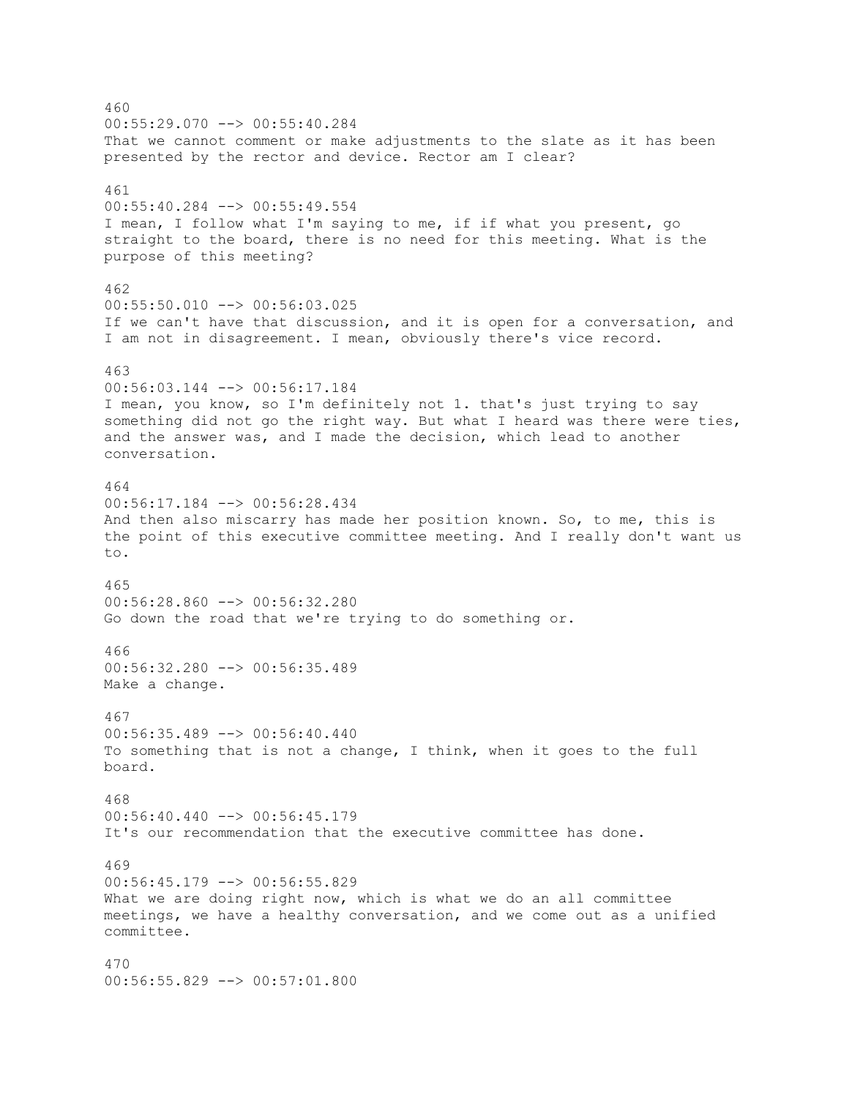460  $00:55:29.070$   $\longrightarrow$  00:55:40.284 That we cannot comment or make adjustments to the slate as it has been presented by the rector and device. Rector am I clear? 461 00:55:40.284 --> 00:55:49.554 I mean, I follow what I'm saying to me, if if what you present, go straight to the board, there is no need for this meeting. What is the purpose of this meeting? 462 00:55:50.010 --> 00:56:03.025 If we can't have that discussion, and it is open for a conversation, and I am not in disagreement. I mean, obviously there's vice record. 463 00:56:03.144 --> 00:56:17.184 I mean, you know, so I'm definitely not 1. that's just trying to say something did not go the right way. But what I heard was there were ties, and the answer was, and I made the decision, which lead to another conversation. 464 00:56:17.184 --> 00:56:28.434 And then also miscarry has made her position known. So, to me, this is the point of this executive committee meeting. And I really don't want us to. 465 00:56:28.860 --> 00:56:32.280 Go down the road that we're trying to do something or. 466 00:56:32.280 --> 00:56:35.489 Make a change. 467  $00:56:35.489$  -->  $00:56:40.440$ To something that is not a change, I think, when it goes to the full board. 468  $00:56:40.440$  -->  $00:56:45.179$ It's our recommendation that the executive committee has done. 469 00:56:45.179 --> 00:56:55.829 What we are doing right now, which is what we do an all committee meetings, we have a healthy conversation, and we come out as a unified committee. 470 00:56:55.829 --> 00:57:01.800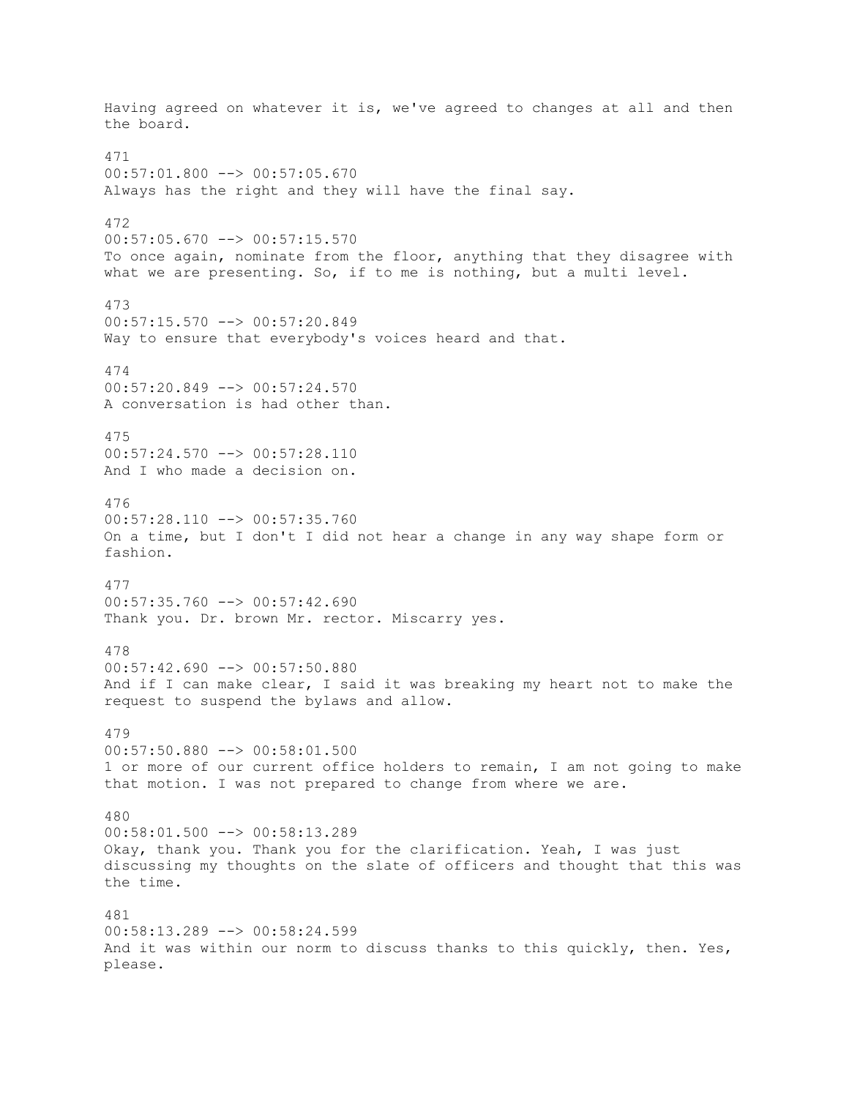Having agreed on whatever it is, we've agreed to changes at all and then the board. 471  $00:57:01.800$  -->  $00:57:05.670$ Always has the right and they will have the final say. 472  $00:57:05.670$  -->  $00:57:15.570$ To once again, nominate from the floor, anything that they disagree with what we are presenting. So, if to me is nothing, but a multi level. 473 00:57:15.570 --> 00:57:20.849 Way to ensure that everybody's voices heard and that. 474 00:57:20.849 --> 00:57:24.570 A conversation is had other than. 475  $00:57:24.570$  -->  $00:57:28.110$ And I who made a decision on. 476 00:57:28.110 --> 00:57:35.760 On a time, but I don't I did not hear a change in any way shape form or fashion. 477  $00:57:35.760$  -->  $00:57:42.690$ Thank you. Dr. brown Mr. rector. Miscarry yes. 478  $00:57:42.690$  -->  $00:57:50.880$ And if I can make clear, I said it was breaking my heart not to make the request to suspend the bylaws and allow. 479 00:57:50.880 --> 00:58:01.500 1 or more of our current office holders to remain, I am not going to make that motion. I was not prepared to change from where we are. 480  $00:58:01.500$  -->  $00:58:13.289$ Okay, thank you. Thank you for the clarification. Yeah, I was just discussing my thoughts on the slate of officers and thought that this was the time. 481 00:58:13.289 --> 00:58:24.599 And it was within our norm to discuss thanks to this quickly, then. Yes, please.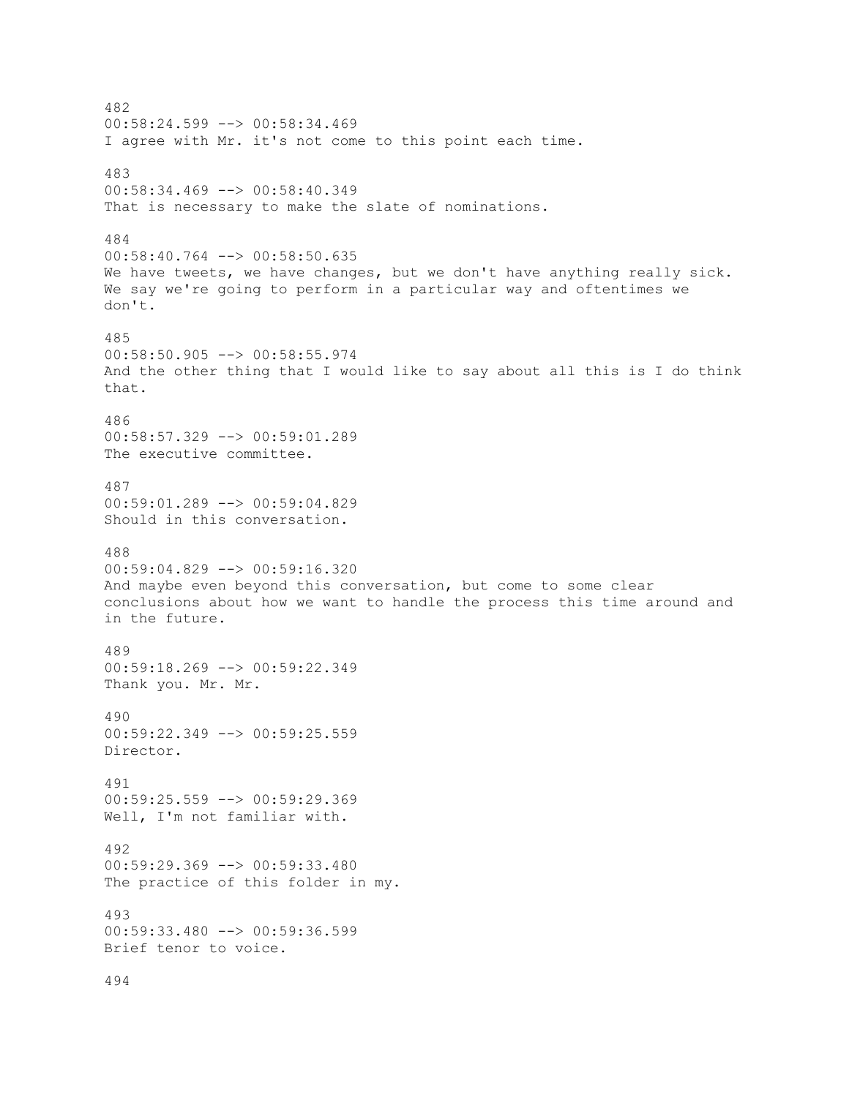482  $00:58:24.599$  -->  $00:58:34.469$ I agree with Mr. it's not come to this point each time. 483 00:58:34.469 --> 00:58:40.349 That is necessary to make the slate of nominations. 484 00:58:40.764 --> 00:58:50.635 We have tweets, we have changes, but we don't have anything really sick. We say we're going to perform in a particular way and oftentimes we don't. 485 00:58:50.905 --> 00:58:55.974 And the other thing that I would like to say about all this is I do think that. 486 00:58:57.329 --> 00:59:01.289 The executive committee. 487 00:59:01.289 --> 00:59:04.829 Should in this conversation. 488 00:59:04.829 --> 00:59:16.320 And maybe even beyond this conversation, but come to some clear conclusions about how we want to handle the process this time around and in the future. 489 00:59:18.269 --> 00:59:22.349 Thank you. Mr. Mr. 490 00:59:22.349 --> 00:59:25.559 Director. 491 00:59:25.559 --> 00:59:29.369 Well, I'm not familiar with. 492 00:59:29.369 --> 00:59:33.480 The practice of this folder in my. 493 00:59:33.480 --> 00:59:36.599 Brief tenor to voice.

494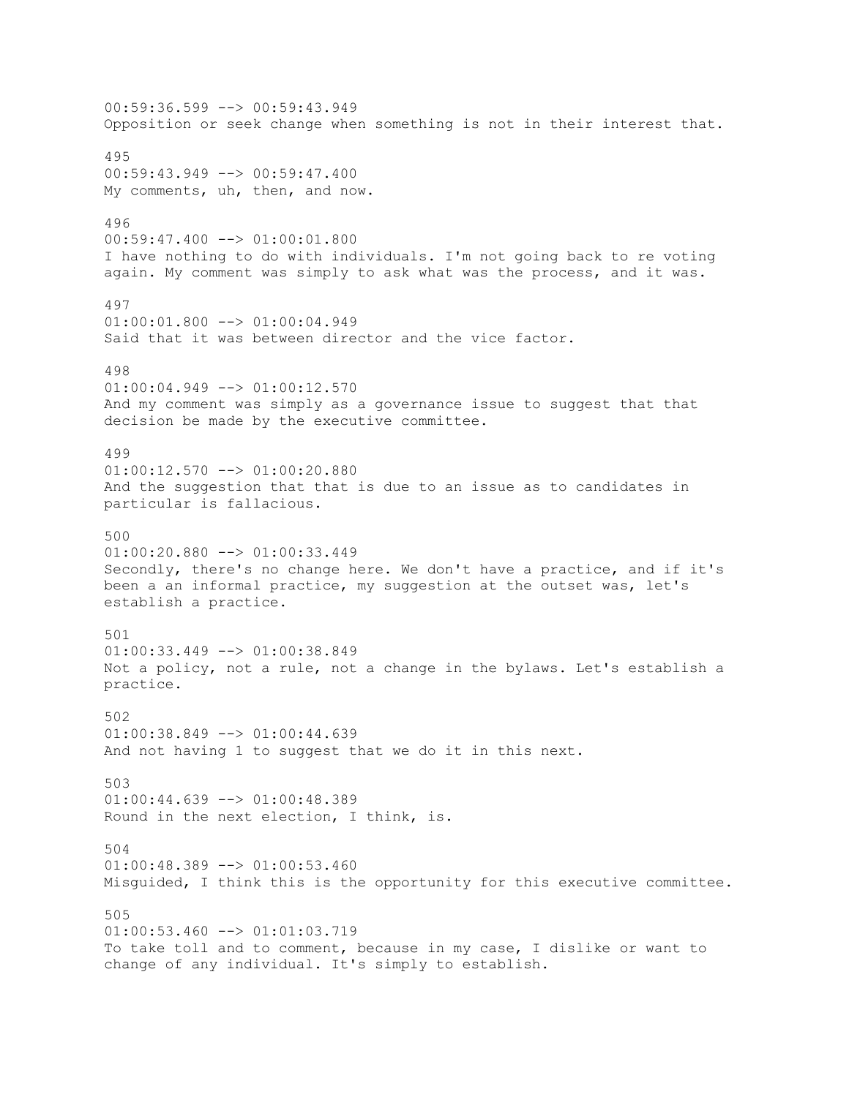00:59:36.599 --> 00:59:43.949 Opposition or seek change when something is not in their interest that. 495 00:59:43.949 --> 00:59:47.400 My comments, uh, then, and now. 496  $00:59:47.400$   $\longrightarrow$   $01:00:01.800$ I have nothing to do with individuals. I'm not going back to re voting again. My comment was simply to ask what was the process, and it was. 497  $01:00:01.800$  -->  $01:00:04.949$ Said that it was between director and the vice factor. 498  $01:00:04.949$  -->  $01:00:12.570$ And my comment was simply as a governance issue to suggest that that decision be made by the executive committee. 499 01:00:12.570 --> 01:00:20.880 And the suggestion that that is due to an issue as to candidates in particular is fallacious. 500  $01:00:20.880$   $\longrightarrow$   $01:00:33.449$ Secondly, there's no change here. We don't have a practice, and if it's been a an informal practice, my suggestion at the outset was, let's establish a practice. 501  $01:00:33.449$  -->  $01:00:38.849$ Not a policy, not a rule, not a change in the bylaws. Let's establish a practice. 502  $01:00:38.849$   $\longrightarrow$   $01:00:44.639$ And not having 1 to suggest that we do it in this next. 503 01:00:44.639 --> 01:00:48.389 Round in the next election, I think, is. 504  $01:00:48.389$  -->  $01:00:53.460$ Misguided, I think this is the opportunity for this executive committee. 505 01:00:53.460 --> 01:01:03.719 To take toll and to comment, because in my case, I dislike or want to change of any individual. It's simply to establish.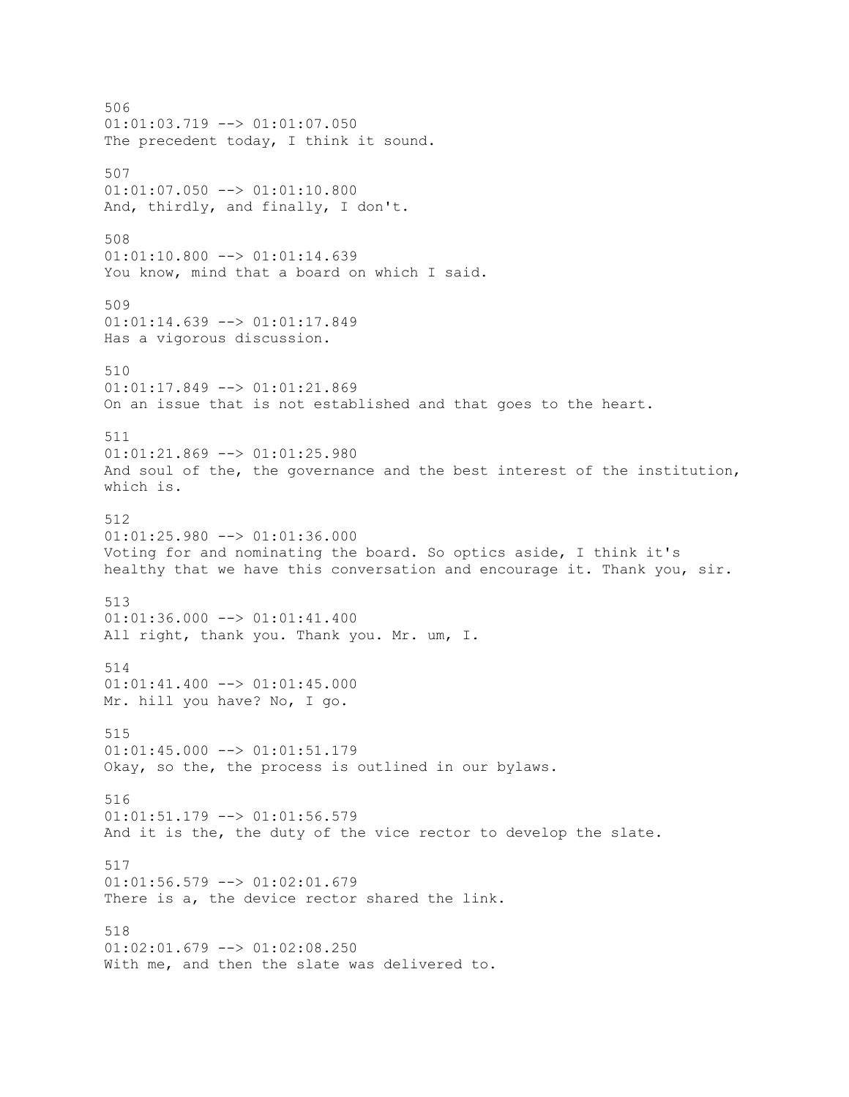506  $01:01:03.719$  -->  $01:01:07.050$ The precedent today, I think it sound. 507  $01:01:07.050$  -->  $01:01:10.800$ And, thirdly, and finally, I don't. 508 01:01:10.800 --> 01:01:14.639 You know, mind that a board on which I said. 509  $01:01:14.639$  -->  $01:01:17.849$ Has a vigorous discussion. 510 01:01:17.849 --> 01:01:21.869 On an issue that is not established and that goes to the heart. 511  $01:01:21.869$  -->  $01:01:25.980$ And soul of the, the governance and the best interest of the institution, which is. 512  $01:01:25.980$  -->  $01:01:36.000$ Voting for and nominating the board. So optics aside, I think it's healthy that we have this conversation and encourage it. Thank you, sir. 513  $01:01:36.000$  -->  $01:01:41.400$ All right, thank you. Thank you. Mr. um, I. 514  $01:01:41.400$  -->  $01:01:45.000$ Mr. hill you have? No, I go. 515  $01:01:45.000$  -->  $01:01:51.179$ Okay, so the, the process is outlined in our bylaws. 516 01:01:51.179 --> 01:01:56.579 And it is the, the duty of the vice rector to develop the slate. 517  $01:01:56.579$  -->  $01:02:01.679$ There is a, the device rector shared the link. 518  $01:02:01.679$  -->  $01:02:08.250$ With me, and then the slate was delivered to.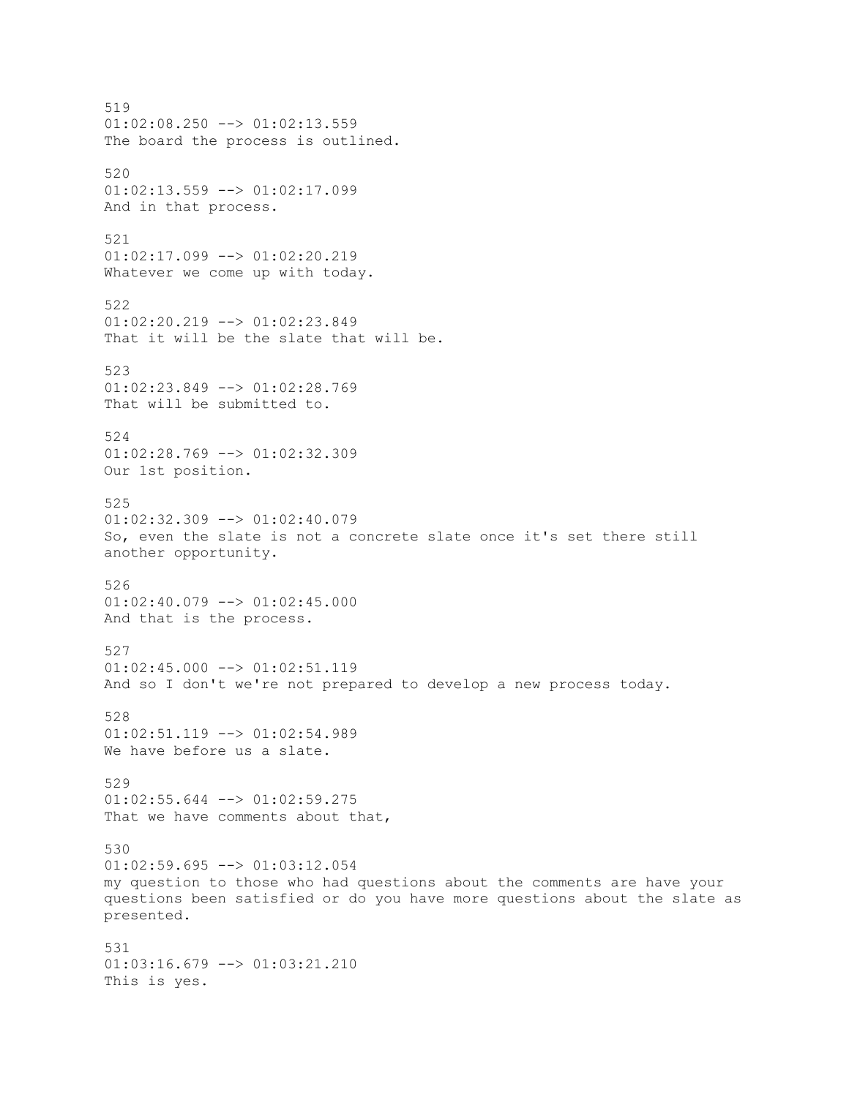519  $01:02:08.250$  -->  $01:02:13.559$ The board the process is outlined. 520  $01:02:13.559$  -->  $01:02:17.099$ And in that process. 521 01:02:17.099 --> 01:02:20.219 Whatever we come up with today. 522  $01:02:20.219$  -->  $01:02:23.849$ That it will be the slate that will be. 523 01:02:23.849 --> 01:02:28.769 That will be submitted to. 524 01:02:28.769 --> 01:02:32.309 Our 1st position. 525 01:02:32.309 --> 01:02:40.079 So, even the slate is not a concrete slate once it's set there still another opportunity. 526 01:02:40.079 --> 01:02:45.000 And that is the process. 527  $01:02:45.000$  -->  $01:02:51.119$ And so I don't we're not prepared to develop a new process today. 528  $01:02:51.119$  -->  $01:02:54.989$ We have before us a slate. 529 01:02:55.644 --> 01:02:59.275 That we have comments about that, 530 01:02:59.695 --> 01:03:12.054 my question to those who had questions about the comments are have your questions been satisfied or do you have more questions about the slate as presented. 531 01:03:16.679 --> 01:03:21.210 This is yes.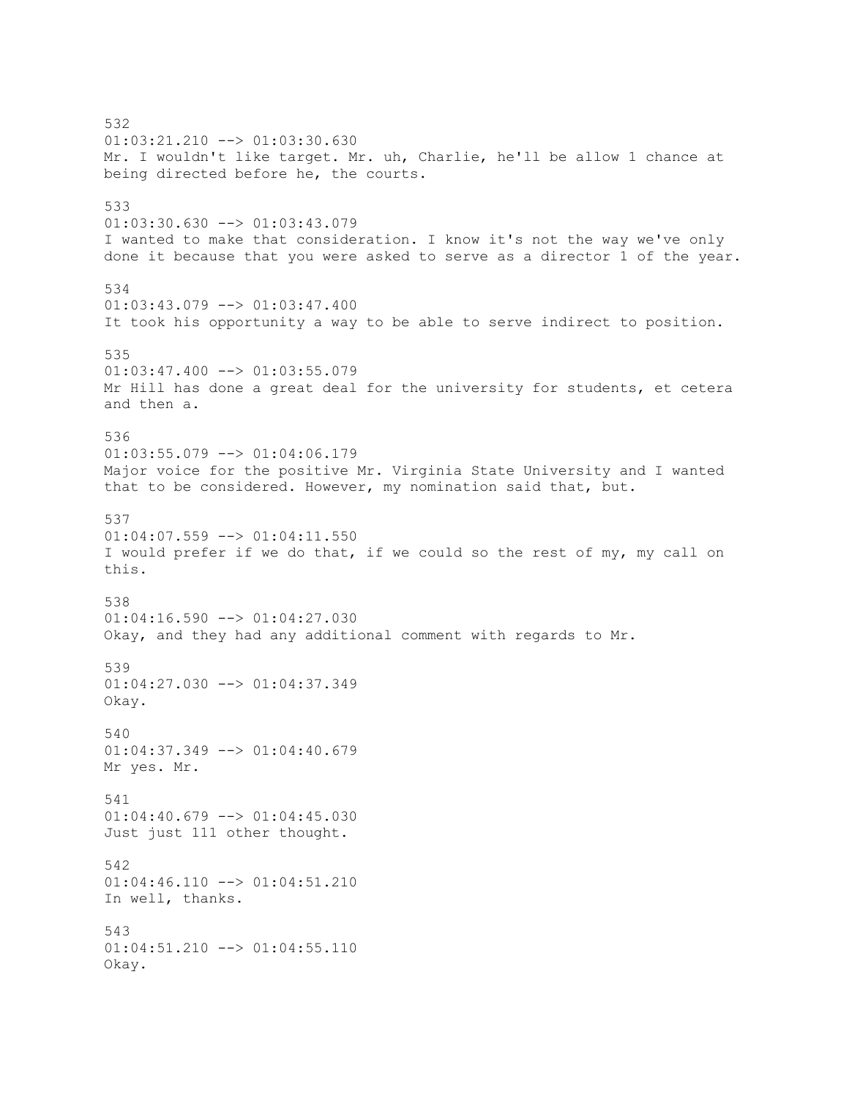532 01:03:21.210 --> 01:03:30.630 Mr. I wouldn't like target. Mr. uh, Charlie, he'll be allow 1 chance at being directed before he, the courts. 533 01:03:30.630 --> 01:03:43.079 I wanted to make that consideration. I know it's not the way we've only done it because that you were asked to serve as a director 1 of the year. 534  $01:03:43.079$  -->  $01:03:47.400$ It took his opportunity a way to be able to serve indirect to position. 535  $01:03:47.400$  -->  $01:03:55.079$ Mr Hill has done a great deal for the university for students, et cetera and then a. 536  $01:03:55.079$  -->  $01:04:06.179$ Major voice for the positive Mr. Virginia State University and I wanted that to be considered. However, my nomination said that, but. 537  $01:04:07.559$  -->  $01:04:11.550$ I would prefer if we do that, if we could so the rest of my, my call on this. 538  $01:04:16.590$  -->  $01:04:27.030$ Okay, and they had any additional comment with regards to Mr. 539 01:04:27.030 --> 01:04:37.349 Okay. 540 01:04:37.349 --> 01:04:40.679 Mr yes. Mr. 541 01:04:40.679 --> 01:04:45.030 Just just 111 other thought. 542 01:04:46.110 --> 01:04:51.210 In well, thanks. 543  $01:04:51.210$  -->  $01:04:55.110$ Okay.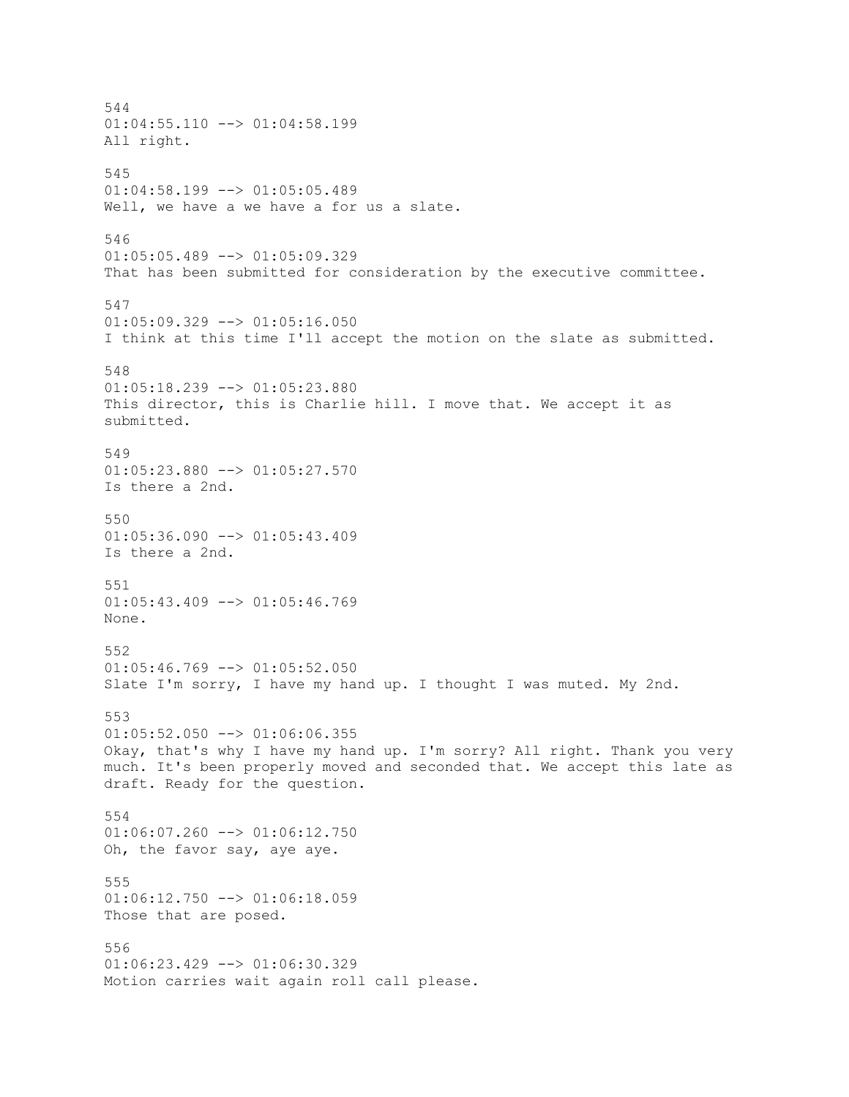544  $01:04:55.110$  -->  $01:04:58.199$ All right. 545  $01:04:58.199$  -->  $01:05:05.489$ Well, we have a we have a for us a slate. 546 01:05:05.489 --> 01:05:09.329 That has been submitted for consideration by the executive committee. 547  $01:05:09.329$  -->  $01:05:16.050$ I think at this time I'll accept the motion on the slate as submitted. 548 01:05:18.239 --> 01:05:23.880 This director, this is Charlie hill. I move that. We accept it as submitted. 549 01:05:23.880 --> 01:05:27.570 Is there a 2nd. 550  $01:05:36.090$  -->  $01:05:43.409$ Is there a 2nd. 551  $01:05:43.409$  -->  $01:05:46.769$ None. 552  $01:05:46.769$  -->  $01:05:52.050$ Slate I'm sorry, I have my hand up. I thought I was muted. My 2nd. 553  $01:05:52.050$  -->  $01:06:06.355$ Okay, that's why I have my hand up. I'm sorry? All right. Thank you very much. It's been properly moved and seconded that. We accept this late as draft. Ready for the question. 554  $01:06:07.260$  -->  $01:06:12.750$ Oh, the favor say, aye aye. 555  $01:06:12.750$  -->  $01:06:18.059$ Those that are posed. 556 01:06:23.429 --> 01:06:30.329 Motion carries wait again roll call please.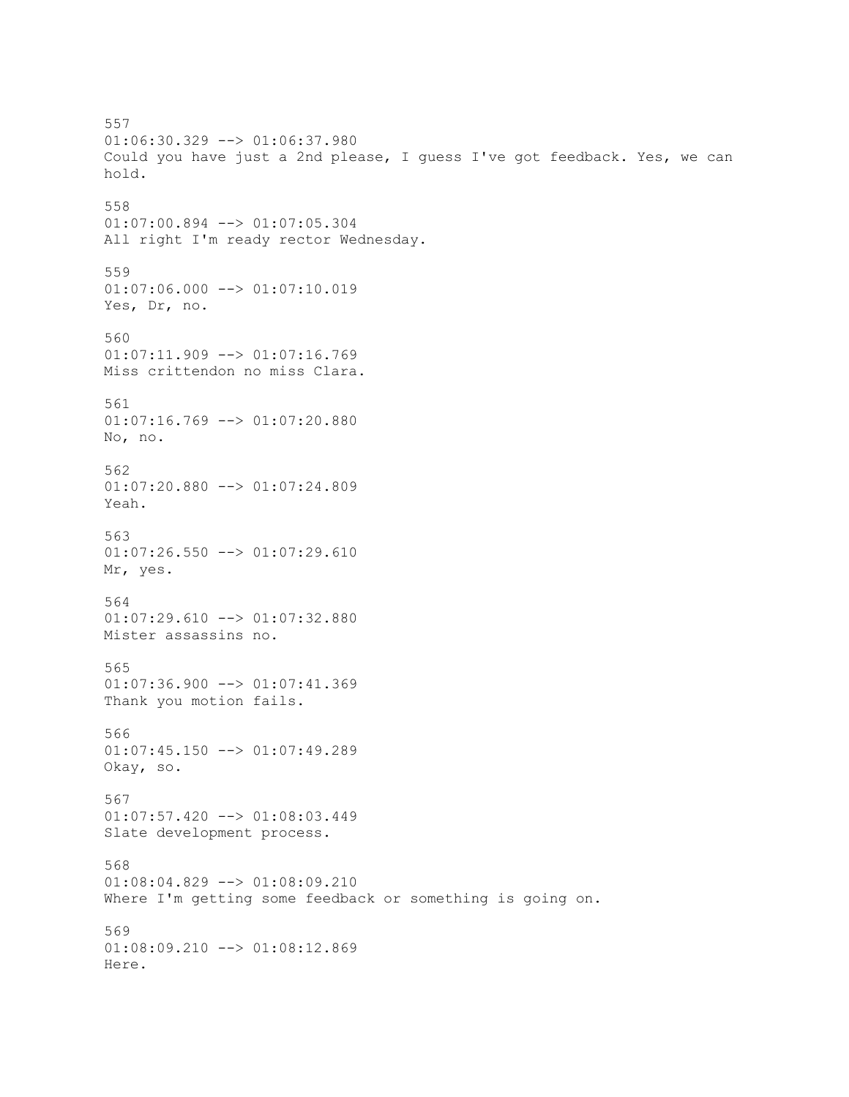557 01:06:30.329 --> 01:06:37.980 Could you have just a 2nd please, I guess I've got feedback. Yes, we can hold. 558 01:07:00.894 --> 01:07:05.304 All right I'm ready rector Wednesday. 559  $01:07:06.000$  -->  $01:07:10.019$ Yes, Dr, no. 560 01:07:11.909 --> 01:07:16.769 Miss crittendon no miss Clara. 561  $01:07:16.769$  -->  $01:07:20.880$ No, no. 562 01:07:20.880 --> 01:07:24.809 Yeah. 563 01:07:26.550 --> 01:07:29.610 Mr, yes. 564 01:07:29.610 --> 01:07:32.880 Mister assassins no. 565  $01:07:36.900$  -->  $01:07:41.369$ Thank you motion fails. 566 01:07:45.150 --> 01:07:49.289 Okay, so. 567 01:07:57.420 --> 01:08:03.449 Slate development process. 568 01:08:04.829 --> 01:08:09.210 Where I'm getting some feedback or something is going on. 569 01:08:09.210 --> 01:08:12.869 Here.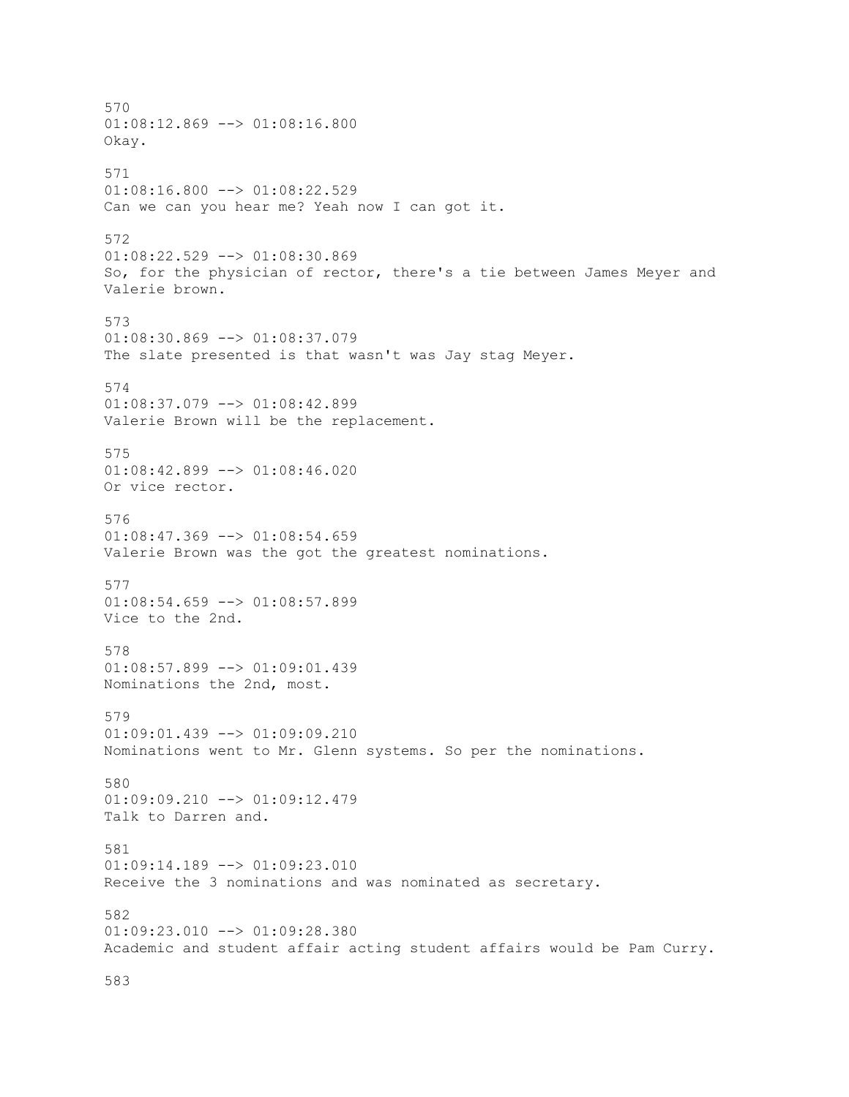570 01:08:12.869 --> 01:08:16.800 Okay. 571  $01:08:16.800$  -->  $01:08:22.529$ Can we can you hear me? Yeah now I can got it. 572 01:08:22.529 --> 01:08:30.869 So, for the physician of rector, there's a tie between James Meyer and Valerie brown. 573 01:08:30.869 --> 01:08:37.079 The slate presented is that wasn't was Jay stag Meyer. 574 01:08:37.079 --> 01:08:42.899 Valerie Brown will be the replacement. 575 01:08:42.899 --> 01:08:46.020 Or vice rector. 576  $01:08:47.369$  -->  $01:08:54.659$ Valerie Brown was the got the greatest nominations. 577  $01:08:54.659$  -->  $01:08:57.899$ Vice to the 2nd. 578 01:08:57.899 --> 01:09:01.439 Nominations the 2nd, most. 579 01:09:01.439 --> 01:09:09.210 Nominations went to Mr. Glenn systems. So per the nominations. 580 01:09:09.210 --> 01:09:12.479 Talk to Darren and. 581 01:09:14.189 --> 01:09:23.010 Receive the 3 nominations and was nominated as secretary. 582 01:09:23.010 --> 01:09:28.380 Academic and student affair acting student affairs would be Pam Curry.

583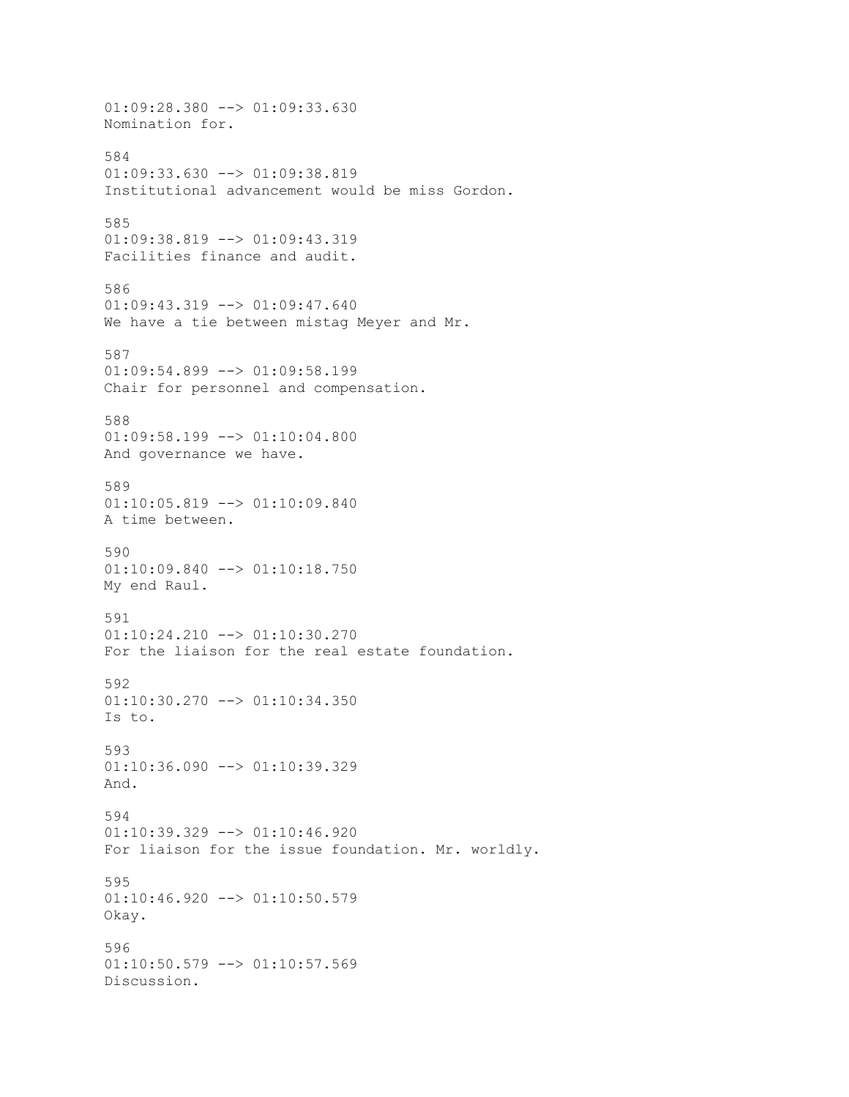01:09:28.380 --> 01:09:33.630 Nomination for. 584  $01:09:33.630$  -->  $01:09:38.819$ Institutional advancement would be miss Gordon. 585 01:09:38.819 --> 01:09:43.319 Facilities finance and audit. 586 01:09:43.319 --> 01:09:47.640 We have a tie between mistag Meyer and Mr. 587 01:09:54.899 --> 01:09:58.199 Chair for personnel and compensation. 588 01:09:58.199 --> 01:10:04.800 And governance we have. 589 01:10:05.819 --> 01:10:09.840 A time between. 590 01:10:09.840 --> 01:10:18.750 My end Raul. 591 01:10:24.210 --> 01:10:30.270 For the liaison for the real estate foundation. 592 01:10:30.270 --> 01:10:34.350 Is to. 593  $01:10:36.090$  -->  $01:10:39.329$ And. 594 01:10:39.329 --> 01:10:46.920 For liaison for the issue foundation. Mr. worldly. 595 01:10:46.920 --> 01:10:50.579 Okay. 596  $01:10:50.579$  -->  $01:10:57.569$ Discussion.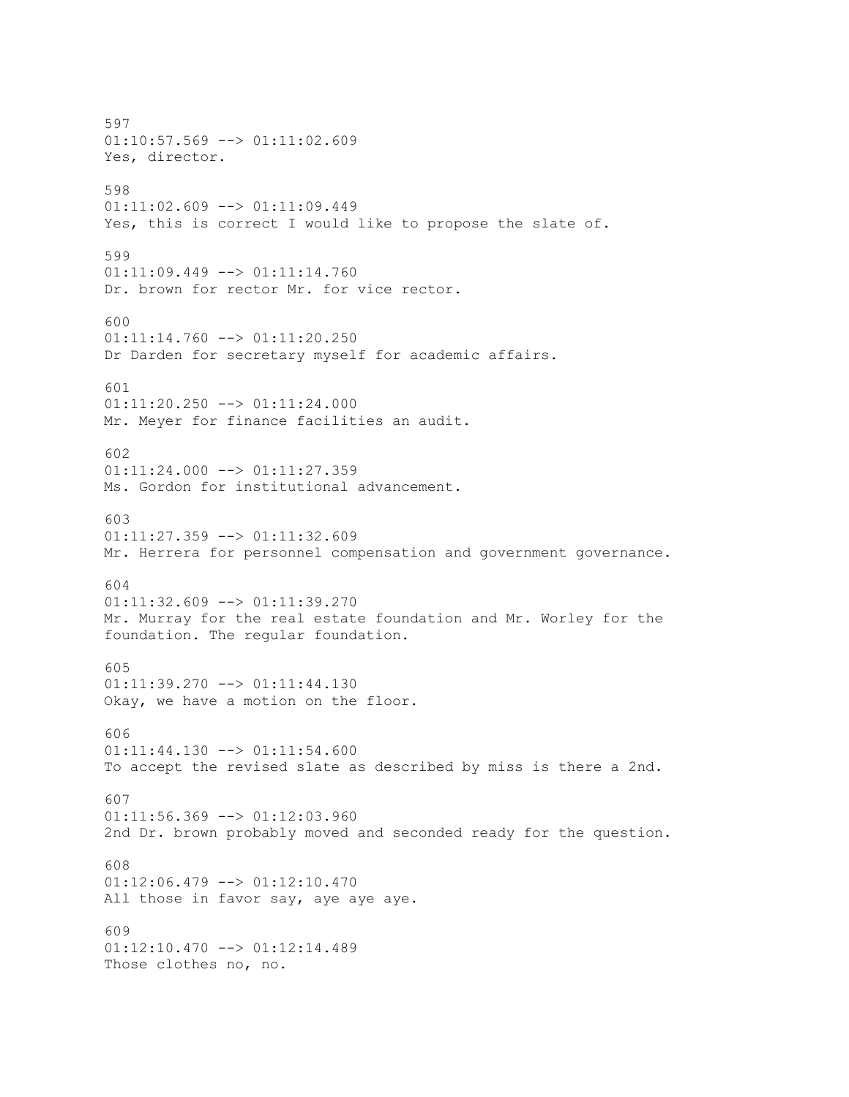597 01:10:57.569 --> 01:11:02.609 Yes, director. 598 01:11:02.609 --> 01:11:09.449 Yes, this is correct I would like to propose the slate of. 599 01:11:09.449 --> 01:11:14.760 Dr. brown for rector Mr. for vice rector. 600 01:11:14.760 --> 01:11:20.250 Dr Darden for secretary myself for academic affairs. 601 01:11:20.250 --> 01:11:24.000 Mr. Meyer for finance facilities an audit. 602  $01:11:24.000$  -->  $01:11:27.359$ Ms. Gordon for institutional advancement. 603  $01:11:27.359$  -->  $01:11:32.609$ Mr. Herrera for personnel compensation and government governance. 604 01:11:32.609 --> 01:11:39.270 Mr. Murray for the real estate foundation and Mr. Worley for the foundation. The regular foundation. 605 01:11:39.270 --> 01:11:44.130 Okay, we have a motion on the floor. 606 01:11:44.130 --> 01:11:54.600 To accept the revised slate as described by miss is there a 2nd. 607 01:11:56.369 --> 01:12:03.960 2nd Dr. brown probably moved and seconded ready for the question. 608 01:12:06.479 --> 01:12:10.470 All those in favor say, aye aye aye. 609 01:12:10.470 --> 01:12:14.489 Those clothes no, no.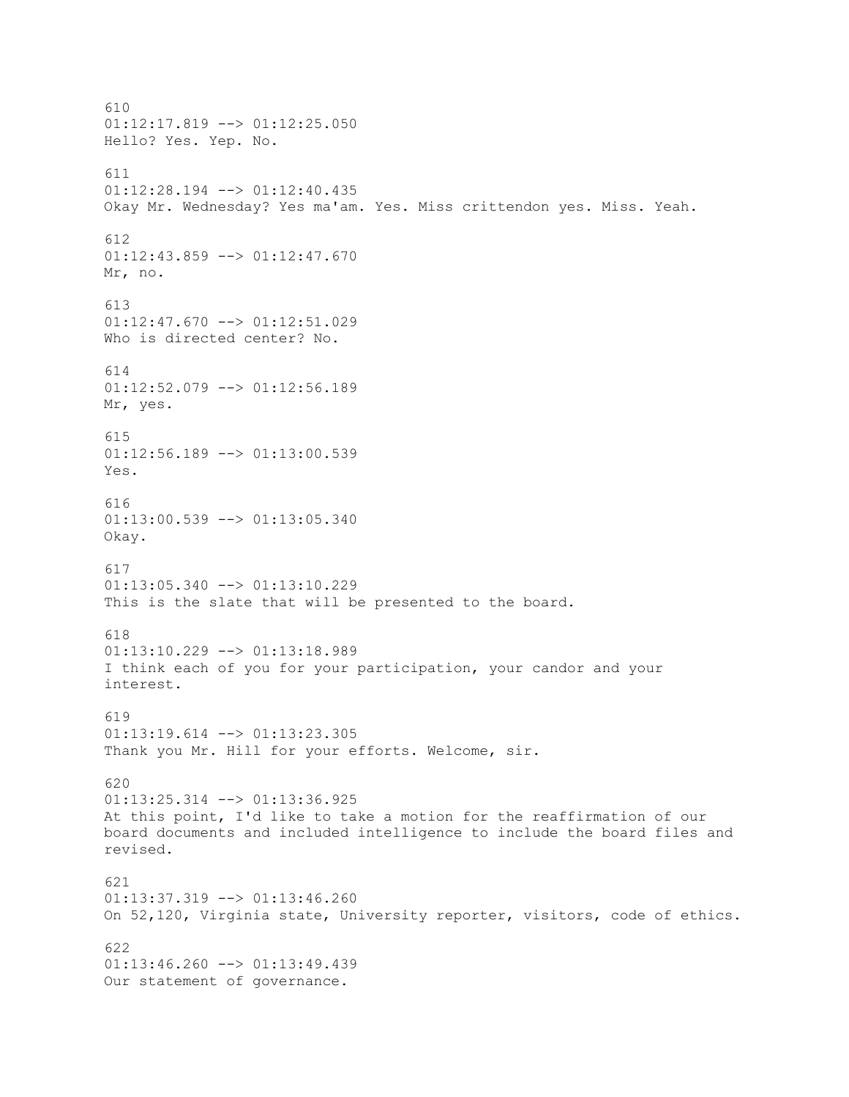610  $01:12:17.819$  -->  $01:12:25.050$ Hello? Yes. Yep. No. 611  $01:12:28.194$  -->  $01:12:40.435$ Okay Mr. Wednesday? Yes ma'am. Yes. Miss crittendon yes. Miss. Yeah. 612 01:12:43.859 --> 01:12:47.670 Mr, no. 613  $01:12:47.670$  -->  $01:12:51.029$ Who is directed center? No. 614 01:12:52.079 --> 01:12:56.189 Mr, yes. 615 01:12:56.189 --> 01:13:00.539 Yes. 616 01:13:00.539 --> 01:13:05.340 Okay. 617 01:13:05.340 --> 01:13:10.229 This is the slate that will be presented to the board. 618  $01:13:10.229$  -->  $01:13:18.989$ I think each of you for your participation, your candor and your interest. 619 01:13:19.614 --> 01:13:23.305 Thank you Mr. Hill for your efforts. Welcome, sir. 620 01:13:25.314 --> 01:13:36.925 At this point, I'd like to take a motion for the reaffirmation of our board documents and included intelligence to include the board files and revised. 621  $01:13:37.319$  -->  $01:13:46.260$ On 52,120, Virginia state, University reporter, visitors, code of ethics. 622 01:13:46.260 --> 01:13:49.439 Our statement of governance.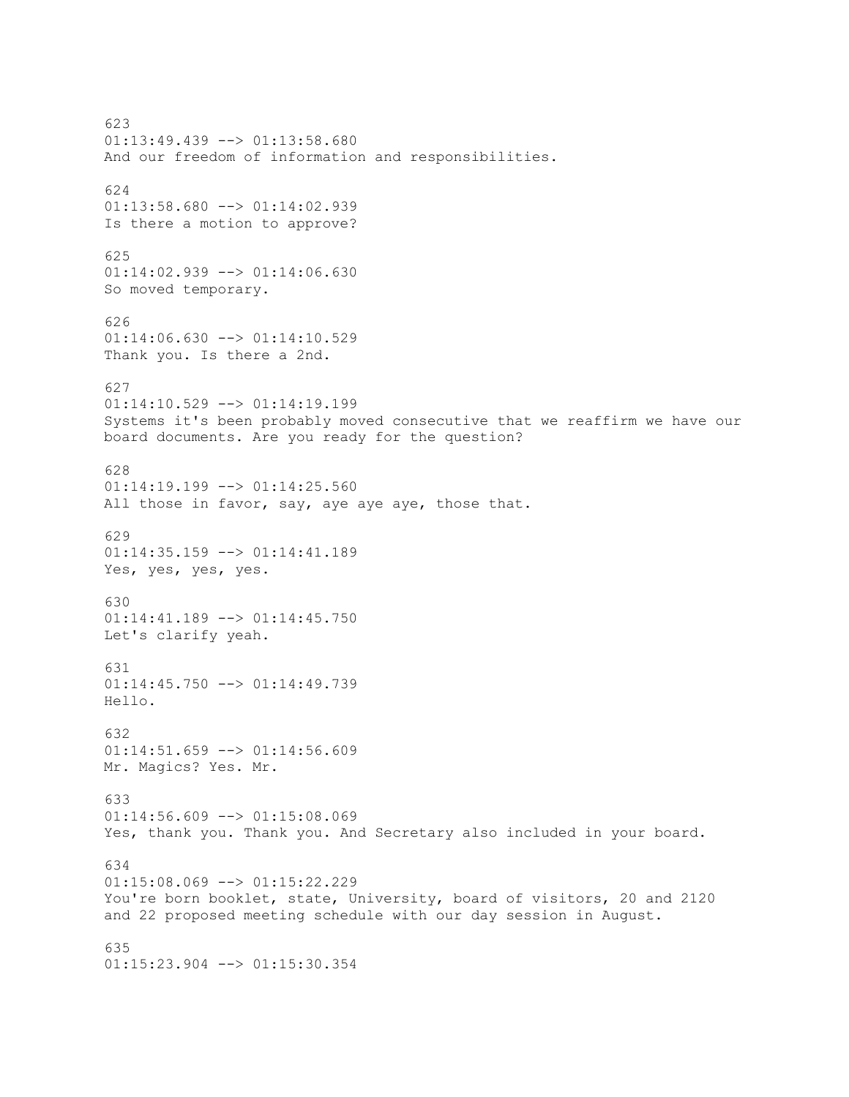623 01:13:49.439 --> 01:13:58.680 And our freedom of information and responsibilities. 624 01:13:58.680 --> 01:14:02.939 Is there a motion to approve? 625 01:14:02.939 --> 01:14:06.630 So moved temporary. 626 01:14:06.630 --> 01:14:10.529 Thank you. Is there a 2nd. 627 01:14:10.529 --> 01:14:19.199 Systems it's been probably moved consecutive that we reaffirm we have our board documents. Are you ready for the question? 628 01:14:19.199 --> 01:14:25.560 All those in favor, say, aye aye aye, those that. 629 01:14:35.159 --> 01:14:41.189 Yes, yes, yes, yes. 630 01:14:41.189 --> 01:14:45.750 Let's clarify yeah. 631 01:14:45.750 --> 01:14:49.739 Hello. 632  $01:14:51.659$  -->  $01:14:56.609$ Mr. Magics? Yes. Mr. 633 01:14:56.609 --> 01:15:08.069 Yes, thank you. Thank you. And Secretary also included in your board. 634  $01:15:08.069$  -->  $01:15:22.229$ You're born booklet, state, University, board of visitors, 20 and 2120 and 22 proposed meeting schedule with our day session in August. 635 01:15:23.904 --> 01:15:30.354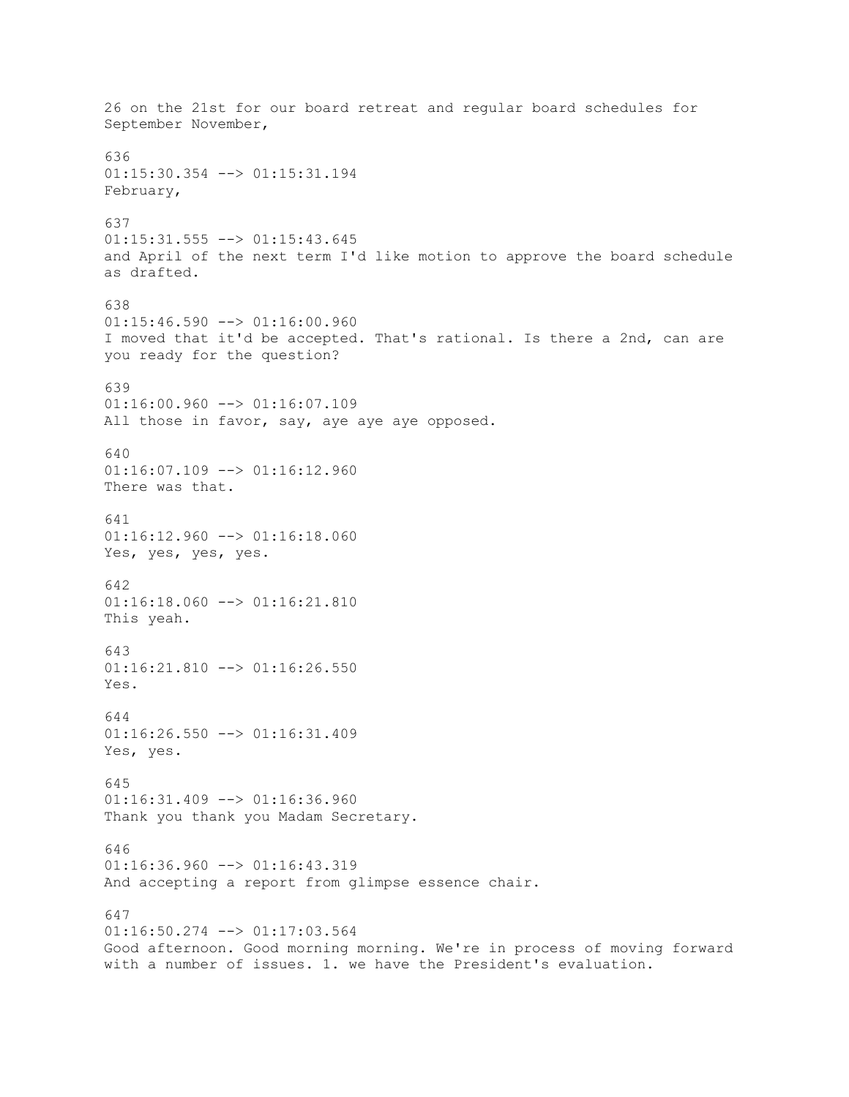26 on the 21st for our board retreat and regular board schedules for September November, 636 01:15:30.354 --> 01:15:31.194 February, 637  $01:15:31.555$  -->  $01:15:43.645$ and April of the next term I'd like motion to approve the board schedule as drafted. 638  $01:15:46.590$  -->  $01:16:00.960$ I moved that it'd be accepted. That's rational. Is there a 2nd, can are you ready for the question? 639 01:16:00.960 --> 01:16:07.109 All those in favor, say, aye aye aye opposed. 640  $01:16:07.109$  -->  $01:16:12.960$ There was that. 641  $01:16:12.960$  -->  $01:16:18.060$ Yes, yes, yes, yes. 642  $01:16:18.060$  -->  $01:16:21.810$ This yeah. 643  $01:16:21.810$  -->  $01:16:26.550$ Yes. 644 01:16:26.550 --> 01:16:31.409 Yes, yes. 645  $01:16:31.409$  -->  $01:16:36.960$ Thank you thank you Madam Secretary. 646 01:16:36.960 --> 01:16:43.319 And accepting a report from glimpse essence chair. 647 01:16:50.274 --> 01:17:03.564 Good afternoon. Good morning morning. We're in process of moving forward with a number of issues. 1. we have the President's evaluation.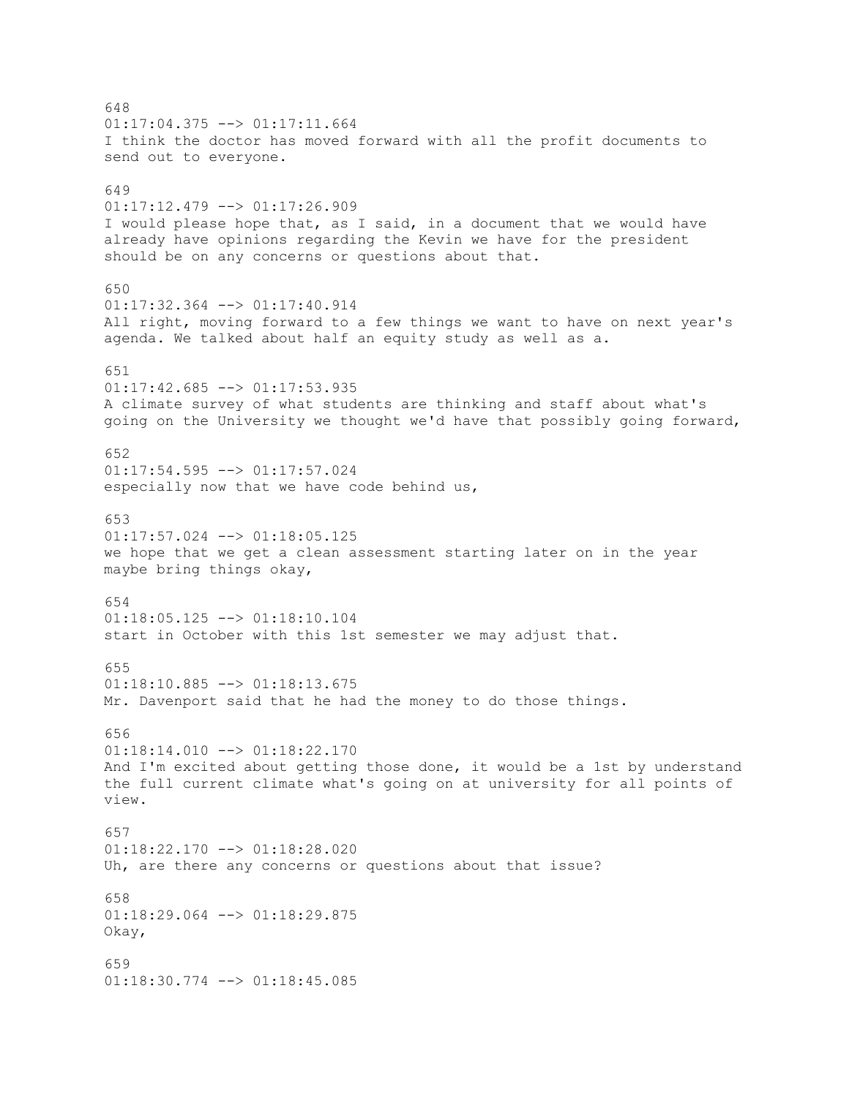648  $01:17:04.375$   $\leftarrow$   $>$   $01:17:11.664$ I think the doctor has moved forward with all the profit documents to send out to everyone. 649 01:17:12.479 --> 01:17:26.909 I would please hope that, as I said, in a document that we would have already have opinions regarding the Kevin we have for the president should be on any concerns or questions about that. 650 01:17:32.364 --> 01:17:40.914 All right, moving forward to a few things we want to have on next year's agenda. We talked about half an equity study as well as a. 651  $01:17:42.685$  -->  $01:17:53.935$ A climate survey of what students are thinking and staff about what's going on the University we thought we'd have that possibly going forward, 652 01:17:54.595 --> 01:17:57.024 especially now that we have code behind us, 653  $01:17:57.024$  -->  $01:18:05.125$ we hope that we get a clean assessment starting later on in the year maybe bring things okay, 654  $01:18:05.125$  -->  $01:18:10.104$ start in October with this 1st semester we may adjust that. 655  $01:18:10.885$   $\leftarrow$   $>$   $01:18:13.675$ Mr. Davenport said that he had the money to do those things. 656  $01:18:14.010$  -->  $01:18:22.170$ And I'm excited about getting those done, it would be a 1st by understand the full current climate what's going on at university for all points of view. 657 01:18:22.170 --> 01:18:28.020 Uh, are there any concerns or questions about that issue? 658  $01:18:29.064$  -->  $01:18:29.875$ Okay, 659 01:18:30.774 --> 01:18:45.085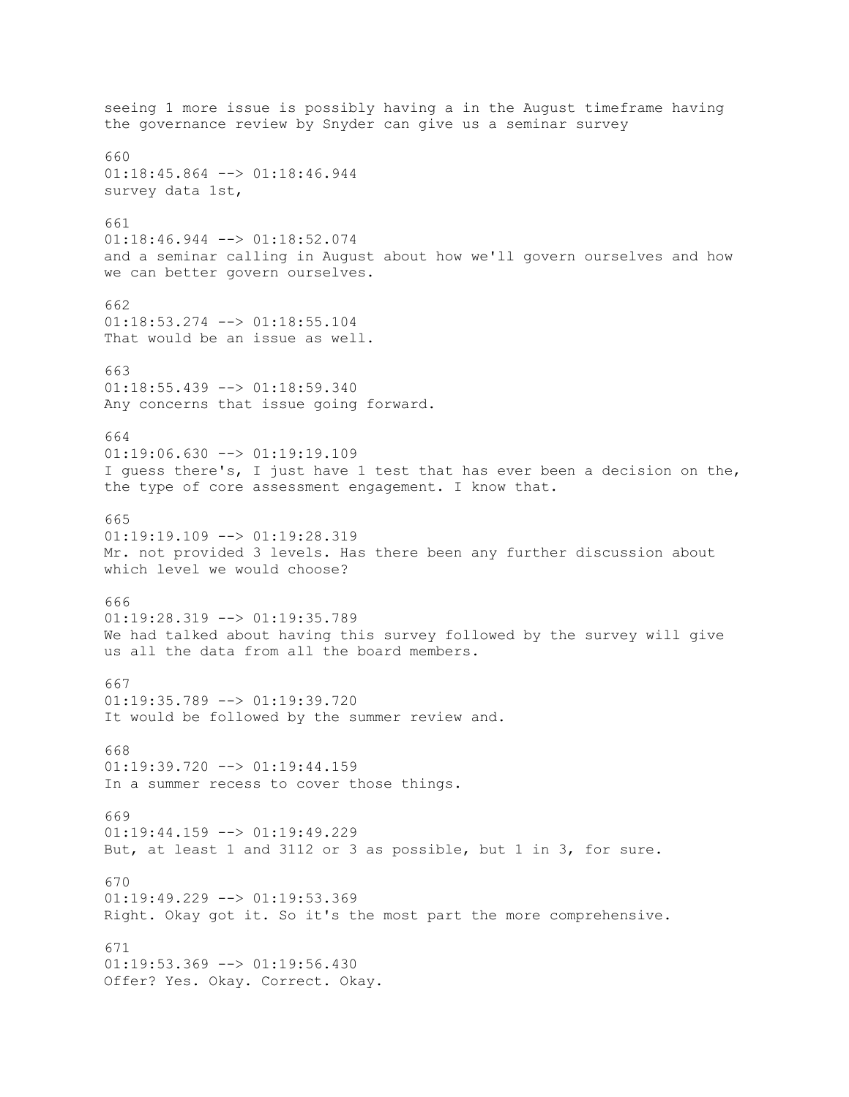seeing 1 more issue is possibly having a in the August timeframe having the governance review by Snyder can give us a seminar survey 660 01:18:45.864 --> 01:18:46.944 survey data 1st, 661 01:18:46.944 --> 01:18:52.074 and a seminar calling in August about how we'll govern ourselves and how we can better govern ourselves. 662 01:18:53.274 --> 01:18:55.104 That would be an issue as well. 663  $01:18:55.439$  -->  $01:18:59.340$ Any concerns that issue going forward. 664  $01:19:06.630$  -->  $01:19:19.109$ I guess there's, I just have 1 test that has ever been a decision on the, the type of core assessment engagement. I know that. 665  $01:19:19.109$  -->  $01:19:28.319$ Mr. not provided 3 levels. Has there been any further discussion about which level we would choose? 666 01:19:28.319 --> 01:19:35.789 We had talked about having this survey followed by the survey will give us all the data from all the board members. 667 01:19:35.789 --> 01:19:39.720 It would be followed by the summer review and. 668  $01:19:39.720$  -->  $01:19:44.159$ In a summer recess to cover those things. 669  $01:19:44.159$  -->  $01:19:49.229$ But, at least 1 and 3112 or 3 as possible, but 1 in 3, for sure. 670  $01:19:49.229$  -->  $01:19:53.369$ Right. Okay got it. So it's the most part the more comprehensive. 671 01:19:53.369 --> 01:19:56.430 Offer? Yes. Okay. Correct. Okay.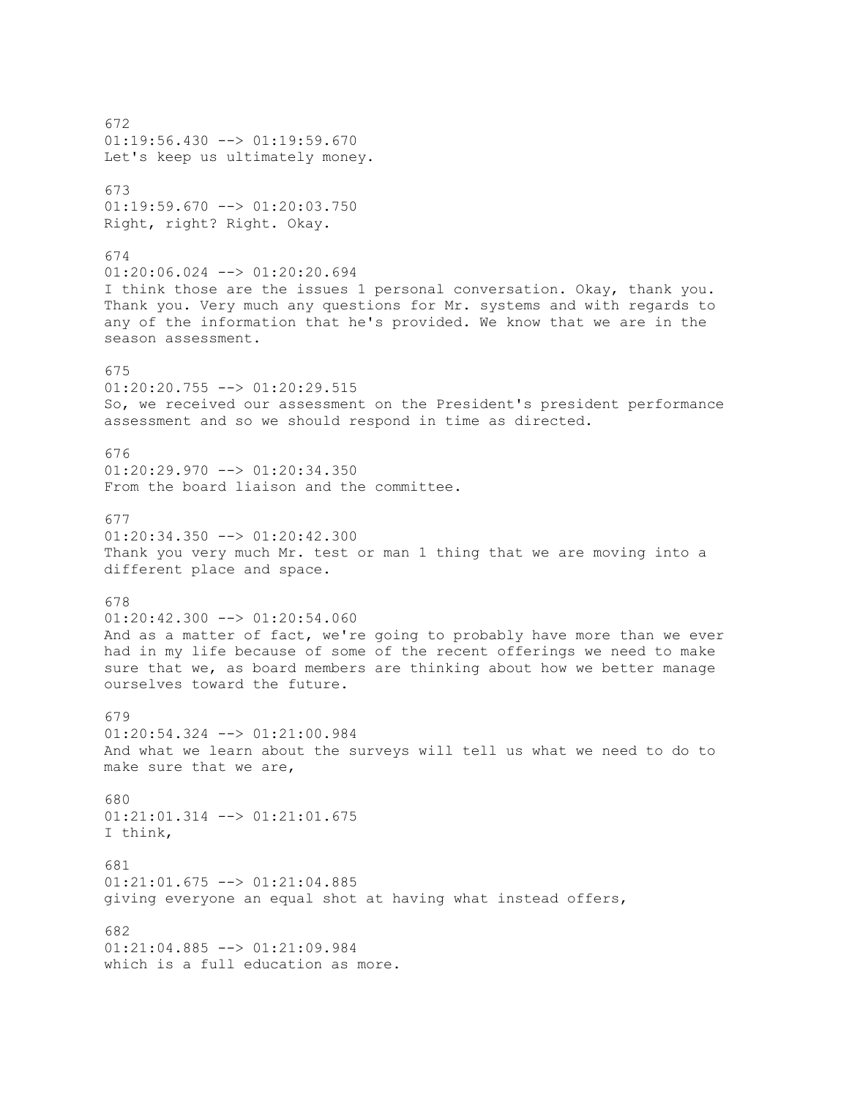672 01:19:56.430 --> 01:19:59.670 Let's keep us ultimately money. 673 01:19:59.670 --> 01:20:03.750 Right, right? Right. Okay. 674 01:20:06.024 --> 01:20:20.694 I think those are the issues 1 personal conversation. Okay, thank you. Thank you. Very much any questions for Mr. systems and with regards to any of the information that he's provided. We know that we are in the season assessment. 675  $01:20:20.755$  -->  $01:20:29.515$ So, we received our assessment on the President's president performance assessment and so we should respond in time as directed. 676 01:20:29.970 --> 01:20:34.350 From the board liaison and the committee. 677  $01:20:34.350$  -->  $01:20:42.300$ Thank you very much Mr. test or man 1 thing that we are moving into a different place and space. 678  $01:20:42.300$  -->  $01:20:54.060$ And as a matter of fact, we're going to probably have more than we ever had in my life because of some of the recent offerings we need to make sure that we, as board members are thinking about how we better manage ourselves toward the future. 679 01:20:54.324 --> 01:21:00.984 And what we learn about the surveys will tell us what we need to do to make sure that we are, 680 01:21:01.314 --> 01:21:01.675 I think, 681 01:21:01.675 --> 01:21:04.885 giving everyone an equal shot at having what instead offers, 682 01:21:04.885 --> 01:21:09.984 which is a full education as more.